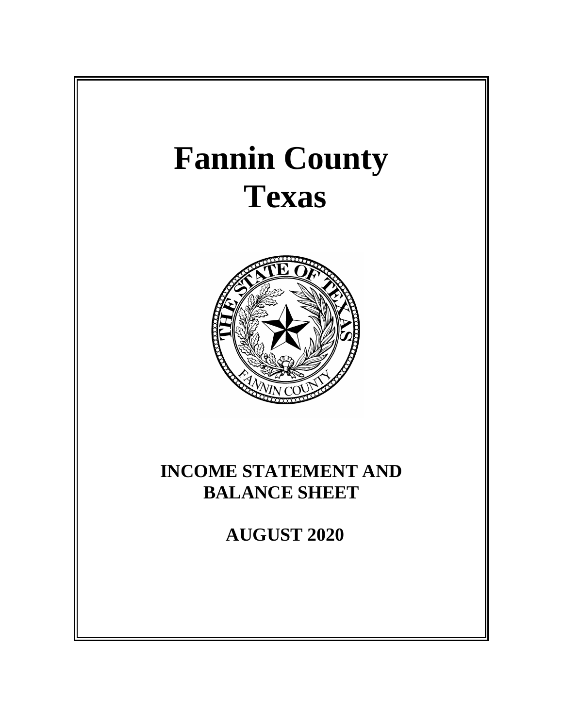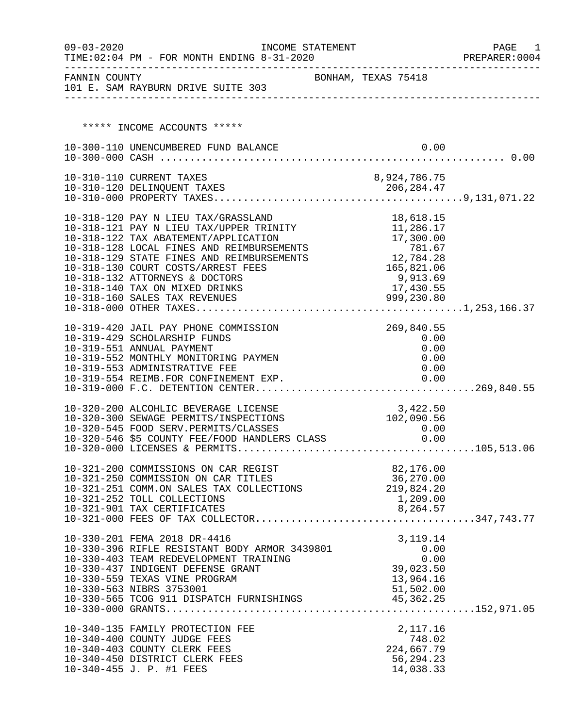| $09 - 03 - 2020$ | TIME: 02:04 PM - FOR MONTH ENDING 8-31-2020                                     | INCOME STATEMENT    |                         | PAGE<br>1<br>PREPARER: 0004 |
|------------------|---------------------------------------------------------------------------------|---------------------|-------------------------|-----------------------------|
| FANNIN COUNTY    | 101 E. SAM RAYBURN DRIVE SUITE 303                                              | BONHAM, TEXAS 75418 |                         |                             |
|                  |                                                                                 |                     |                         |                             |
|                  |                                                                                 |                     |                         |                             |
|                  | ***** INCOME ACCOUNTS *****                                                     |                     |                         |                             |
|                  | 10-300-110 UNENCUMBERED FUND BALANCE                                            |                     | 0.00                    |                             |
|                  |                                                                                 |                     |                         |                             |
|                  | 10-310-110 CURRENT TAXES                                                        |                     | 8,924,786.75            |                             |
|                  |                                                                                 |                     |                         |                             |
|                  |                                                                                 |                     |                         |                             |
|                  | 10-318-120 PAY N LIEU TAX/GRASSLAND                                             |                     | 18,618.15               |                             |
|                  | 10-318-121 PAY N LIEU TAX/UPPER TRINITY                                         |                     | 11,286.17               |                             |
|                  | 10-318-122 TAX ABATEMENT/APPLICATION                                            |                     | 17,300.00               |                             |
|                  | 10-318-128 LOCAL FINES AND REIMBURSEMENTS                                       |                     | 781.67<br>12,784.28     |                             |
|                  | 10-318-129 STATE FINES AND REIMBURSEMENTS                                       |                     |                         |                             |
|                  | 10-318-130 COURT COSTS/ARREST FEES                                              |                     | 165,821.06              |                             |
|                  | 10-318-132 ATTORNEYS & DOCTORS                                                  |                     | 9,913.69                |                             |
|                  | 10-318-140 TAX ON MIXED DRINKS<br>10-318-160 SALES TAX REVENUES                 |                     | 17,430.55<br>999,230.80 |                             |
|                  |                                                                                 |                     |                         |                             |
|                  |                                                                                 |                     |                         |                             |
|                  | 10-319-420 JAIL PAY PHONE COMMISSION                                            |                     | 269,840.55              |                             |
|                  | 10-319-429 SCHOLARSHIP FUNDS                                                    |                     | 0.00                    |                             |
|                  | 10-319-551 ANNUAL PAYMENT                                                       |                     | 0.00                    |                             |
|                  | 10-319-552 MONTHLY MONITORING PAYMEN<br>10-319-553 ADMINISTRATIVE FEE           |                     | 0.00<br>0.00            |                             |
|                  | 10-319-554 REIMB.FOR CONFINEMENT EXP.                                           |                     | 0.00                    |                             |
|                  |                                                                                 |                     |                         |                             |
|                  |                                                                                 |                     |                         |                             |
|                  | 10-320-200 ALCOHLIC BEVERAGE LICENSE<br>10-320-300 SEWAGE PERMITS/INSPECTIONS   |                     | 3,422.50<br>102,090.56  |                             |
|                  |                                                                                 |                     |                         |                             |
|                  |                                                                                 |                     |                         |                             |
|                  |                                                                                 |                     |                         |                             |
|                  |                                                                                 |                     |                         |                             |
|                  | 10-321-200 COMMISSIONS ON CAR REGIST                                            |                     | 82,176.00<br>36,270.00  |                             |
|                  | 10-321-250 COMMISSION ON CAR TITLES<br>10-321-251 COMM.ON SALES TAX COLLECTIONS |                     | 219,824.20              |                             |
|                  | 10-321-252 TOLL COLLECTIONS                                                     |                     | 1,209.00                |                             |
|                  | 10-321-901 TAX CERTIFICATES                                                     |                     | 8,264.57                |                             |
|                  |                                                                                 |                     |                         |                             |
|                  |                                                                                 |                     |                         |                             |
|                  | 10-330-201 FEMA 2018 DR-4416<br>10-330-396 RIFLE RESISTANT BODY ARMOR 3439801   |                     | 3, 119. 14<br>0.00      |                             |
|                  | 10-330-403 TEAM REDEVELOPMENT TRAINING                                          |                     | 0.00                    |                             |
|                  | 10-330-437 INDIGENT DEFENSE GRANT                                               |                     | 39,023.50               |                             |
|                  | 10-330-559 TEXAS VINE PROGRAM                                                   |                     | 13,964.16               |                             |
|                  | 10-330-563 NIBRS 3753001                                                        |                     | 51,502.00               |                             |
|                  |                                                                                 |                     |                         |                             |
|                  |                                                                                 |                     |                         |                             |
|                  | 10-340-135 FAMILY PROTECTION FEE                                                |                     | 2,117.16                |                             |
|                  | 10-340-400 COUNTY JUDGE FEES                                                    |                     | 748.02                  |                             |
|                  | 10-340-403 COUNTY CLERK FEES                                                    |                     | 224,667.79              |                             |
|                  | 10-340-450 DISTRICT CLERK FEES                                                  |                     | 56,294.23               |                             |
|                  | 10-340-455 J. P. #1 FEES                                                        |                     | 14,038.33               |                             |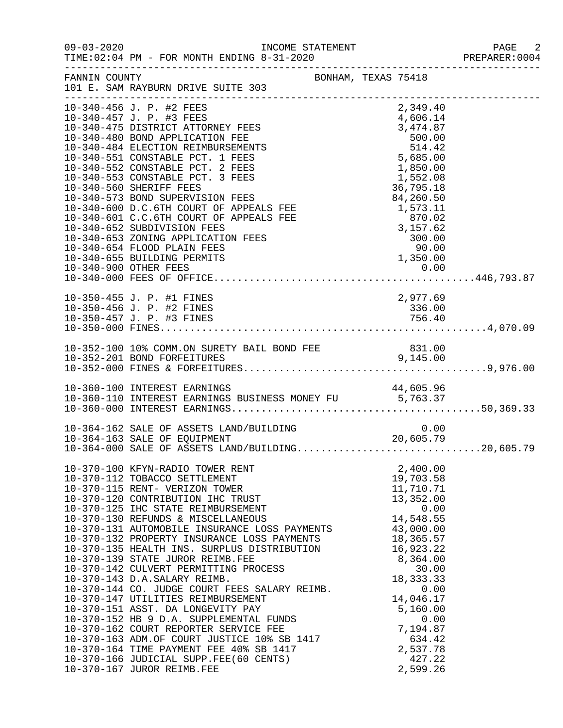| $09 - 03 - 2020$ | INCOME STATEMENT<br>TIME: 02:04 PM - FOR MONTH ENDING 8-31-2020                                                                                                                                                                                                                                                                                                                                                                                                                                                                                                                                                                                                                                                                                                                                                                                                    |                                                                                                                                                                                                                                                                                                                                                                           | PAGE 2<br>PREPARER: 0004 |
|------------------|--------------------------------------------------------------------------------------------------------------------------------------------------------------------------------------------------------------------------------------------------------------------------------------------------------------------------------------------------------------------------------------------------------------------------------------------------------------------------------------------------------------------------------------------------------------------------------------------------------------------------------------------------------------------------------------------------------------------------------------------------------------------------------------------------------------------------------------------------------------------|---------------------------------------------------------------------------------------------------------------------------------------------------------------------------------------------------------------------------------------------------------------------------------------------------------------------------------------------------------------------------|--------------------------|
|                  | FANNIN COUNTY<br>101 E. SAM RAYBURN DRIVE SUITE 303                                                                                                                                                                                                                                                                                                                                                                                                                                                                                                                                                                                                                                                                                                                                                                                                                | BONHAM, TEXAS 75418                                                                                                                                                                                                                                                                                                                                                       |                          |
|                  | 10-340-456 J. P. #2 FEES<br>10-340-457 J. P. #3 FEES<br>10-340-475 DISTRICT ATTORNEY FEES<br>10-340-480 BOND APPLICATION FEE<br>10-340-484 ELECTION REIMBURSEMENTS<br>10-340-551 CONSTABLE PCT. 1 FEES<br>10-340-552 CONSTABLE PCT. 2 FEES<br>10-340-553 CONSTABLE PCT. 3 FEES<br>10-340-560 SHERIFF FEES<br>10-340-573 BOND SUPERVISION FEES<br>10-340-600 D.C.6TH COURT OF APPEALS FEE<br>10-340-601 C.C.6TH COURT OF APPEALS FEE<br>10-340-652 SUBDIVISION FEES<br>10-340-653 ZONING APPLICATION FEES<br>10-340-654 FLOOD PLAIN FEES                                                                                                                                                                                                                                                                                                                            | 2,349.40<br>$\begin{array}{cccc} 2\, , 349 \, .40 \\ 4\, , 606 \, .14 \\ 3\, , 474 \, .87 \\ 500 \, .00 \\ 514 \, .42 \\ 5\, , 685 \, .00 \\ 1\, , 850 \, .00 \\ 1\, , 552 \, .08 \\ 36 \, , 795 \, .18 \\ 84 \, , 260 \, .50 \\ 1\, , 573 \, .11 \\ \text{S} \text{ FEE} \\ \text{LS} \text{ FEE} \\ \text{LS} \text{ FEE} \\ \text{S} \\ \text{S} \\ \text{S} \\ \text$ |                          |
|                  | 10-350-455 J. P. #1 FINES                                                                                                                                                                                                                                                                                                                                                                                                                                                                                                                                                                                                                                                                                                                                                                                                                                          | 2,977.69                                                                                                                                                                                                                                                                                                                                                                  |                          |
|                  |                                                                                                                                                                                                                                                                                                                                                                                                                                                                                                                                                                                                                                                                                                                                                                                                                                                                    |                                                                                                                                                                                                                                                                                                                                                                           |                          |
|                  | 10-360-100 INTEREST EARNINGS<br>10-360-110 INTEREST EARNINGS BUSINESS MONEY FU 5,763.37                                                                                                                                                                                                                                                                                                                                                                                                                                                                                                                                                                                                                                                                                                                                                                            | 44,605.96                                                                                                                                                                                                                                                                                                                                                                 |                          |
|                  | 0.00 0.00<br>20,605.79 20<br>20,605.79<br>10-364-162 SALE OF ASSETS LAND/BUILDING<br>10-364-163 SALE OF EQUIPMENT<br>10-364-163 SALE OF ASSETS LAND/BUILDING20,605.79<br>10-364-000 SALE OF ASSETS LAND/BUILDING20,605.79                                                                                                                                                                                                                                                                                                                                                                                                                                                                                                                                                                                                                                          |                                                                                                                                                                                                                                                                                                                                                                           |                          |
|                  | 10-370-100 KFYN-RADIO TOWER RENT<br>10-370-112 TOBACCO SETTLEMENT<br>10-370-115 RENT- VERIZON TOWER<br>10-370-120 CONTRIBUTION IHC TRUST<br>10-370-125 IHC STATE REIMBURSEMENT<br>10-370-130 REFUNDS & MISCELLANEOUS<br>10-370-131 AUTOMOBILE INSURANCE LOSS PAYMENTS<br>10-370-132 PROPERTY INSURANCE LOSS PAYMENTS<br>10-370-135 HEALTH INS. SURPLUS DISTRIBUTION<br>10-370-139 STATE JUROR REIMB.FEE<br>10-370-142 CULVERT PERMITTING PROCESS<br>10-370-143 D.A.SALARY REIMB.<br>10-370-144 CO. JUDGE COURT FEES SALARY REIMB.<br>10-370-147 UTILITIES REIMBURSEMENT<br>10-370-151 ASST. DA LONGEVITY PAY<br>10-370-152 HB 9 D.A. SUPPLEMENTAL FUNDS<br>10-370-162 COURT REPORTER SERVICE FEE<br>10-370-163 ADM.OF COURT JUSTICE 10% SB 1417<br>10-370-164 TIME PAYMENT FEE 40% SB 1417<br>10-370-166 JUDICIAL SUPP.FEE(60 CENTS)<br>10-370-167 JUROR REIMB.FEE | 2,400.00<br>19,703.58<br>11,710.71<br>13,352.00<br>0.00<br>14,548.55<br>43,000.00<br>18,365.57<br>16,923.22<br>8,364.00<br>30.00<br>18, 333. 33<br>0.00<br>14,046.17<br>5,160.00<br>0.00<br>7,194.87<br>634.42<br>2,537.78<br>427.22<br>2,599.26                                                                                                                          |                          |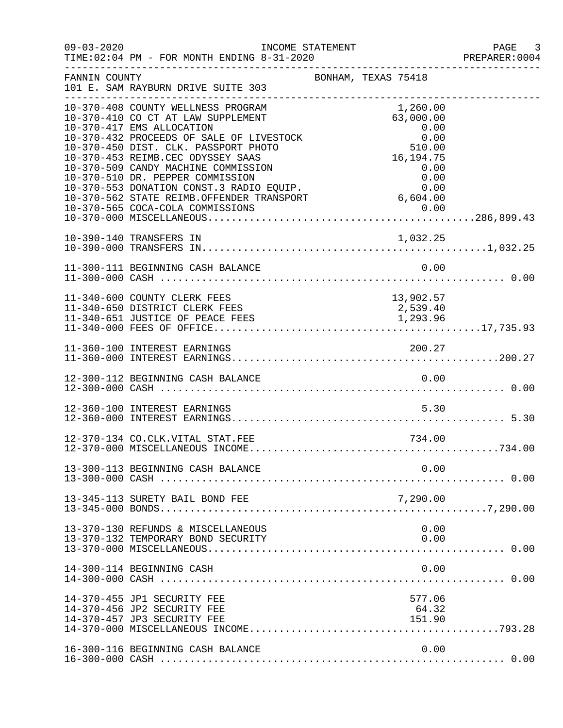| $09 - 03 - 2020$ | INCOME STATEMENT                                                                                                                                                                                                                                                                                                                                                                                                                                                                      |                                   | PAGE 3<br>PREPARER: 0004 |
|------------------|---------------------------------------------------------------------------------------------------------------------------------------------------------------------------------------------------------------------------------------------------------------------------------------------------------------------------------------------------------------------------------------------------------------------------------------------------------------------------------------|-----------------------------------|--------------------------|
| FANNIN COUNTY    | 101 E. SAM RAYBURN DRIVE SUITE 303                                                                                                                                                                                                                                                                                                                                                                                                                                                    | BONHAM, TEXAS 75418               |                          |
|                  | 10-370-408 COUNTY WELLNESS PROGRAM<br>10-370-410 CO CT AT LAW SUPPLEMENT<br>10-370-417 EMS ALLOCATION<br>$\begin{tabular}{lllllllllllllllllllll} 10-370-417 & \text{ENS ALLOCATION} & 0.00 \\ 10-370-432 & \text{PROCEEDS OF SALE OF LIVESTOCK} & 0.00 \\ 10-370-450 & \text{DIST. CLK. PASSPORT PHOTO} & 510.00 \\ 10-370-453 & \text{REIMB.CEC ODYSSEY SAAS} & 16,194.75 \\ 10-370-509 & \text{CANDY MACHINE COMMISSION} & 0.00 \\ 10-370-510 & \text{DR. PEPPER COMMISSION} & 0.0$ | 1,260.00<br>63,000.00<br>0.00     |                          |
|                  |                                                                                                                                                                                                                                                                                                                                                                                                                                                                                       |                                   |                          |
|                  |                                                                                                                                                                                                                                                                                                                                                                                                                                                                                       |                                   |                          |
|                  | 11-340-600 COUNTY CLERK FEES<br>11-340-650 DISTRICT CLERK FEES<br>11-340-651 JUSTICE OF PEACE FEES                                                                                                                                                                                                                                                                                                                                                                                    | 13,902.57<br>2,539.40<br>1,293.96 |                          |
|                  |                                                                                                                                                                                                                                                                                                                                                                                                                                                                                       |                                   |                          |
|                  |                                                                                                                                                                                                                                                                                                                                                                                                                                                                                       |                                   |                          |
|                  | 12-360-100 INTEREST EARNINGS                                                                                                                                                                                                                                                                                                                                                                                                                                                          | 5.30                              |                          |
|                  | 12-370-134 CO.CLK.VITAL STAT.FEE                                                                                                                                                                                                                                                                                                                                                                                                                                                      | 734.00                            |                          |
|                  | 13-300-113 BEGINNING CASH BALANCE                                                                                                                                                                                                                                                                                                                                                                                                                                                     | 0.00                              |                          |
|                  | 13-345-113 SURETY BAIL BOND FEE                                                                                                                                                                                                                                                                                                                                                                                                                                                       | 7,290.00                          |                          |
|                  | 13-370-130 REFUNDS & MISCELLANEOUS                                                                                                                                                                                                                                                                                                                                                                                                                                                    | 0.00                              |                          |
|                  | 14-300-114 BEGINNING CASH                                                                                                                                                                                                                                                                                                                                                                                                                                                             | 0.00                              |                          |
|                  | 14-370-455 JP1 SECURITY FEE<br>14-370-456 JP2 SECURITY FEE<br>14-370-457 JP3 SECURITY FEE                                                                                                                                                                                                                                                                                                                                                                                             | 577.06<br>64.32<br>151.90         |                          |
|                  | 16-300-116 BEGINNING CASH BALANCE                                                                                                                                                                                                                                                                                                                                                                                                                                                     | 0.00                              |                          |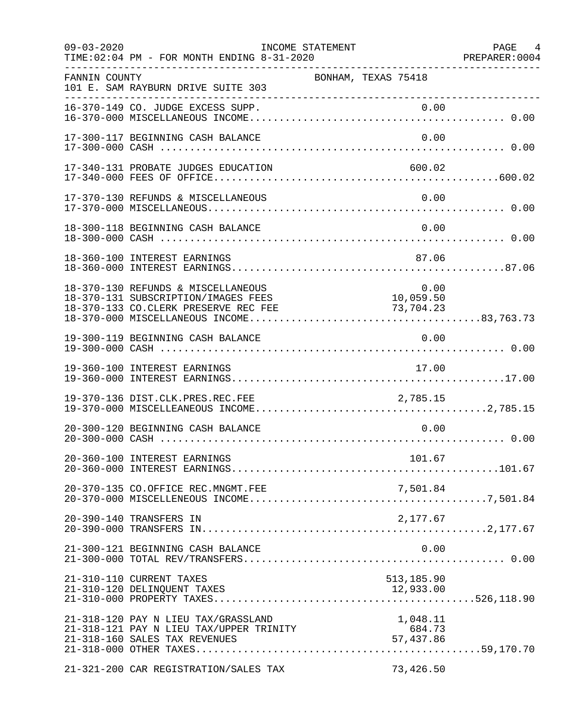| $09 - 03 - 2020$ | TIME: 02:04 PM - FOR MONTH ENDING 8-31-2020                                                                       | INCOME STATEMENT    |                                 | PAGE 4<br>PREPARER:0004 |
|------------------|-------------------------------------------------------------------------------------------------------------------|---------------------|---------------------------------|-------------------------|
| FANNIN COUNTY    | 101 E. SAM RAYBURN DRIVE SUITE 303                                                                                | BONHAM, TEXAS 75418 |                                 |                         |
|                  | 16-370-149 CO. JUDGE EXCESS SUPP.                                                                                 |                     | 0.00                            |                         |
|                  | 17-300-117 BEGINNING CASH BALANCE                                                                                 |                     | 0.00                            |                         |
|                  | 17-340-131 PROBATE JUDGES EDUCATION                                                                               |                     | 600.02                          |                         |
|                  | 17-370-130 REFUNDS & MISCELLANEOUS                                                                                |                     | 0.00                            |                         |
|                  | 18-300-118 BEGINNING CASH BALANCE                                                                                 |                     | 0.00                            |                         |
|                  | 18-360-100 INTEREST EARNINGS                                                                                      |                     | 87.06                           |                         |
|                  | 18-370-130 REFUNDS & MISCELLANEOUS<br>18-370-131 SUBSCRIPTION/IMAGES FEES<br>18-370-133 CO.CLERK PRESERVE REC FEE |                     | 0.00<br>10,059.50<br>73,704.23  |                         |
|                  | 19-300-119 BEGINNING CASH BALANCE                                                                                 |                     | 0.00                            |                         |
|                  | 19-360-100 INTEREST EARNINGS                                                                                      |                     | 17.00                           |                         |
|                  | 19-370-136 DIST.CLK.PRES.REC.FEE                                                                                  |                     | 2,785.15                        |                         |
|                  | 20-300-120 BEGINNING CASH BALANCE                                                                                 |                     | 0.00                            |                         |
|                  |                                                                                                                   |                     | 101.67                          |                         |
|                  | 20-370-135 CO.OFFICE REC.MNGMT.FEE                                                                                |                     |                                 |                         |
|                  | 20-390-140 TRANSFERS IN                                                                                           |                     | 2,177.67                        |                         |
|                  | 21-300-121 BEGINNING CASH BALANCE                                                                                 |                     | 0.00                            |                         |
|                  | 21-310-110 CURRENT TAXES                                                                                          |                     | 513,185.90                      |                         |
|                  | 21-318-120 PAY N LIEU TAX/GRASSLAND<br>21-318-121 PAY N LIEU TAX/UPPER TRINITY<br>21-318-160 SALES TAX REVENUES   |                     | 1,048.11<br>684.73<br>57,437.86 |                         |
|                  | 21-321-200 CAR REGISTRATION/SALES TAX                                                                             |                     | 73,426.50                       |                         |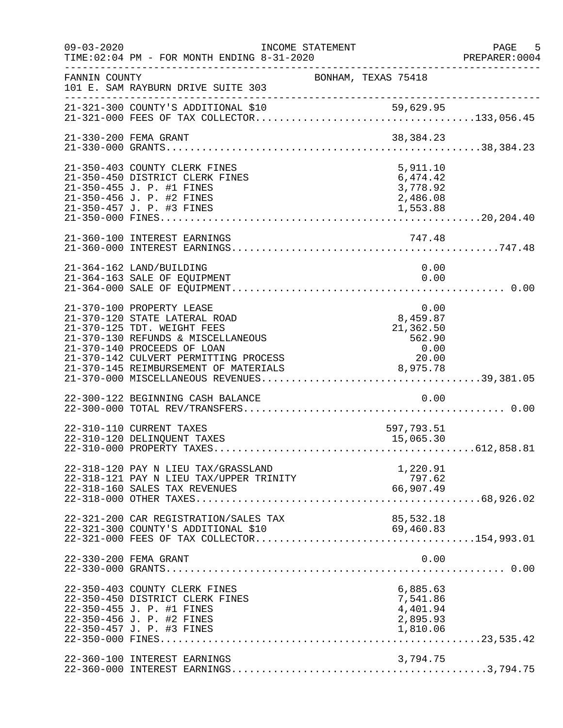| $09 - 03 - 2020$ | INCOME STATEMENT<br>TIME: 02:04 PM - FOR MONTH ENDING 8-31-2020                                                                                                |                                                                | PAGE 5<br>PREPARER: 0004 |
|------------------|----------------------------------------------------------------------------------------------------------------------------------------------------------------|----------------------------------------------------------------|--------------------------|
| FANNIN COUNTY    | 101 E. SAM RAYBURN DRIVE SUITE 303<br>__________________________________                                                                                       | BONHAM, TEXAS 75418                                            |                          |
|                  |                                                                                                                                                                |                                                                |                          |
|                  | 21-330-200 FEMA GRANT                                                                                                                                          | 38,384.23                                                      |                          |
|                  | 21-350-403 COUNTY CLERK FINES<br>21-350-450 DISTRICT CLERK FINES<br>21-350-455 J. P. #1 FINES<br>21-350-456 J. P. #2 FINES<br>21-350-457 J. P. #3 FINES        | 5,911.10<br>6,474.42<br>3,778.92<br>2,486.08<br>1,553.88       |                          |
|                  |                                                                                                                                                                |                                                                |                          |
|                  | 21-364-162 LAND/BUILDING<br>21-364-163 SALE OF EQUIPMENT                                                                                                       | 0.00<br>0.00                                                   |                          |
|                  | 21-370-100 PROPERTY LEASE<br>21-370-120 STATE LATERAL ROAD<br>21-370-125 TDT. WEIGHT FEES<br>21-370-130 REFUNDS & MISCELLANEOUS<br>21-370-140 PROCEEDS OF LOAN | $0.00$<br>8,459.87<br>$21,362.50$<br>$562.90$<br>0.00<br>20.00 |                          |
|                  | 22-300-122 BEGINNING CASH BALANCE                                                                                                                              | 0.00                                                           |                          |
|                  | 22-310-110 CURRENT TAXES<br>22-310-120 DELINQUENT TAXES                                                                                                        | 597,793.51<br>15,065.30                                        |                          |
|                  | 22-318-120 PAY N LIEU TAX/GRASSLAND<br>22-318-121 PAY N LIEU TAX/UPPER TRINITY<br>22-318-160 SALES TAX REVENUES                                                | 1,220.91<br>797.62<br>66,907.49                                |                          |
|                  | 22-321-200 CAR REGISTRATION/SALES TAX                                                                                                                          | 85,532.18<br>69,460.83                                         |                          |
|                  | 22-330-200 FEMA GRANT                                                                                                                                          | 0.00                                                           |                          |
|                  | 22-350-403 COUNTY CLERK FINES<br>22-350-450 DISTRICT CLERK FINES<br>22-350-455 J. P. #1 FINES<br>22-350-456 J. P. #2 FINES<br>22-350-457 J. P. #3 FINES        | 6,885.63<br>7,541.86<br>4,401.94<br>2,895.93<br>1,810.06       |                          |
|                  | 22-360-100 INTEREST EARNINGS                                                                                                                                   | 3,794.75                                                       |                          |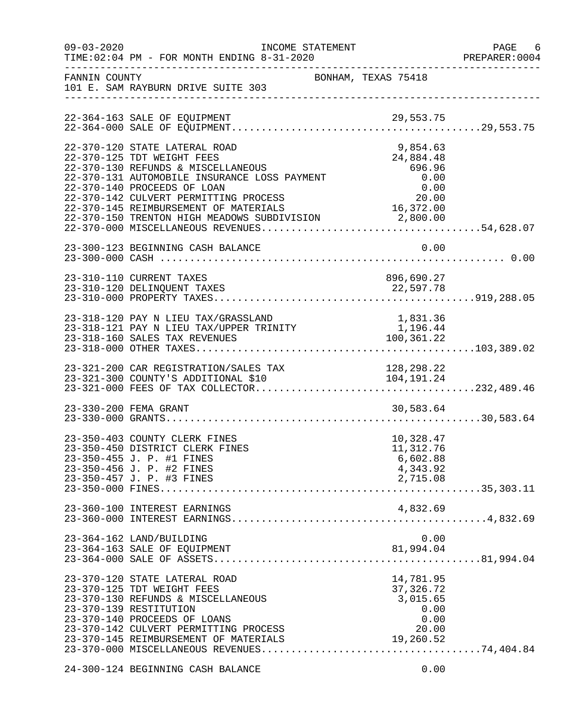| $09 - 03 - 2020$ | INCOME STATEMENT<br>TIME: 02:04 PM - FOR MONTH ENDING 8-31-2020                                                                                                                                                                                                                                                                                                                            | -----------------------------------                                        | PAGE 6<br>PREPARER: 0004 |
|------------------|--------------------------------------------------------------------------------------------------------------------------------------------------------------------------------------------------------------------------------------------------------------------------------------------------------------------------------------------------------------------------------------------|----------------------------------------------------------------------------|--------------------------|
| FANNIN COUNTY    | BONHAM, TEXAS 75418<br>101 E. SAM RAYBURN DRIVE SUITE 303                                                                                                                                                                                                                                                                                                                                  |                                                                            |                          |
|                  | 22-364-163 SALE OF EQUIPMENT                                                                                                                                                                                                                                                                                                                                                               |                                                                            |                          |
|                  | 22-370-120 STATE LATERAL ROAD<br>22-370-125 TDT WEIGHT FEES<br>22-370-130 REFUNDS & MISCELLANEOUS<br>22-370-131 AUTOMOBILE INSURANCE LOSS PAYMENT<br>22-370-131 AUTOMOBILE INSURANCE LOSS PAYMENT<br>22-370-140 PROCEEDS OF LOAN<br>22-370-142 CULVERT PERMITTING PROCESS 20.00<br>22-370-145 REIMBURSEMENT OF MATERIALS 16,372.00<br>22-370-150 TRENTON HIGH MEADOWS SUBDIVISION 2,800.00 | 9,854.63<br>24,884.48<br>696.96<br>0.00                                    |                          |
|                  | 23-300-123 BEGINNING CASH BALANCE                                                                                                                                                                                                                                                                                                                                                          | 0.00                                                                       |                          |
|                  | 23-310-110 CURRENT TAXES                                                                                                                                                                                                                                                                                                                                                                   | 896,690.27<br>22,597.78                                                    |                          |
|                  |                                                                                                                                                                                                                                                                                                                                                                                            |                                                                            |                          |
|                  | 23-321-200 CAR REGISTRATION/SALES TAX                                                                                                                                                                                                                                                                                                                                                      | 128,298.22                                                                 |                          |
|                  | 23-330-200 FEMA GRANT                                                                                                                                                                                                                                                                                                                                                                      | 30,583.64                                                                  |                          |
|                  | 23-350-403 COUNTY CLERK FINES<br>23-350-450 DISTRICT CLERK FINES<br>23-350-455 J. P. #1 FINES<br>23-350-456 J. P. #2 FINES<br>23-350-457 J. P. #3 FINES                                                                                                                                                                                                                                    | 10,328.47<br>11,312.76<br>6,602.88<br>4,343.92<br>2,715.08                 |                          |
|                  | 23-360-100 INTEREST EARNINGS                                                                                                                                                                                                                                                                                                                                                               | 4,832.69                                                                   |                          |
|                  | 23-364-162 LAND/BUILDING<br>23-364-163 SALE OF EQUIPMENT                                                                                                                                                                                                                                                                                                                                   | 0.00<br>81,994.04                                                          |                          |
|                  | 23-370-120 STATE LATERAL ROAD<br>23-370-125 TDT WEIGHT FEES<br>23-370-130 REFUNDS & MISCELLANEOUS<br>23-370-139 RESTITUTION<br>23-370-140 PROCEEDS OF LOANS<br>23-370-142 CULVERT PERMITTING PROCESS<br>23-370-145 REIMBURSEMENT OF MATERIALS                                                                                                                                              | 14,781.95<br>37, 326. 72<br>3,015.65<br>0.00<br>0.00<br>20.00<br>19,260.52 |                          |
|                  | 24-300-124 BEGINNING CASH BALANCE                                                                                                                                                                                                                                                                                                                                                          | 0.00                                                                       |                          |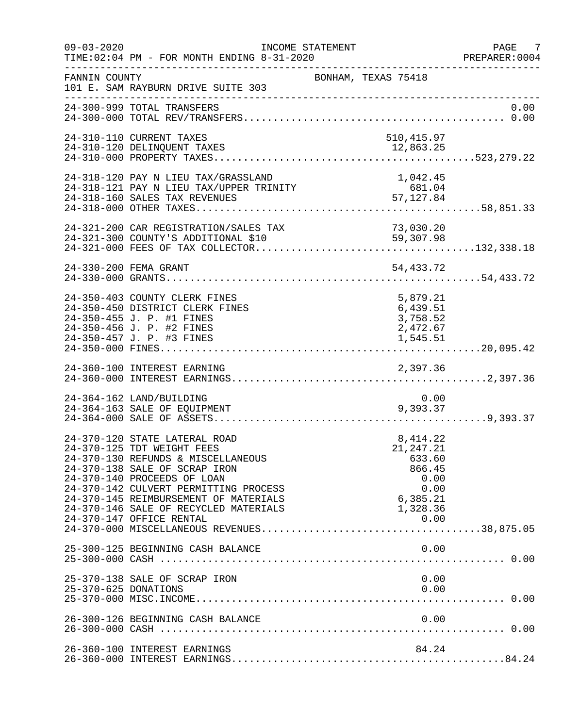| $09 - 03 - 2020$     | INCOME STATEMENT<br>TIME: 02:04 PM - FOR MONTH ENDING 8-31-2020                                                                                                                                                                                                                                                          | ---------------------------------                                                           | / PAGE<br>PREPARER:0004 |
|----------------------|--------------------------------------------------------------------------------------------------------------------------------------------------------------------------------------------------------------------------------------------------------------------------------------------------------------------------|---------------------------------------------------------------------------------------------|-------------------------|
| FANNIN COUNTY        | 101 E. SAM RAYBURN DRIVE SUITE 303<br>____________________________                                                                                                                                                                                                                                                       | BONHAM, TEXAS 75418                                                                         |                         |
|                      | 24-300-999 TOTAL TRANSFERS                                                                                                                                                                                                                                                                                               |                                                                                             | 0.00                    |
|                      | 24-310-110 CURRENT TAXES<br>24-310-120 DELINQUENT TAXES                                                                                                                                                                                                                                                                  | 510,415.97<br>12,863.25                                                                     |                         |
|                      |                                                                                                                                                                                                                                                                                                                          |                                                                                             |                         |
|                      |                                                                                                                                                                                                                                                                                                                          |                                                                                             |                         |
|                      | 24-330-200 FEMA GRANT                                                                                                                                                                                                                                                                                                    | 54,433.72                                                                                   |                         |
|                      | 24-350-403 COUNTY CLERK FINES<br>24-350-450 DISTRICT CLERK FINES<br>24-350-455 J. P. #1 FINES<br>24-350-456 J. P. #2 FINES                                                                                                                                                                                               | 5,879.21<br>6,439.51<br>3,758.52<br>2,472.67                                                |                         |
|                      |                                                                                                                                                                                                                                                                                                                          |                                                                                             |                         |
|                      | 24-364-162 LAND/BUILDING                                                                                                                                                                                                                                                                                                 | 0.00<br>9,393.37                                                                            |                         |
|                      | 24-370-120 STATE LATERAL ROAD<br>24-370-125 TDT WEIGHT FEES<br>24-370-130 REFUNDS & MISCELLANEOUS<br>24-370-138 SALE OF SCRAP IRON<br>24-370-140 PROCEEDS OF LOAN<br>24-370-142 CULVERT PERMITTING PROCESS<br>24-370-145 REIMBURSEMENT OF MATERIALS<br>24-370-146 SALE OF RECYCLED MATERIALS<br>24-370-147 OFFICE RENTAL | 8,414.22<br>21, 247. 21<br>633.60<br>866.45<br>0.00<br>0.00<br>6,385.21<br>1,328.36<br>0.00 |                         |
|                      | 25-300-125 BEGINNING CASH BALANCE                                                                                                                                                                                                                                                                                        |                                                                                             |                         |
| 25-370-625 DONATIONS | 25-370-138 SALE OF SCRAP IRON                                                                                                                                                                                                                                                                                            | 0.00<br>0.00                                                                                |                         |
|                      | 26-300-126 BEGINNING CASH BALANCE                                                                                                                                                                                                                                                                                        | 0.00                                                                                        |                         |
|                      | 26-360-100 INTEREST EARNINGS                                                                                                                                                                                                                                                                                             | 84.24                                                                                       |                         |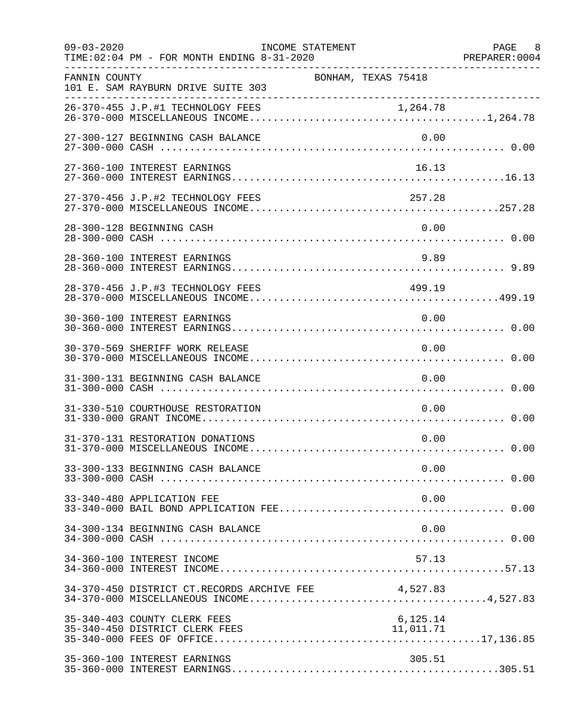| $09 - 03 - 2020$ | TIME: 02:04 PM - FOR MONTH ENDING 8-31-2020                    | INCOME STATEMENT    |                       | PAGE 8 |
|------------------|----------------------------------------------------------------|---------------------|-----------------------|--------|
| FANNIN COUNTY    | 101 E. SAM RAYBURN DRIVE SUITE 303                             | BONHAM, TEXAS 75418 |                       |        |
|                  |                                                                |                     |                       |        |
|                  | 27-300-127 BEGINNING CASH BALANCE                              |                     | 0.00                  |        |
|                  | 27-360-100 INTEREST EARNINGS                                   |                     | 16.13                 |        |
|                  | 27-370-456 J.P.#2 TECHNOLOGY FEES                              |                     | 257.28                |        |
|                  | 28-300-128 BEGINNING CASH                                      |                     | 0.00                  |        |
|                  | 28-360-100 INTEREST EARNINGS                                   |                     | 9.89                  |        |
|                  | 28-370-456 J.P.#3 TECHNOLOGY FEES                              |                     | 499.19                |        |
|                  | 30-360-100 INTEREST EARNINGS                                   |                     | 0.00                  |        |
|                  | 30-370-569 SHERIFF WORK RELEASE                                |                     | 0.00                  |        |
|                  | 31-300-131 BEGINNING CASH BALANCE                              |                     | 0.00                  |        |
|                  | 31-330-510 COURTHOUSE RESTORATION                              |                     | 0.00                  |        |
|                  | 31-370-131 RESTORATION DONATIONS                               |                     | 0.00                  |        |
|                  | 33-300-133 BEGINNING CASH BALANCE                              |                     | 0.00                  |        |
|                  | 33-340-480 APPLICATION FEE                                     |                     | 0.00                  |        |
|                  | 34-300-134 BEGINNING CASH BALANCE                              |                     | 0.00                  |        |
|                  | 34-360-100 INTEREST INCOME                                     |                     | 57.13                 |        |
|                  | 34-370-450 DISTRICT CT.RECORDS ARCHIVE FEE 4,527.83            |                     |                       |        |
|                  | 35-340-403 COUNTY CLERK FEES<br>35-340-450 DISTRICT CLERK FEES |                     | 6,125.14<br>11,011.71 |        |
|                  | 35-360-100 INTEREST EARNINGS                                   |                     | 305.51                |        |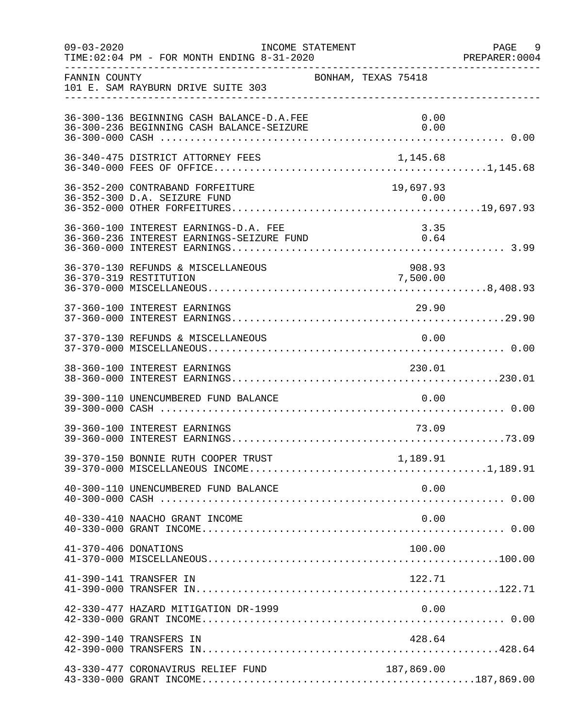| $09 - 03 - 2020$     | TIME: 02:04 PM - FOR MONTH ENDING 8-31-2020                                            | INCOME STATEMENT    |                    | PAGE 9<br>PREPARER: 0004 |
|----------------------|----------------------------------------------------------------------------------------|---------------------|--------------------|--------------------------|
| FANNIN COUNTY        | 101 E. SAM RAYBURN DRIVE SUITE 303                                                     | BONHAM, TEXAS 75418 |                    |                          |
|                      | 36-300-136 BEGINNING CASH BALANCE-D.A.FEE<br>36-300-236 BEGINNING CASH BALANCE-SEIZURE |                     | 0.00<br>0.00       |                          |
|                      |                                                                                        |                     |                    |                          |
|                      | 36-352-200 CONTRABAND FORFEITURE                                                       |                     | 19,697.93          |                          |
|                      | 36-360-100 INTEREST EARNINGS-D.A. FEE                                                  |                     | 3.35               |                          |
|                      | 36-370-130 REFUNDS & MISCELLANEOUS<br>36-370-319 RESTITUTION                           |                     | 908.93<br>7,500.00 |                          |
|                      | 37-360-100 INTEREST EARNINGS                                                           |                     | 29.90              |                          |
|                      | 37-370-130 REFUNDS & MISCELLANEOUS                                                     |                     | 0.00               |                          |
|                      |                                                                                        |                     |                    |                          |
|                      | 39-300-110 UNENCUMBERED FUND BALANCE                                                   |                     | 0.00               |                          |
|                      | 39-360-100 INTEREST EARNINGS                                                           |                     | 73.09              |                          |
|                      |                                                                                        |                     |                    |                          |
|                      | 40-300-110 UNENCUMBERED FUND BALANCE                                                   |                     | 0.00               |                          |
|                      | 40-330-410 NAACHO GRANT INCOME                                                         |                     | 0.00               |                          |
| 41-370-406 DONATIONS |                                                                                        |                     | 100.00             |                          |
|                      | 41-390-141 TRANSFER IN                                                                 |                     | 122.71             |                          |
|                      | 42-330-477 HAZARD MITIGATION DR-1999                                                   |                     | 0.00               |                          |
|                      | 42-390-140 TRANSFERS IN                                                                |                     | 428.64             |                          |
|                      | 43-330-477 CORONAVIRUS RELIEF FUND                                                     |                     | 187,869.00         |                          |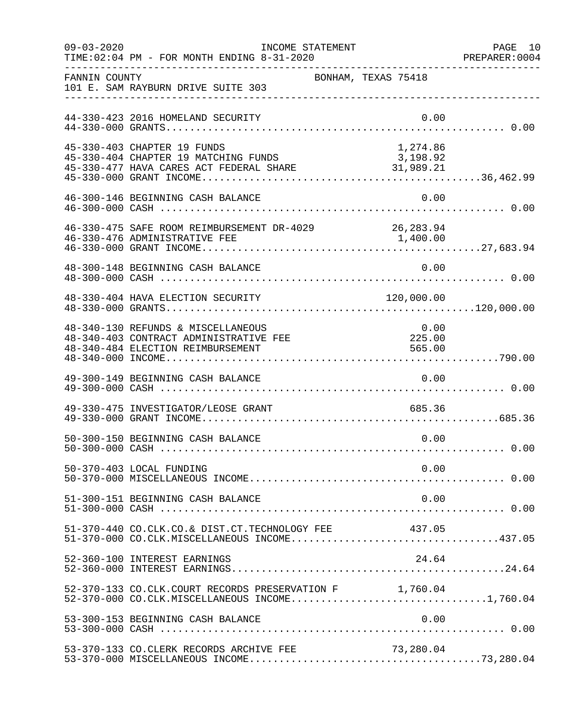| $09 - 03 - 2020$ | INCOME STATEMENT<br>TIME: 02:04 PM - FOR MONTH ENDING 8-31-2020                                                   |                          | PAGE 10<br>PREPARER: 0004 |
|------------------|-------------------------------------------------------------------------------------------------------------------|--------------------------|---------------------------|
| FANNIN COUNTY    | 101 E. SAM RAYBURN DRIVE SUITE 303                                                                                | BONHAM, TEXAS 75418      |                           |
|                  | 44-330-423 2016 HOMELAND SECURITY                                                                                 | 0.00                     |                           |
|                  | 45-330-403 CHAPTER 19 FUNDS                                                                                       | 1,274.86                 |                           |
|                  | 46-300-146 BEGINNING CASH BALANCE                                                                                 | 0.00                     |                           |
|                  | 46-330-475 SAFE ROOM REIMBURSEMENT DR-4029 26,283.94<br>46-330-476 ADMINISTRATIVE FEE                             | 1,400.00                 |                           |
|                  | 48-300-148 BEGINNING CASH BALANCE                                                                                 | 0.00                     |                           |
|                  |                                                                                                                   |                          |                           |
|                  | 48-340-130 REFUNDS & MISCELLANEOUS<br>48-340-403 CONTRACT ADMINISTRATIVE FEE<br>48-340-484 ELECTION REIMBURSEMENT | 0.00<br>225.00<br>565.00 |                           |
|                  | 49-300-149 BEGINNING CASH BALANCE                                                                                 | 0.00                     |                           |
|                  | 49-330-475 INVESTIGATOR/LEOSE GRANT                                                                               | 685.36                   |                           |
|                  | 50-300-150 BEGINNING CASH BALANCE                                                                                 | 0.00                     |                           |
|                  | 50-370-403 LOCAL FUNDING                                                                                          | 0.00                     |                           |
|                  | 51-300-151 BEGINNING CASH BALANCE                                                                                 | 0.00                     |                           |
|                  | 51-370-440 CO.CLK.CO.& DIST.CT.TECHNOLOGY FEE                                                                     | 437.05                   |                           |
|                  | 52-360-100 INTEREST EARNINGS                                                                                      | 24.64                    |                           |
|                  | 52-370-133 CO.CLK.COURT RECORDS PRESERVATION F 1,760.04<br>52-370-000 CO.CLK.MISCELLANEOUS INCOME1,760.04         |                          |                           |
|                  | 53-300-153 BEGINNING CASH BALANCE                                                                                 | 0.00                     |                           |
|                  | 53-370-133 CO. CLERK RECORDS ARCHIVE FEE                                                                          | 73,280.04                |                           |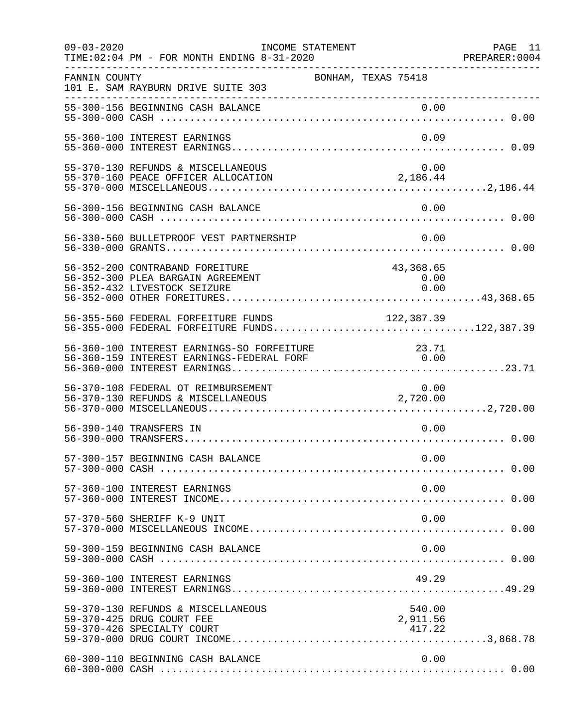| $09 - 03 - 2020$ | INCOME STATEMENT<br>TIME: 02:04 PM - FOR MONTH ENDING 8-31-2020                                      |                                              | PAGE 11<br>PREPARER:0004 |
|------------------|------------------------------------------------------------------------------------------------------|----------------------------------------------|--------------------------|
| FANNIN COUNTY    | 101 E. SAM RAYBURN DRIVE SUITE 303<br>__________________________________                             | BONHAM, TEXAS 75418                          |                          |
|                  | 55-300-156 BEGINNING CASH BALANCE                                                                    | 0.00                                         |                          |
|                  | 55-360-100 INTEREST EARNINGS                                                                         | 0.09                                         |                          |
|                  | 55-370-130 REFUNDS & MISCELLANEOUS<br>$55-370-160$ PEACE OFFICER ALLOCATION 2,186.44                 | 0.00                                         |                          |
|                  | 56-300-156 BEGINNING CASH BALANCE                                                                    | 0.00                                         |                          |
|                  | 56-330-560 BULLETPROOF VEST PARTNERSHIP                                                              | 0.00                                         |                          |
|                  | 56-352-200 CONTRABAND FOREITURE<br>56-352-300 PLEA BARGAIN AGREEMENT<br>56-352-432 LIVESTOCK SEIZURE | 43,368.65<br>0.00<br>0.00                    |                          |
|                  | 56-355-560 FEDERAL FORFEITURE FUNDS<br>56-355-000 FEDERAL FORFEITURE FUNDS122,387.39                 | 122, 387.39                                  |                          |
|                  | 56-360-100 INTEREST EARNINGS-SO FORFEITURE<br>56-360-159 INTEREST EARNINGS-FEDERAL FORF              | $\begin{array}{c} 23.71 \\ 0.00 \end{array}$ |                          |
|                  | 56-370-108 FEDERAL OT REIMBURSEMENT<br>56-370-130 REFUNDS & MISCELLANEOUS                            | 0.00<br>2,720.00                             |                          |
|                  | 56-390-140 TRANSFERS IN                                                                              | 0.00                                         |                          |
|                  | 57-300-157 BEGINNING CASH BALANCE                                                                    | 0.00                                         |                          |
|                  | 57-360-100 INTEREST EARNINGS                                                                         | 0.00                                         |                          |
|                  | 57-370-560 SHERIFF K-9 UNIT                                                                          | 0.00                                         |                          |
|                  | 59-300-159 BEGINNING CASH BALANCE                                                                    | 0.00                                         |                          |
|                  | 59-360-100 INTEREST EARNINGS                                                                         | 49.29                                        |                          |
|                  | 59-370-130 REFUNDS & MISCELLANEOUS<br>59-370-425 DRUG COURT FEE<br>59-370-426 SPECIALTY COURT        | 540.00<br>2,911.56<br>417.22                 |                          |
|                  | 60-300-110 BEGINNING CASH BALANCE                                                                    | 0.00                                         |                          |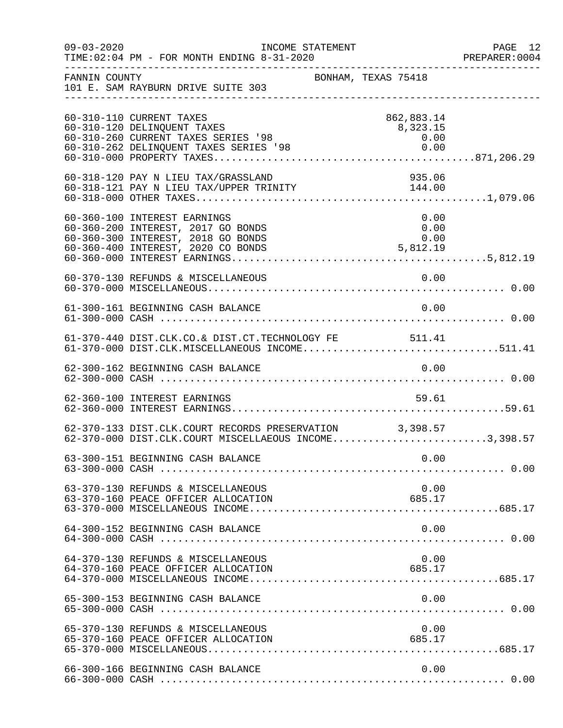| $09 - 03 - 2020$ | INCOME STATEMENT<br>TIME:02:04 PM - FOR MONTH ENDING 8-31-2020<br>PREPARER:0004 PM - FOR MONTH ENDING 8-31-2020<br>TIME: 02:04 PM - FOR MONTH ENDING 8-31-2020 |                     |                                        | PAGE 12<br>PREPARER: 0004 |
|------------------|----------------------------------------------------------------------------------------------------------------------------------------------------------------|---------------------|----------------------------------------|---------------------------|
| FANNIN COUNTY    | 101 E. SAM RAYBURN DRIVE SUITE 303                                                                                                                             | BONHAM, TEXAS 75418 |                                        |                           |
|                  | 60-310-110 CURRENT TAXES<br>60-310-120 DELINQUENT TAXES<br>60-310-260 CURRENT TAXES SERIES '98<br>60-310-262 DELINQUENT TAXES SERIES '98                       |                     | 862,883.14<br>8,323.15<br>0.00<br>0.00 |                           |
|                  | 60-318-120 PAY N LIEU TAX/GRASSLAND                                                                                                                            |                     | 935.06                                 |                           |
|                  | 60-360-100 INTEREST EARNINGS<br>60-360-200 INTEREST, 2017 GO BONDS<br>60-360-300 INTEREST, 2018 GO BONDS                                                       |                     | 0.00<br>0.00<br>0.00                   |                           |
|                  | 60-370-130 REFUNDS & MISCELLANEOUS                                                                                                                             |                     | 0.00                                   |                           |
|                  | 61-300-161 BEGINNING CASH BALANCE                                                                                                                              |                     | 0.00                                   |                           |
|                  | 61-370-440 DIST.CLK.CO.& DIST.CT.TECHNOLOGY FE 511.41<br>61-370-000 DIST.CLK.MISCELLANEOUS INCOME511.41                                                        |                     |                                        |                           |
|                  | 62-300-162 BEGINNING CASH BALANCE                                                                                                                              |                     | 0.00                                   |                           |
|                  | 62-360-100 INTEREST EARNINGS                                                                                                                                   |                     | 59.61                                  |                           |
|                  | 62-370-133 DIST.CLK.COURT RECORDS PRESERVATION 3,398.57<br>62-370-000 DIST.CLK.COURT MISCELLAEOUS INCOME3,398.57                                               |                     |                                        |                           |
|                  | 63-300-151 BEGINNING CASH BALANCE                                                                                                                              |                     | 0.00                                   |                           |
|                  | 63-370-130 REFUNDS & MISCELLANEOUS<br>63-370-160 PEACE OFFICER ALLOCATION                                                                                      |                     | 0.00<br>685.17                         |                           |
|                  | 64-300-152 BEGINNING CASH BALANCE                                                                                                                              |                     | 0.00                                   |                           |
|                  | 64-370-130 REFUNDS & MISCELLANEOUS<br>64-370-160 PEACE OFFICER ALLOCATION                                                                                      |                     | 0.00<br>685.17                         |                           |
|                  | 65-300-153 BEGINNING CASH BALANCE                                                                                                                              |                     | 0.00                                   |                           |
|                  | 65-370-130 REFUNDS & MISCELLANEOUS<br>65-370-130 REFUNDS & MISCELLANEOUS<br>65-370-160 PEACE OFFICER ALLOCATION                                                |                     | 0.00<br>685.17                         |                           |
|                  | 66-300-166 BEGINNING CASH BALANCE                                                                                                                              |                     | 0.00                                   |                           |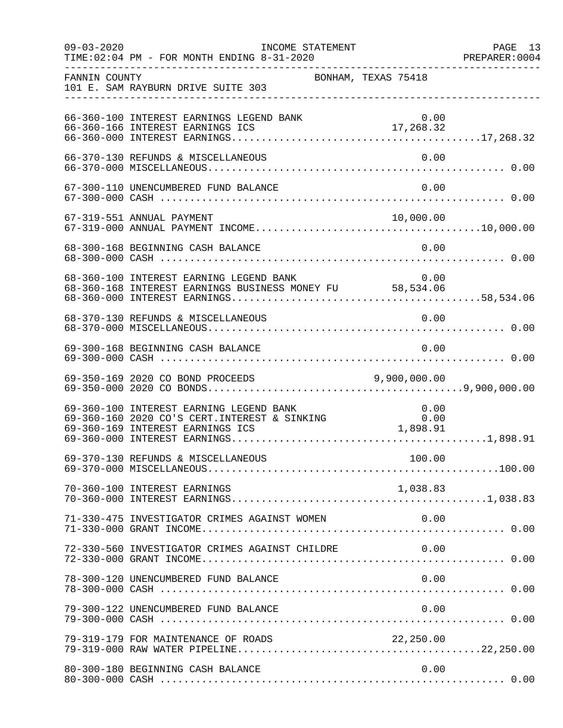| FANNIN COUNTY | BONHAM, TEXAS 75418<br>101 E. SAM RAYBURN DRIVE SUITE 303                                                                                      |           |  |
|---------------|------------------------------------------------------------------------------------------------------------------------------------------------|-----------|--|
|               | 66-360-100 INTEREST EARNINGS LEGEND BANK                                                                                                       | 0.00      |  |
|               | 66-370-130 REFUNDS & MISCELLANEOUS                                                                                                             | 0.00      |  |
|               | 67-300-110 UNENCUMBERED FUND BALANCE                                                                                                           | 0.00      |  |
|               |                                                                                                                                                |           |  |
|               | 68-300-168 BEGINNING CASH BALANCE                                                                                                              | 0.00      |  |
|               | 68-360-100 INTEREST EARNING LEGEND BANK<br>68-360-168 INTEREST EARNINGS BUSINESS MONEY FU 58,534.06                                            | 0.00      |  |
|               | 68-370-130 REFUNDS & MISCELLANEOUS                                                                                                             | 0.00      |  |
|               | 69-300-168 BEGINNING CASH BALANCE                                                                                                              | 0.00      |  |
|               | 69-350-169 2020 CO BOND PROCEEDS 9,900,000.00                                                                                                  |           |  |
|               | 69-360-100 INTEREST EARNING LEGEND BANK 0.00<br>69-360-160 2020 CO'S CERT.INTEREST & SINKING 0.00<br>69-360-169 INTEREST EARNINGS ICS 1,898.91 |           |  |
|               |                                                                                                                                                |           |  |
|               | 70-360-100 INTEREST EARNINGS                                                                                                                   |           |  |
|               | 71-330-475 INVESTIGATOR CRIMES AGAINST WOMEN                                                                                                   | 0.00      |  |
|               | 72-330-560 INVESTIGATOR CRIMES AGAINST CHILDRE                                                                                                 | 0.00      |  |
|               | 78-300-120 UNENCUMBERED FUND BALANCE                                                                                                           | 0.00      |  |
|               | 79-300-122 UNENCUMBERED FUND BALANCE                                                                                                           | 0.00      |  |
|               | 79-319-179 FOR MAINTENANCE OF ROADS                                                                                                            | 22,250.00 |  |
|               | 80-300-180 BEGINNING CASH BALANCE                                                                                                              | 0.00      |  |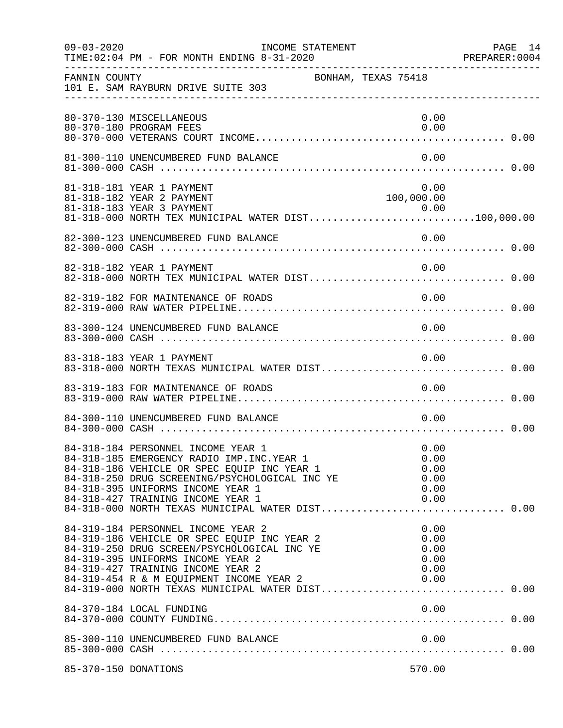| $09 - 03 - 2020$     | TIME: 02:04 PM - FOR MONTH ENDING 8-31-2020                                                                                                                                                                                                                  | INCOME STATEMENT                                                                                                                          | PAGE 14<br>PREPARER: 0004 |
|----------------------|--------------------------------------------------------------------------------------------------------------------------------------------------------------------------------------------------------------------------------------------------------------|-------------------------------------------------------------------------------------------------------------------------------------------|---------------------------|
| FANNIN COUNTY        | 101 E. SAM RAYBURN DRIVE SUITE 303                                                                                                                                                                                                                           | BONHAM, TEXAS 75418                                                                                                                       |                           |
|                      | 80-370-130 MISCELLANEOUS<br>80-370-180 PROGRAM FEES                                                                                                                                                                                                          | 0.00<br>0.00                                                                                                                              |                           |
|                      | 81-300-110 UNENCUMBERED FUND BALANCE                                                                                                                                                                                                                         | 0.00                                                                                                                                      |                           |
|                      | 81-318-181 YEAR 1 PAYMENT<br>81-318-182 YEAR 2 PAYMENT                                                                                                                                                                                                       | 0.00<br>100,000.00<br>81-318-183 YEAR 3 PAYMENT<br>81-318-000 NORTH TEX MUNICIPAL WATER DIST100,000.00                                    |                           |
|                      | 82-300-123 UNENCUMBERED FUND BALANCE                                                                                                                                                                                                                         | 0.00                                                                                                                                      |                           |
|                      | 82-318-182 YEAR 1 PAYMENT                                                                                                                                                                                                                                    | 0.00                                                                                                                                      |                           |
|                      | 82-319-182 FOR MAINTENANCE OF ROADS                                                                                                                                                                                                                          | 0.00                                                                                                                                      |                           |
|                      | 83-300-124 UNENCUMBERED FUND BALANCE                                                                                                                                                                                                                         | 0.00                                                                                                                                      |                           |
|                      | 83-318-183 YEAR 1 PAYMENT                                                                                                                                                                                                                                    | 0.00                                                                                                                                      |                           |
|                      | 83-319-183 FOR MAINTENANCE OF ROADS                                                                                                                                                                                                                          | 0.00                                                                                                                                      |                           |
|                      | 84-300-110 UNENCUMBERED FUND BALANCE                                                                                                                                                                                                                         | 0.00                                                                                                                                      |                           |
|                      | 84-318-184 PERSONNEL INCOME YEAR 1<br>84-318-185 EMERGENCY RADIO IMP. INC. YEAR 1<br>84-318-186 VEHICLE OR SPEC EQUIP INC YEAR 1<br>84-318-250 DRUG SCREENING/PSYCHOLOGICAL INC YE<br>84-318-395 UNIFORMS INCOME YEAR 1<br>84-318-427 TRAINING INCOME YEAR 1 | 0.00<br>0.00<br>0.00<br>0.00<br>0.00<br>0.00<br>84-318-427 TRAINING INCOME YEAR I<br>84-318-000 NORTH TEXAS MUNICIPAL WATER DIST 0.00     |                           |
|                      | 84-319-184 PERSONNEL INCOME YEAR 2<br>84-319-186 VEHICLE OR SPEC EQUIP INC YEAR 2<br>84-319-250 DRUG SCREEN/PSYCHOLOGICAL INC YE<br>84-319-395 UNIFORMS INCOME YEAR 2<br>84-319-427 TRAINING INCOME YEAR 2                                                   | 0.00<br>0.00<br>0.00<br>0.00<br>0.00<br>84-319-454 R & M EQUIPMENT INCOME YEAR 2 0.00<br>84-319-000 NORTH TEXAS MUNICIPAL WATER DIST 0.00 |                           |
|                      | 84-370-184 LOCAL FUNDING                                                                                                                                                                                                                                     | 0.00                                                                                                                                      |                           |
|                      |                                                                                                                                                                                                                                                              |                                                                                                                                           |                           |
| 85-370-150 DONATIONS |                                                                                                                                                                                                                                                              | 570.00                                                                                                                                    |                           |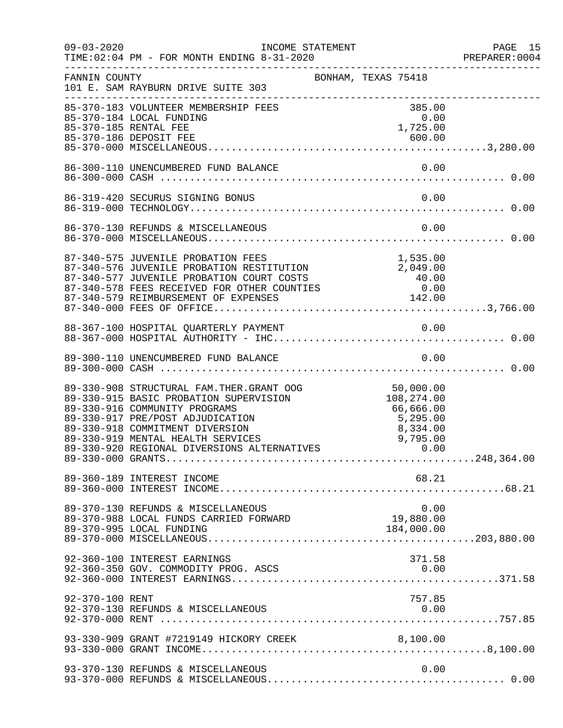| $09 - 03 - 2020$ | INCOME STATEMENT<br>TIME: 02:04 PM - FOR MONTH ENDING 8-31-2020                                                                                                                                                                                                                                                                                               |                                        |                            |      | PAGE 15<br>PREPARER: 0004 |
|------------------|---------------------------------------------------------------------------------------------------------------------------------------------------------------------------------------------------------------------------------------------------------------------------------------------------------------------------------------------------------------|----------------------------------------|----------------------------|------|---------------------------|
|                  | BONHAM, TEXAS 75418<br>101 E. SAM RAYBURN DRIVE SUITE 303<br>-----------                                                                                                                                                                                                                                                                                      |                                        |                            |      |                           |
|                  | 85-370-183 VOLUNTEER MEMBERSHIP FEES<br>85-370-184 LOCAL FUNDING<br>85-370-185 RENTAL FEE<br>85-370-186 DEPOSIT FEE                                                                                                                                                                                                                                           |                                        | 385.00<br>0.00<br>1,725.00 |      |                           |
|                  | 86-300-110 UNENCUMBERED FUND BALANCE                                                                                                                                                                                                                                                                                                                          |                                        |                            | 0.00 |                           |
|                  | 86-319-420 SECURUS SIGNING BONUS                                                                                                                                                                                                                                                                                                                              |                                        |                            | 0.00 |                           |
|                  |                                                                                                                                                                                                                                                                                                                                                               |                                        |                            |      |                           |
|                  | 87-340-575 JUVENILE PROBATION FEES<br>87-340-576 JUVENILE PROBATION RESTITUTION 2,049.00<br>87-340-577 JUVENILE PROBATION COURT COSTS 40.00<br>87-340-579 REIMBURSEMENT OF EXPENSES 142.00<br>87-340-579 REIMBURSEMENT OF EXPENSES 142                                                                                                                        |                                        |                            |      |                           |
|                  |                                                                                                                                                                                                                                                                                                                                                               |                                        |                            |      |                           |
|                  |                                                                                                                                                                                                                                                                                                                                                               |                                        |                            |      |                           |
|                  | 89-330-908 STRUCTURAL FAM.THER.GRANT OOG 50,000.00<br>89-330-915 BASIC PROBATION SUPERVISION 108,274.00<br>89-330-916 COMMUNITY PROGRAMS 66,666.00<br>89-330-917 PRE/POST ADJUDICATION 5,295.00<br>89-330-917 PRE/POST ADJUDICATION 5,<br>89-330-918 COMMITMENT DIVERSION<br>89-330-919 MENTAL HEALTH SERVICES<br>89-330-920 REGIONAL DIVERSIONS ALTERNATIVES | 8 , 334 . 00<br>9 , 795 . 00<br>0 . 00 | 8,334.00                   |      |                           |
|                  | 89-360-189 INTEREST INCOME                                                                                                                                                                                                                                                                                                                                    |                                        | 68.21                      |      |                           |
|                  | 89-370-130 REFUNDS & MISCELLANEOUS<br>89-370-988 LOCAL FUNDS CARRIED FORWARD<br>89-370-995 LOCAL FUNDING                                                                                                                                                                                                                                                      | 19,880.00<br>184,000.00                |                            | 0.00 |                           |
|                  | 92-360-100 INTEREST EARNINGS<br>92-360-350 GOV. COMMODITY PROG. ASCS                                                                                                                                                                                                                                                                                          |                                        | 371.58<br>0.00             |      |                           |
| 92-370-100 RENT  | 92-370-130 REFUNDS & MISCELLANEOUS                                                                                                                                                                                                                                                                                                                            |                                        | 757.85                     | 0.00 |                           |
|                  | 93-330-909 GRANT #7219149 HICKORY CREEK 8,100.00                                                                                                                                                                                                                                                                                                              |                                        |                            |      |                           |
|                  | 93-370-130 REFUNDS & MISCELLANEOUS                                                                                                                                                                                                                                                                                                                            |                                        |                            | 0.00 |                           |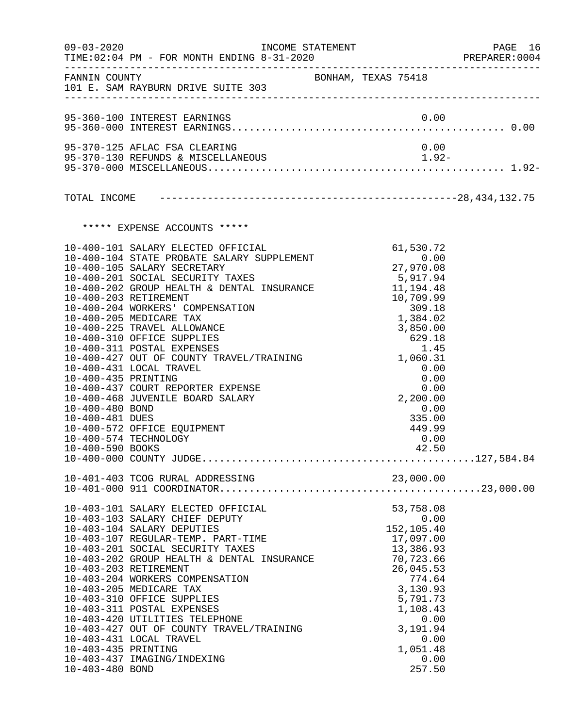| $09 - 03 - 2020$                                                              | INCOME STATEMENT                                                                                                                                                                                                                                                                                                                                                                                                                                                                                                                                                                                                     |                                                                                                                                                                                             | PAGE 16<br>PREPARER: 0004 |
|-------------------------------------------------------------------------------|----------------------------------------------------------------------------------------------------------------------------------------------------------------------------------------------------------------------------------------------------------------------------------------------------------------------------------------------------------------------------------------------------------------------------------------------------------------------------------------------------------------------------------------------------------------------------------------------------------------------|---------------------------------------------------------------------------------------------------------------------------------------------------------------------------------------------|---------------------------|
|                                                                               | FANNIN COUNTY<br>101 E. SAM RAYBURN DRIVE SUITE 303                                                                                                                                                                                                                                                                                                                                                                                                                                                                                                                                                                  | BONHAM, TEXAS 75418                                                                                                                                                                         |                           |
|                                                                               | 95-360-100 INTEREST EARNINGS                                                                                                                                                                                                                                                                                                                                                                                                                                                                                                                                                                                         | 0.00                                                                                                                                                                                        |                           |
|                                                                               | 95-370-125 AFLAC FSA CLEARING                                                                                                                                                                                                                                                                                                                                                                                                                                                                                                                                                                                        | 0.00                                                                                                                                                                                        |                           |
|                                                                               |                                                                                                                                                                                                                                                                                                                                                                                                                                                                                                                                                                                                                      |                                                                                                                                                                                             |                           |
|                                                                               |                                                                                                                                                                                                                                                                                                                                                                                                                                                                                                                                                                                                                      |                                                                                                                                                                                             |                           |
|                                                                               | ***** EXPENSE ACCOUNTS *****                                                                                                                                                                                                                                                                                                                                                                                                                                                                                                                                                                                         |                                                                                                                                                                                             |                           |
| 10-400-435 PRINTING<br>10-400-480 BOND<br>10-400-481 DUES<br>10-400-590 BOOKS | 10-400-101 SALARY ELECTED OFFICIAL 61,530.72<br>10-400-104 STATE PROBATE SALARY SUPPLEMENT 0.00<br>27,970.08<br>10-400-201 SOCIAL SECURITY TAXES<br>10-400-202 GROUP HEALTH & DENTAL INSURANCE 11,194.48<br>10-400-203 RETIREMENT<br>10-400-204 WORKERS' COMPENSATION<br>10-400-205 MEDICARE TAX<br>10-400-225 TRAVEL ALLOWANCE<br>10-400-310 OFFICE SUPPLIES<br>10-400-311 POSTAL EXPENSES<br>1.45<br>10-400-427 OUT OF COUNTY TRAVEL/TRAINING 1,060.31<br>10-400-431 LOCAL TRAVEL<br>10-400-437 COURT REPORTER EXPENSE<br>10-400-468 JUVENILE BOARD SALARY<br>10-400-572 OFFICE EQUIPMENT<br>10-400-574 TECHNOLOGY | 5,917.94<br>XANCE 10,709.99<br>309.18<br>1,384.02<br>3,850.00<br>629.18<br>1.45<br>0.00<br>0.00<br>0.00<br>2, 200.00<br>0.00<br>335.00<br>449.99<br>0.00<br>42.50                           |                           |
|                                                                               |                                                                                                                                                                                                                                                                                                                                                                                                                                                                                                                                                                                                                      |                                                                                                                                                                                             |                           |
| 10-403-435 PRINTING<br>10-403-480 BOND                                        | 10-403-101 SALARY ELECTED OFFICIAL<br>10-403-103 SALARY CHIEF DEPUTY<br>10-403-104 SALARY DEPUTIES<br>10-403-107 REGULAR-TEMP. PART-TIME<br>10-403-201 SOCIAL SECURITY TAXES<br>10-403-202 GROUP HEALTH & DENTAL INSURANCE<br>10-403-203 RETIREMENT<br>10-403-204 WORKERS COMPENSATION<br>10-403-205 MEDICARE TAX<br>10-403-310 OFFICE SUPPLIES<br>10-403-311 POSTAL EXPENSES<br>10-403-420 UTILITIES TELEPHONE<br>10-403-427 OUT OF COUNTY TRAVEL/TRAINING<br>10-403-431 LOCAL TRAVEL<br>10-403-437 IMAGING/INDEXING                                                                                                | 53,758.08<br>0.00<br>152,105.40<br>17,097.00<br>13,386.93<br>70,723.66<br>26,045.53<br>774.64<br>3,130.93<br>5,791.73<br>1,108.43<br>0.00<br>3,191.94<br>0.00<br>1,051.48<br>0.00<br>257.50 |                           |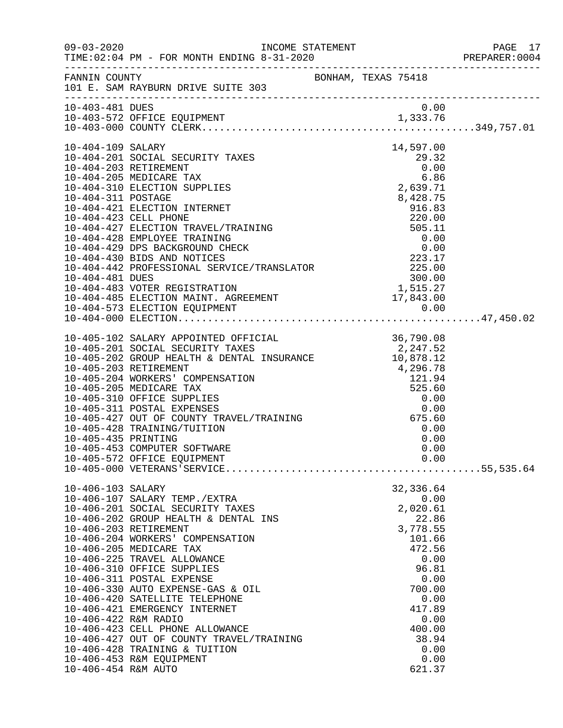|                                                                  | INCOME STATEMENT                                                                                                                                                                                                                                                                                                                                                                                                                                                                                                                                |                                                                                                                                                                                  | PAGE 17<br>PREPARER: 0004 |
|------------------------------------------------------------------|-------------------------------------------------------------------------------------------------------------------------------------------------------------------------------------------------------------------------------------------------------------------------------------------------------------------------------------------------------------------------------------------------------------------------------------------------------------------------------------------------------------------------------------------------|----------------------------------------------------------------------------------------------------------------------------------------------------------------------------------|---------------------------|
|                                                                  | FANNIN COUNTY BONHAM, TEXAS 75418<br>101 E. SAM RAYBURN DRIVE SUITE 303                                                                                                                                                                                                                                                                                                                                                                                                                                                                         |                                                                                                                                                                                  |                           |
| 10-403-481 DUES                                                  |                                                                                                                                                                                                                                                                                                                                                                                                                                                                                                                                                 | 0.00                                                                                                                                                                             |                           |
| 10-404-109 SALARY<br>10-404-311 POSTAGE                          | 10-404-201 SOCIAL SECURITY TAXES<br>10-404-203 RETIREMENT<br>10-404-205 MEDICARE TAX<br>10-404-310 ELECTION SUPPLIES<br>10-404-421 ELECTION INTERNET<br>10-404-421 ELECTION INTERNET<br>10-404-423 CELL PHONE<br>10-404-427 ELECTION TRAVEL/TRAINING<br>10-404-428 EMPLOYEE TRAINING<br>10-404-429 DPS BACKGROUND CHECK<br>10-404-430 BIDS AND NOTICES<br>10-404-442                                                                                                                                                                            | 14,597.00<br>29.32<br>0.00<br>6.86<br>2,639.71<br>8,428.75                                                                                                                       |                           |
| 10-405-435 PRINTING                                              | 10-405-102 SALARY APPOINTED OFFICIAL 36,790.08<br>10-405-201 SOCIAL SECURITY TAXES 2,247.52<br>10-405-202 GROUP HEALTH & DENTAL INSURANCE 10,878.12<br>10-405-203 RETIREMENT<br>10-405-204 WORKERS' COMPENSATION<br>10-405-205 MEDICARE TAX<br>10-405-310 OFFICE SUPPLIES<br>10-405-311 POSTAL EXPENSES<br>10-405-427 OUT OF COUNTY TRAVEL/TRAINING<br>10-405-428 TRAINING/TUITION<br>10-405-453 COMPUTER SOFTWARE                                                                                                                              | $4,296.78$<br>121.94<br>525.60<br>0.00<br>$0.00$<br>675.60<br>0.00<br>0.00<br>0.00                                                                                               |                           |
| 10-406-103 SALARY<br>10-406-422 R&M RADIO<br>10-406-454 R&M AUTO | 10-406-107 SALARY TEMP./EXTRA<br>10-406-201 SOCIAL SECURITY TAXES<br>10-406-202 GROUP HEALTH & DENTAL INS<br>10-406-203 RETIREMENT<br>10-406-204 WORKERS' COMPENSATION<br>10-406-205 MEDICARE TAX<br>10-406-225 TRAVEL ALLOWANCE<br>10-406-310 OFFICE SUPPLIES<br>10-406-311 POSTAL EXPENSE<br>10-406-330 AUTO EXPENSE-GAS & OIL<br>10-406-420 SATELLITE TELEPHONE<br>10-406-421 EMERGENCY INTERNET<br>10-406-423 CELL PHONE ALLOWANCE<br>10-406-427 OUT OF COUNTY TRAVEL/TRAINING<br>10-406-428 TRAINING & TUITION<br>10-406-453 R&M EQUIPMENT | 32,336.64<br>0.00<br>2,020.61<br>22.86<br>3,778.55<br>101.66<br>472.56<br>0.00<br>96.81<br>0.00<br>700.00<br>0.00<br>417.89<br>0.00<br>400.00<br>38.94<br>0.00<br>0.00<br>621.37 |                           |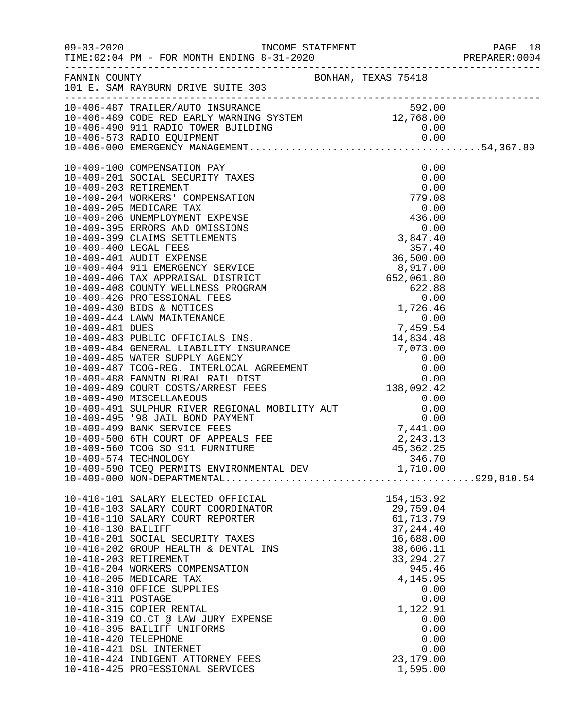|                                                                  |                                                                                                                                                                                                                                                                                                                                                                                                                                                                                                                      |                                                                                                                                                                                                         | PAGE 18 |
|------------------------------------------------------------------|----------------------------------------------------------------------------------------------------------------------------------------------------------------------------------------------------------------------------------------------------------------------------------------------------------------------------------------------------------------------------------------------------------------------------------------------------------------------------------------------------------------------|---------------------------------------------------------------------------------------------------------------------------------------------------------------------------------------------------------|---------|
|                                                                  | FANNIN COUNTY<br>101 E. SAM RAYBURN DRIVE SUITE 303                                                                                                                                                                                                                                                                                                                                                                                                                                                                  |                                                                                                                                                                                                         |         |
|                                                                  | 10-406-487 TRAILER/AUTO INSURANCE<br>10-406-489 CODE RED EARLY WARNING SYSTEM<br>10-406-490 911 RADIO TOWER BUILDING<br>10-406-573 RADIO EQUIPMENT<br>10-406-573 RADIO EQUIPMENT<br>10-406-000 EMERGENCY MANAGEMENT                                                                                                                                                                                                                                                                                                  |                                                                                                                                                                                                         |         |
|                                                                  | 10-409-574 TECHNOLOGY<br>10-409-590 TCEQ PERMITS ENVIRONMENTAL DEV 1,710.00                                                                                                                                                                                                                                                                                                                                                                                                                                          | 346.70                                                                                                                                                                                                  |         |
| 10-410-130 BAILIFF<br>10-410-311 POSTAGE<br>10-410-420 TELEPHONE | 10-410-101 SALARY ELECTED OFFICIAL<br>10-410-103 SALARY COURT COORDINATOR<br>10-410-110 SALARY COURT REPORTER<br>10-410-201 SOCIAL SECURITY TAXES<br>10-410-202 GROUP HEALTH & DENTAL INS<br>10-410-203 RETIREMENT<br>10-410-204 WORKERS COMPENSATION<br>10-410-205 MEDICARE TAX<br>10-410-310 OFFICE SUPPLIES<br>10-410-315 COPIER RENTAL<br>10-410-319 CO.CT @ LAW JURY EXPENSE<br>10-410-395 BAILIFF UNIFORMS<br>10-410-421 DSL INTERNET<br>10-410-424 INDIGENT ATTORNEY FEES<br>10-410-425 PROFESSIONAL SERVICES | 154, 153.92<br>29,759.04<br>61,713.79<br>37, 244.40<br>16,688.00<br>38,606.11<br>33, 294. 27<br>945.46<br>4,145.95<br>0.00<br>0.00<br>1,122.91<br>0.00<br>0.00<br>0.00<br>0.00<br>23,179.00<br>1,595.00 |         |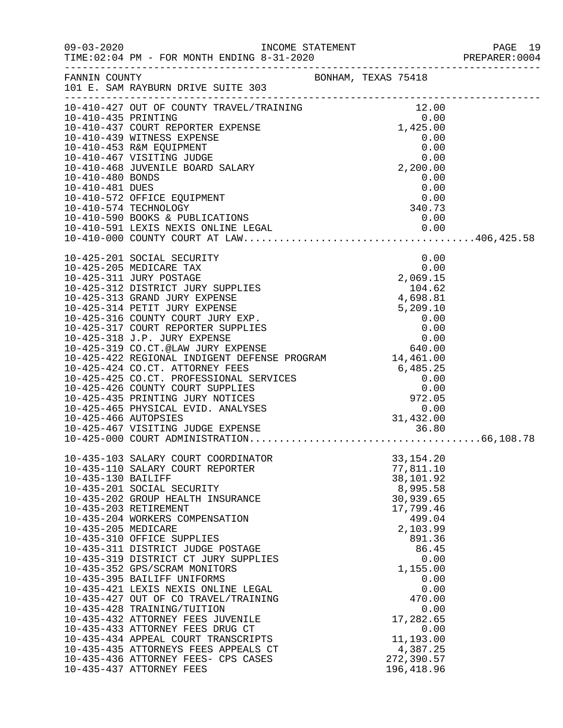|                                              | INCOME STATEMENT                                                                                                                                                                                |                                                           |                                                                    | PAGE 19<br>PREPARER:0004 |
|----------------------------------------------|-------------------------------------------------------------------------------------------------------------------------------------------------------------------------------------------------|-----------------------------------------------------------|--------------------------------------------------------------------|--------------------------|
| FANNIN COUNTY                                | 101 E. SAM RAYBURN DRIVE SUITE 303                                                                                                                                                              | BONHAM, TEXAS 75418                                       |                                                                    |                          |
| 10-410-435 PRINTING                          | 10-410-427 OUT OF COUNTY TRAVEL/TRAINING<br>10-410-437 COURT REPORTER EXPENSE                                                                                                                   |                                                           | 12.00<br>0.00<br>$0.00$<br>$1,425.00$                              |                          |
|                                              | 10-410-439 WITNESS EXPENSE<br>10-410-453 R&M EQUIPMENT<br>10-410-467 VISITING JUDGE                                                                                                             |                                                           | 0.00                                                               |                          |
| 10-410-480 BONDS                             | 10-410-468 JUVENILE BOARD SALARY                                                                                                                                                                |                                                           | $\begin{smallmatrix}0.00\\2,200.00\\0.00\end{smallmatrix}$<br>0.00 |                          |
| 10-410-481 DUES                              | 10-410-572 OFFICE EQUIPMENT<br>10-410-574 TECHNOLOGY                                                                                                                                            |                                                           | 0.00<br>$0.00$<br>$0.00$<br>$340.73$<br>340.73                     |                          |
|                                              |                                                                                                                                                                                                 |                                                           |                                                                    |                          |
|                                              | 10-425-201 SOCIAL SECURITY                                                                                                                                                                      |                                                           | 0.00                                                               |                          |
|                                              | 10-425-205 MEDICARE TAX<br>10-425-311 JURY POSTAGE<br>10-425-312 DISTRICT JURY SUPPLIES<br>10-425-313 GRAND JURY EXPENSE                                                                        |                                                           | $2,069.15$<br>$104.62$<br>$4,698.81$                               |                          |
|                                              | 10-425-314 PETIT JURY EXPENSE<br>10-425-316 COUNTY COURT JURY EXP.<br>10-425-317 COURT REPORTER SUPPLIES                                                                                        |                                                           | $5,209.10$<br>0.00<br>0.00<br>0.00<br>640.00                       |                          |
|                                              | 10-425-318 J.P. JURY EXPENSE<br>10-425-318 J.P. JURY EXPENSE<br>10-425-319 CO.CT.@LAW JURY EXPENSE<br>10-425-422 REGIONAL INDIGENT DEFENSE PROGRAM 14,461.00<br>10-425-424 CO.CT. ATTORNEY FEES |                                                           |                                                                    |                          |
|                                              | 10-425-425 CO.CT. PROFESSIONAL SERVICES<br>10-425-426 COUNTY COURT SUPPLIES<br>10-425-435 PRINTING JURY NOTICES                                                                                 | 3<br>3 3 3 485.25<br>5 3 3 485.25<br>5 3 10.00<br>5 10.00 |                                                                    |                          |
|                                              | 10-425-465 PHYSICAL EVID. ANALYSES                                                                                                                                                              |                                                           | 31,432.00                                                          |                          |
|                                              |                                                                                                                                                                                                 |                                                           |                                                                    |                          |
| 10-435-130 BAILIFF                           | 10-435-103 SALARY COURT COORDINATOR<br>10-435-110 SALARY COURT REPORTER<br>10-435-201 SOCIAL SECURITY                                                                                           |                                                           | 33, 154. 20<br>77,811.10<br>38,101.92<br>8,995.58                  |                          |
| 10-435-203 RETIREMENT<br>10-435-205 MEDICARE | 10-435-202 GROUP HEALTH INSURANCE<br>10-435-204 WORKERS COMPENSATION                                                                                                                            |                                                           | 30,939.65<br>17,799.46<br>499.04<br>2,103.99                       |                          |
|                                              | 10-435-310 OFFICE SUPPLIES<br>10-435-311 DISTRICT JUDGE POSTAGE<br>10-435-319 DISTRICT CT JURY SUPPLIES                                                                                         |                                                           | 891.36<br>86.45<br>0.00<br>1,155.00                                |                          |
|                                              | 10-435-352 GPS/SCRAM MONITORS<br>10-435-395 BAILIFF UNIFORMS<br>10-435-421 LEXIS NEXIS ONLINE LEGAL<br>10-435-427 OUT OF CO TRAVEL/TRAINING                                                     |                                                           | 0.00<br>0.00<br>470.00                                             |                          |
|                                              | 10-435-428 TRAINING/TUITION<br>10-435-432 ATTORNEY FEES JUVENILE<br>10-435-433 ATTORNEY FEES DRUG CT<br>10-435-434 APPEAL COURT TRANSCRIPTS                                                     |                                                           | 0.00<br>17,282.65<br>0.00<br>11,193.00                             |                          |
|                                              | 10-435-435 ATTORNEYS FEES APPEALS CT<br>10-435-436 ATTORNEY FEES- CPS CASES<br>10-435-437 ATTORNEY FEES                                                                                         |                                                           | 4,387.25<br>272,390.57<br>196, 418.96                              |                          |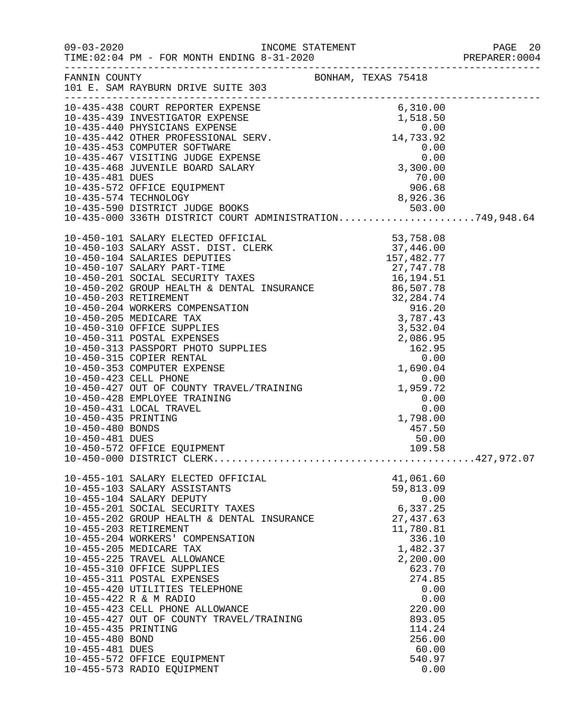|                     | 10-435-488 COURT REPORTER EXPENSE<br>10-435-439 INVESTIGATOR EXPENSE<br>10-435-440 PHYSICIANS EXPENSE<br>10-435-440 PHYSICIANS EXPENSE<br>10-435-442 OTHER PROFESSIONAL SERV.<br>10-435-468 COUPUTER SOFTWARE<br>10-435-468 JUVENILE BOARD |  |                       |      |  |
|---------------------|--------------------------------------------------------------------------------------------------------------------------------------------------------------------------------------------------------------------------------------------|--|-----------------------|------|--|
|                     |                                                                                                                                                                                                                                            |  |                       |      |  |
|                     |                                                                                                                                                                                                                                            |  |                       |      |  |
|                     |                                                                                                                                                                                                                                            |  |                       |      |  |
|                     |                                                                                                                                                                                                                                            |  |                       |      |  |
|                     |                                                                                                                                                                                                                                            |  |                       |      |  |
|                     |                                                                                                                                                                                                                                            |  |                       |      |  |
|                     |                                                                                                                                                                                                                                            |  |                       |      |  |
|                     |                                                                                                                                                                                                                                            |  |                       |      |  |
|                     |                                                                                                                                                                                                                                            |  |                       |      |  |
|                     |                                                                                                                                                                                                                                            |  |                       |      |  |
|                     |                                                                                                                                                                                                                                            |  |                       |      |  |
|                     |                                                                                                                                                                                                                                            |  |                       |      |  |
|                     |                                                                                                                                                                                                                                            |  |                       |      |  |
|                     |                                                                                                                                                                                                                                            |  |                       |      |  |
|                     |                                                                                                                                                                                                                                            |  |                       |      |  |
|                     |                                                                                                                                                                                                                                            |  |                       |      |  |
|                     |                                                                                                                                                                                                                                            |  |                       |      |  |
|                     |                                                                                                                                                                                                                                            |  |                       |      |  |
|                     |                                                                                                                                                                                                                                            |  |                       |      |  |
|                     |                                                                                                                                                                                                                                            |  |                       |      |  |
|                     |                                                                                                                                                                                                                                            |  |                       |      |  |
|                     |                                                                                                                                                                                                                                            |  |                       |      |  |
|                     |                                                                                                                                                                                                                                            |  |                       |      |  |
|                     |                                                                                                                                                                                                                                            |  |                       |      |  |
|                     |                                                                                                                                                                                                                                            |  |                       |      |  |
|                     |                                                                                                                                                                                                                                            |  |                       |      |  |
|                     |                                                                                                                                                                                                                                            |  |                       |      |  |
|                     |                                                                                                                                                                                                                                            |  |                       |      |  |
|                     |                                                                                                                                                                                                                                            |  |                       |      |  |
|                     |                                                                                                                                                                                                                                            |  |                       |      |  |
|                     |                                                                                                                                                                                                                                            |  |                       |      |  |
|                     |                                                                                                                                                                                                                                            |  |                       |      |  |
|                     | 10-455-101 SALARY ELECTED OFFICIAL                                                                                                                                                                                                         |  | 41,061.60             |      |  |
|                     | 10-455-103 SALARY ASSISTANTS                                                                                                                                                                                                               |  | 59,813.09             |      |  |
|                     | 10-455-104 SALARY DEPUTY                                                                                                                                                                                                                   |  |                       | 0.00 |  |
|                     | 10-455-201 SOCIAL SECURITY TAXES<br>10-455-202 GROUP HEALTH & DENTAL INSURANCE                                                                                                                                                             |  | 6,337.25<br>27,437.63 |      |  |
|                     | 10-455-203 RETIREMENT                                                                                                                                                                                                                      |  | 11,780.81             |      |  |
|                     | 10-455-204 WORKERS' COMPENSATION                                                                                                                                                                                                           |  | 336.10                |      |  |
|                     | 10-455-205 MEDICARE TAX                                                                                                                                                                                                                    |  | 1,482.37              |      |  |
|                     | 10-455-225 TRAVEL ALLOWANCE                                                                                                                                                                                                                |  | 2,200.00              |      |  |
|                     | 10-455-310 OFFICE SUPPLIES                                                                                                                                                                                                                 |  | 623.70                |      |  |
|                     | 10-455-311 POSTAL EXPENSES                                                                                                                                                                                                                 |  | 274.85                |      |  |
|                     | 10-455-420 UTILITIES TELEPHONE                                                                                                                                                                                                             |  |                       | 0.00 |  |
|                     | 10-455-422 R & M RADIO                                                                                                                                                                                                                     |  |                       | 0.00 |  |
|                     | 10-455-423 CELL PHONE ALLOWANCE<br>10-455-427 OUT OF COUNTY TRAVEL/TRAINING                                                                                                                                                                |  | 220.00<br>893.05      |      |  |
| 10-455-435 PRINTING |                                                                                                                                                                                                                                            |  | 114.24                |      |  |
| 10-455-480 BOND     |                                                                                                                                                                                                                                            |  | 256.00                |      |  |
| 10-455-481 DUES     |                                                                                                                                                                                                                                            |  | 60.00                 |      |  |
|                     | 10-455-572 OFFICE EQUIPMENT                                                                                                                                                                                                                |  | 540.97                |      |  |
|                     | 10-455-573 RADIO EQUIPMENT                                                                                                                                                                                                                 |  |                       | 0.00 |  |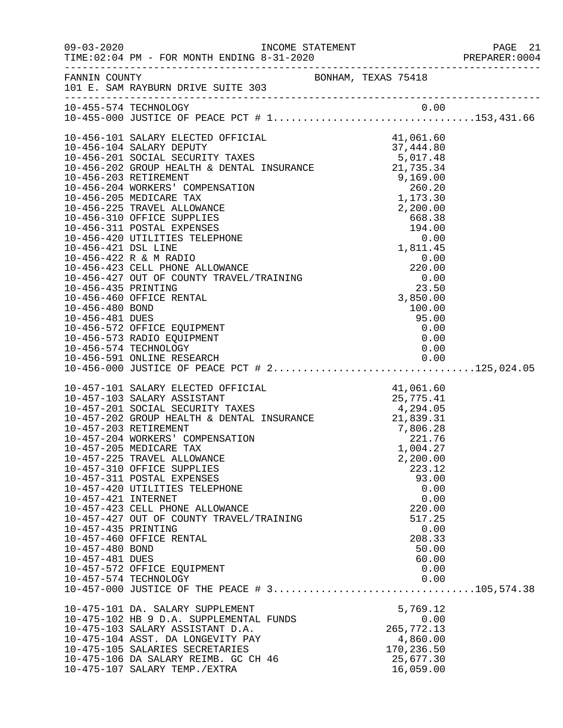|                       |                                                                                                                                                                                                                                                                            |                     |                                      | PREPARER: 0004 |
|-----------------------|----------------------------------------------------------------------------------------------------------------------------------------------------------------------------------------------------------------------------------------------------------------------------|---------------------|--------------------------------------|----------------|
|                       | FANNIN COUNTY<br>101 E. SAM RAYBURN DRIVE SUITE 303                                                                                                                                                                                                                        | BONHAM, TEXAS 75418 |                                      |                |
|                       |                                                                                                                                                                                                                                                                            |                     |                                      |                |
|                       |                                                                                                                                                                                                                                                                            |                     |                                      |                |
|                       | 10-456-101 SALARY ELECTED OFFICIAL                                                                                                                                                                                                                                         |                     | 41,061.60                            |                |
|                       |                                                                                                                                                                                                                                                                            |                     |                                      |                |
|                       |                                                                                                                                                                                                                                                                            |                     |                                      |                |
|                       |                                                                                                                                                                                                                                                                            |                     |                                      |                |
|                       |                                                                                                                                                                                                                                                                            |                     |                                      |                |
|                       |                                                                                                                                                                                                                                                                            |                     |                                      |                |
|                       |                                                                                                                                                                                                                                                                            |                     |                                      |                |
|                       |                                                                                                                                                                                                                                                                            |                     |                                      |                |
|                       |                                                                                                                                                                                                                                                                            |                     |                                      |                |
|                       |                                                                                                                                                                                                                                                                            |                     |                                      |                |
|                       |                                                                                                                                                                                                                                                                            |                     |                                      |                |
|                       | 10-456-422 R & M RADIO<br>10-456-422 R & M RADIO<br>10-456-422 R & M RADIO<br>10-456-423 CELL PHONE ALLOWANCE<br>10-456-427 OUT OF COUNTY TRAVEL/TRAINING<br>10-456-435 PRINTING<br>10-456-435 PRINTING<br>10-456-435 PRINTING<br>10-456-480 BOND<br>10-456-481 DUES<br>10 |                     | 0.00                                 |                |
|                       |                                                                                                                                                                                                                                                                            |                     |                                      |                |
|                       |                                                                                                                                                                                                                                                                            |                     |                                      |                |
|                       |                                                                                                                                                                                                                                                                            |                     |                                      |                |
|                       |                                                                                                                                                                                                                                                                            |                     |                                      |                |
|                       |                                                                                                                                                                                                                                                                            |                     |                                      |                |
|                       |                                                                                                                                                                                                                                                                            |                     |                                      |                |
|                       | 10-456-573 RADIO EQUIPMENT                                                                                                                                                                                                                                                 |                     | 0.00                                 |                |
|                       | 10-456-574 TECHNOLOGY                                                                                                                                                                                                                                                      |                     | 0.00                                 |                |
|                       | 10-456-591 ONLINE RESEARCH 0.00<br>10-456-000 JUSTICE OF PEACE PCT # 2125,024.05                                                                                                                                                                                           |                     |                                      |                |
|                       |                                                                                                                                                                                                                                                                            |                     |                                      |                |
|                       | 10-457-101 SALARY ELECTED OFFICIAL                                                                                                                                                                                                                                         |                     | 41,061.60                            |                |
|                       | 10-457-103 SALARY ASSISTANT 25, 775.41<br>10-457-201 SOCIAL SECURITY TAXES 4, 294.05<br>10-457-202 GROUP HEALTH & DENTAL INSURANCE 21, 839.31<br>10-457-203 PETIPEMENT                                                                                                     |                     |                                      |                |
|                       |                                                                                                                                                                                                                                                                            |                     |                                      |                |
| 10-457-203 RETIREMENT |                                                                                                                                                                                                                                                                            |                     |                                      |                |
|                       | 10-457-204 WORKERS' COMPENSATION                                                                                                                                                                                                                                           |                     | $7,806.28$<br>$221.76$<br>$1,004.27$ |                |
|                       | 10-457-205 MEDICARE TAX                                                                                                                                                                                                                                                    |                     | 1,004.27                             |                |
|                       | 10-457-225 TRAVEL ALLOWANCE                                                                                                                                                                                                                                                |                     | 2,200.00                             |                |
|                       | 10-457-310 OFFICE SUPPLIES                                                                                                                                                                                                                                                 |                     | 223.12                               |                |
|                       | 10-457-311 POSTAL EXPENSES                                                                                                                                                                                                                                                 |                     | 93.00                                |                |
|                       | 10-457-420 UTILITIES TELEPHONE                                                                                                                                                                                                                                             |                     | 0.00                                 |                |
| 10-457-421 INTERNET   | 10-457-423 CELL PHONE ALLOWANCE                                                                                                                                                                                                                                            |                     | 0.00<br>220.00                       |                |
|                       | 10-457-427 OUT OF COUNTY TRAVEL/TRAINING                                                                                                                                                                                                                                   |                     | 517.25                               |                |
| 10-457-435 PRINTING   |                                                                                                                                                                                                                                                                            |                     | 0.00                                 |                |
|                       | 10-457-460 OFFICE RENTAL                                                                                                                                                                                                                                                   |                     | 208.33                               |                |
| 10-457-480 BOND       |                                                                                                                                                                                                                                                                            |                     | 50.00                                |                |
| 10-457-481 DUES       |                                                                                                                                                                                                                                                                            |                     | 60.00                                |                |
|                       | 10-457-572 OFFICE EQUIPMENT                                                                                                                                                                                                                                                |                     | 0.00                                 |                |
|                       | 10-457-574 TECHNOLOGY                                                                                                                                                                                                                                                      |                     | 0.00                                 |                |
|                       |                                                                                                                                                                                                                                                                            |                     |                                      |                |
|                       | 10-475-101 DA. SALARY SUPPLEMENT                                                                                                                                                                                                                                           |                     | 5,769.12                             |                |
|                       | 10-475-102 HB 9 D.A. SUPPLEMENTAL FUNDS                                                                                                                                                                                                                                    |                     | 0.00                                 |                |
|                       | 10-475-103 SALARY ASSISTANT D.A.                                                                                                                                                                                                                                           |                     | 265,772.13                           |                |
|                       | 10-475-104 ASST. DA LONGEVITY PAY                                                                                                                                                                                                                                          |                     | 4,860.00                             |                |
|                       | 10-475-105 SALARIES SECRETARIES                                                                                                                                                                                                                                            |                     | 170,236.50                           |                |
|                       | 10-475-106 DA SALARY REIMB. GC CH 46                                                                                                                                                                                                                                       |                     | 25,677.30                            |                |
|                       | 10-475-107 SALARY TEMP./EXTRA                                                                                                                                                                                                                                              |                     | 16,059.00                            |                |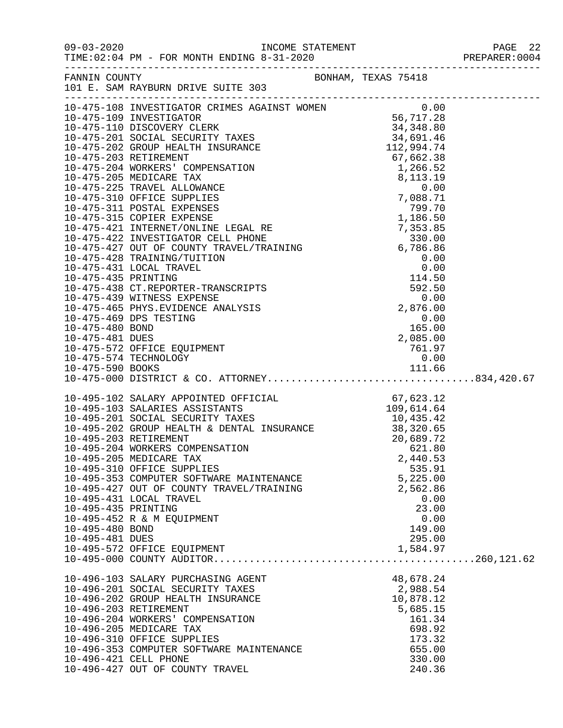|                     |                                                                                                                                                                                                                                                                                                                                                           |                    | PREPARER: 0004 |
|---------------------|-----------------------------------------------------------------------------------------------------------------------------------------------------------------------------------------------------------------------------------------------------------------------------------------------------------------------------------------------------------|--------------------|----------------|
|                     |                                                                                                                                                                                                                                                                                                                                                           |                    |                |
|                     | $\begin{tabular}{l c c c} \hline 11 & E. SAM KABUMRY SU1E 301 \\ \hline 10-475-108 & \text{INWESTIGATOR CRTMES RABINTR} & 0.00 \\ \hline 10-475-109 & \text{INVESTIGATOR CRTMES} & 34, 501.28 \\ \hline 10-475-201 & \text{OIGCOREN CRTM} & 34, 801.46 \\ \hline 10-475-201 & \text{SOCINEN} & 34, 301.46 \\ \hline 10-475-202 & \text{SCORID EMLTH} & \$ |                    |                |
|                     |                                                                                                                                                                                                                                                                                                                                                           |                    |                |
|                     |                                                                                                                                                                                                                                                                                                                                                           |                    |                |
|                     |                                                                                                                                                                                                                                                                                                                                                           |                    |                |
|                     |                                                                                                                                                                                                                                                                                                                                                           |                    |                |
|                     |                                                                                                                                                                                                                                                                                                                                                           |                    |                |
|                     |                                                                                                                                                                                                                                                                                                                                                           |                    |                |
|                     |                                                                                                                                                                                                                                                                                                                                                           |                    |                |
|                     |                                                                                                                                                                                                                                                                                                                                                           |                    |                |
|                     |                                                                                                                                                                                                                                                                                                                                                           |                    |                |
|                     |                                                                                                                                                                                                                                                                                                                                                           |                    |                |
|                     |                                                                                                                                                                                                                                                                                                                                                           |                    |                |
|                     |                                                                                                                                                                                                                                                                                                                                                           |                    |                |
|                     |                                                                                                                                                                                                                                                                                                                                                           |                    |                |
|                     |                                                                                                                                                                                                                                                                                                                                                           |                    |                |
|                     |                                                                                                                                                                                                                                                                                                                                                           |                    |                |
|                     |                                                                                                                                                                                                                                                                                                                                                           |                    |                |
|                     |                                                                                                                                                                                                                                                                                                                                                           |                    |                |
|                     |                                                                                                                                                                                                                                                                                                                                                           |                    |                |
|                     |                                                                                                                                                                                                                                                                                                                                                           |                    |                |
|                     |                                                                                                                                                                                                                                                                                                                                                           |                    |                |
|                     |                                                                                                                                                                                                                                                                                                                                                           |                    |                |
|                     |                                                                                                                                                                                                                                                                                                                                                           |                    |                |
|                     |                                                                                                                                                                                                                                                                                                                                                           |                    |                |
|                     |                                                                                                                                                                                                                                                                                                                                                           |                    |                |
|                     |                                                                                                                                                                                                                                                                                                                                                           |                    |                |
|                     | 10-495-102 SALARY APPOINTED OFFICIAL 67,623.12<br>10-495-103 SALARIES ASSISTANTS 109,614.64<br>10-495-201 SOCIAL SECURITY TAXES 10,435.42<br>10-495-202 GROUP HEALTH & DENTAL INSURANCE 38,320.65<br>10-495-203 RETIREMENT 20,689.72<br>                                                                                                                  |                    |                |
|                     |                                                                                                                                                                                                                                                                                                                                                           |                    |                |
|                     |                                                                                                                                                                                                                                                                                                                                                           |                    |                |
|                     |                                                                                                                                                                                                                                                                                                                                                           |                    |                |
|                     |                                                                                                                                                                                                                                                                                                                                                           |                    |                |
|                     |                                                                                                                                                                                                                                                                                                                                                           |                    |                |
|                     | 10-495-205 MEDICARE TAX<br>10-495-310 OFFICE SUPPLIES                                                                                                                                                                                                                                                                                                     | 2,440.53<br>535.91 |                |
|                     | 10-495-353 COMPUTER SOFTWARE MAINTENANCE                                                                                                                                                                                                                                                                                                                  | 5,225.00           |                |
|                     | 10-495-427 OUT OF COUNTY TRAVEL/TRAINING                                                                                                                                                                                                                                                                                                                  | 2,562.86           |                |
|                     | 10-495-431 LOCAL TRAVEL                                                                                                                                                                                                                                                                                                                                   | 0.00               |                |
| 10-495-435 PRINTING |                                                                                                                                                                                                                                                                                                                                                           | 23.00              |                |
|                     | 10-495-452 R & M EQUIPMENT                                                                                                                                                                                                                                                                                                                                | 0.00               |                |
| 10-495-480 BOND     |                                                                                                                                                                                                                                                                                                                                                           | 149.00             |                |
| 10-495-481 DUES     |                                                                                                                                                                                                                                                                                                                                                           | 295.00             |                |
|                     | 10-495-572 OFFICE EQUIPMENT                                                                                                                                                                                                                                                                                                                               | 1,584.97           |                |
|                     |                                                                                                                                                                                                                                                                                                                                                           |                    |                |
|                     | 10-496-103 SALARY PURCHASING AGENT                                                                                                                                                                                                                                                                                                                        | 48,678.24          |                |
|                     | 10-496-201 SOCIAL SECURITY TAXES                                                                                                                                                                                                                                                                                                                          | 2,988.54           |                |
|                     | 10-496-202 GROUP HEALTH INSURANCE                                                                                                                                                                                                                                                                                                                         | 10,878.12          |                |
|                     | 10-496-203 RETIREMENT<br>10-496-204 WORKERS' COMPENSATION                                                                                                                                                                                                                                                                                                 | 5,685.15<br>161.34 |                |
|                     | 10-496-205 MEDICARE TAX                                                                                                                                                                                                                                                                                                                                   | 698.92             |                |
|                     | 10-496-310 OFFICE SUPPLIES                                                                                                                                                                                                                                                                                                                                | 173.32             |                |
|                     | 10-496-353 COMPUTER SOFTWARE MAINTENANCE                                                                                                                                                                                                                                                                                                                  | 655.00             |                |
|                     | 10-496-421 CELL PHONE                                                                                                                                                                                                                                                                                                                                     | 330.00             |                |
|                     | 10-496-427 OUT OF COUNTY TRAVEL                                                                                                                                                                                                                                                                                                                           | 240.36             |                |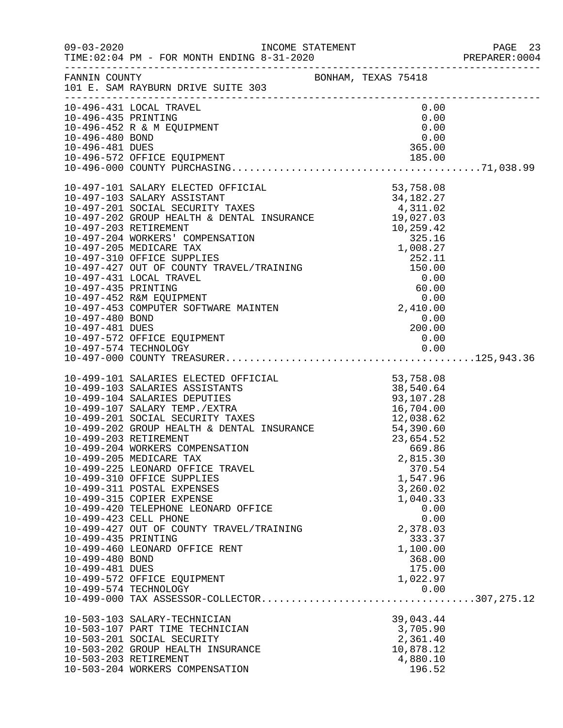|                                                           |                                                                                                                                                                                                                                                                                                                                                                                                                                                                                                                                                                                                          |                                                                                                                                                  | PREPARER: 0004 |
|-----------------------------------------------------------|----------------------------------------------------------------------------------------------------------------------------------------------------------------------------------------------------------------------------------------------------------------------------------------------------------------------------------------------------------------------------------------------------------------------------------------------------------------------------------------------------------------------------------------------------------------------------------------------------------|--------------------------------------------------------------------------------------------------------------------------------------------------|----------------|
|                                                           | FANNIN COUNTY<br>101 E. SAM RAYBURN DRIVE SUITE 303                                                                                                                                                                                                                                                                                                                                                                                                                                                                                                                                                      |                                                                                                                                                  |                |
| 10-496-435 PRINTING<br>10-496-480 BOND<br>10-496-481 DUES | 10-496-431 LOCAL TRAVEL<br>10-496-452 R & M EQUIPMENT                                                                                                                                                                                                                                                                                                                                                                                                                                                                                                                                                    | 0.00<br>0.00<br>0.00<br>0.00<br>365.00                                                                                                           |                |
|                                                           |                                                                                                                                                                                                                                                                                                                                                                                                                                                                                                                                                                                                          |                                                                                                                                                  |                |
| 10-497-480 BOND<br>10-497-481 DUES                        | 10-497-572 OFFICE EQUIPMENT                                                                                                                                                                                                                                                                                                                                                                                                                                                                                                                                                                              | $\begin{array}{c} 0.00 \ 200.00 \end{array}$<br>0.00                                                                                             |                |
|                                                           |                                                                                                                                                                                                                                                                                                                                                                                                                                                                                                                                                                                                          |                                                                                                                                                  |                |
| 10-499-435 PRINTING<br>10-499-480 BOND<br>10-499-481 DUES | 10-499-101 SALARIES ELECTED OFFICIAL<br>10-499-103 SALARIES ASSISTANTS<br>10-499-104 SALARIES DEPUTIES<br>10-499-107 SALARIES DEPUTIES<br>10-499-107 SALARY TEMP./EXTRA<br>10-499-201 SOCIAL SECURITY TAXES<br>10-499-202 GROUP HEALTH & D<br>10-499-205 MEDICARE TAX<br>10-499-225 LEONARD OFFICE TRAVEL<br>10-499-310 OFFICE SUPPLIES<br>10-499-311 POSTAL EXPENSES<br>10-499-315 COPIER EXPENSE<br>10-499-420 TELEPHONE LEONARD OFFICE<br>10-499-423 CELL PHONE<br>10-499-427 OUT OF COUNTY TRAVEL/TRAINING<br>10-499-460 LEONARD OFFICE RENT<br>10-499-572 OFFICE EQUIPMENT<br>10-499-574 TECHNOLOGY | 2,815.30<br>370.54<br>1,547.96<br>3,260.02<br>1,040.33<br>0.00<br>0.00<br>2,378.03<br>333.37<br>1,100.00<br>368.00<br>175.00<br>1,022.97<br>0.00 |                |
|                                                           | 10-503-103 SALARY-TECHNICIAN<br>10-503-107 PART TIME TECHNICIAN<br>10-503-201 SOCIAL SECURITY<br>10-503-202 GROUP HEALTH INSURANCE<br>10-503-203 RETIREMENT<br>10-503-204 WORKERS COMPENSATION                                                                                                                                                                                                                                                                                                                                                                                                           | 39,043.44<br>3,705.90<br>2,361.40<br>10,878.12<br>4,880.10<br>196.52                                                                             |                |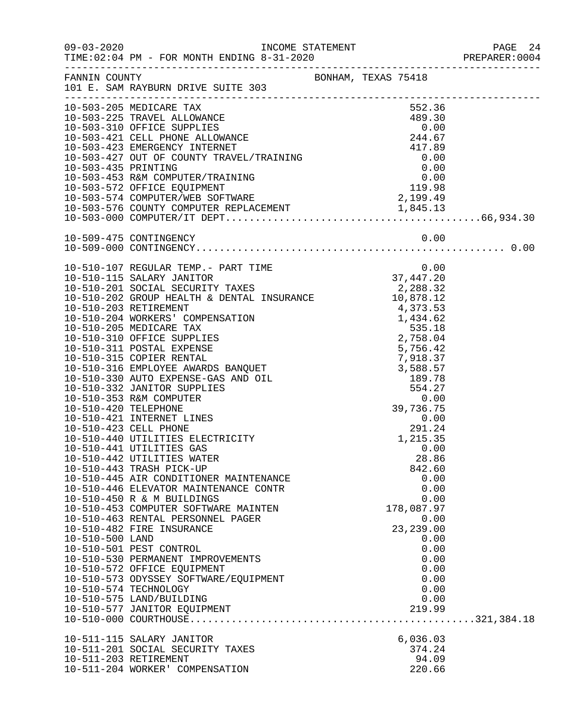|                 |                                                                                                                              |  |                     |                    |                      | PREPARER: 0004 |
|-----------------|------------------------------------------------------------------------------------------------------------------------------|--|---------------------|--------------------|----------------------|----------------|
|                 | FANNIN COUNTY BONHAM, TEXAS 75418<br>101 E. SAM RAYBURN DRIVE SUITE 303                                                      |  |                     |                    |                      |                |
|                 | 10-503-205 MEDICARE TAX                                                                                                      |  |                     | 552.36             |                      |                |
|                 |                                                                                                                              |  |                     |                    |                      |                |
|                 |                                                                                                                              |  |                     |                    |                      |                |
|                 |                                                                                                                              |  |                     |                    |                      |                |
|                 |                                                                                                                              |  |                     |                    |                      |                |
|                 |                                                                                                                              |  | $0.00$<br>37,447.20 |                    |                      |                |
|                 |                                                                                                                              |  |                     |                    |                      |                |
|                 |                                                                                                                              |  |                     |                    |                      |                |
|                 |                                                                                                                              |  |                     |                    |                      |                |
|                 |                                                                                                                              |  |                     |                    |                      |                |
|                 | 10-510-441 UTILITIES GAS<br>10-510-442 UTILITIES WATER<br>10-510-443 TRASH PICK-UP<br>10-510-445 AIR CONDITIONER MAINTENANCE |  |                     | 28.86<br>842.60    | 0.00<br>0.00         |                |
|                 | 10-510-446 ELEVATOR MAINTENANCE CONTR<br>10-510-450 R & M BUILDINGS<br>10-510-453 COMPUTER SOFTWARE MAINTEN                  |  |                     | 178,087.97         | 0.00<br>0.00         |                |
| 10-510-500 LAND | 10-510-463 RENTAL PERSONNEL PAGER<br>10-510-482 FIRE INSURANCE<br>10-510-501 PEST CONTROL                                    |  |                     | 23, 239.00         | 0.00<br>0.00<br>0.00 |                |
|                 | 10-510-530 PERMANENT IMPROVEMENTS<br>10-510-572 OFFICE EQUIPMENT<br>10-510-573 ODYSSEY SOFTWARE/EQUIPMENT                    |  |                     |                    | 0.00<br>0.00<br>0.00 |                |
|                 | 10-510-574 TECHNOLOGY<br>10-510-575 LAND/BUILDING<br>10-510-577 JANITOR EQUIPMENT                                            |  |                     | 219.99             | 0.00<br>0.00         |                |
|                 | 10-511-115 SALARY JANITOR<br>10-511-201 SOCIAL SECURITY TAXES                                                                |  |                     | 6,036.03<br>374.24 |                      |                |
|                 | 10-511-203 RETIREMENT<br>10-511-204 WORKER' COMPENSATION                                                                     |  |                     | 94.09<br>220.66    |                      |                |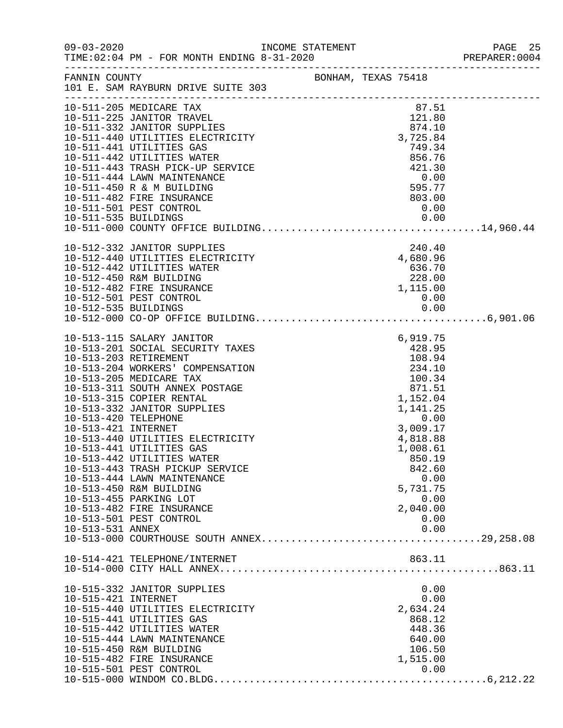|                                                                 |                                                                                                                                                                                                                                                                                                                                                                                                                                                                                                                                 |  |                                                                                                                                                                                                            | PREPARER: 0004 |
|-----------------------------------------------------------------|---------------------------------------------------------------------------------------------------------------------------------------------------------------------------------------------------------------------------------------------------------------------------------------------------------------------------------------------------------------------------------------------------------------------------------------------------------------------------------------------------------------------------------|--|------------------------------------------------------------------------------------------------------------------------------------------------------------------------------------------------------------|----------------|
|                                                                 | FANNIN COUNTY<br>101 E. SAM RAYBURN DRIVE SUITE 303                                                                                                                                                                                                                                                                                                                                                                                                                                                                             |  |                                                                                                                                                                                                            |                |
|                                                                 | 10-511-205 MEDICARE TAX<br>10-511-225 JANITOR TRAVEL<br>10-511-332 JANITOR SUPPLIES<br>10-511-440 UTILITIES ELECTRICITY<br>10-511-441 UTILITIES GAS<br>10-511-442 UTILITIES WATER<br>10-511-443 TRASH PICK-UP SERVICE<br>10-511-444 LAWN MAINTENANCE<br>10-511-450 R & M BUILDING<br>10-511-482 FIRE INSURANCE                                                                                                                                                                                                                  |  | 87.51<br>121.80<br>874.10<br>3,725.84<br>749.34<br>856.76<br>$421.300.00595.77$<br>803.00                                                                                                                  |                |
|                                                                 | 10-512-332 JANITOR SUPPLIES<br>10-512-440 UTILITIES ELECTRICITY<br>10-512-442 UTILITIES WATER<br>10-512-450 R&M BUILDING<br>10-512-482 FIRE INSURANCE<br>10-512-501 PEST CONTROL                                                                                                                                                                                                                                                                                                                                                |  | 240.40<br>4,680.96<br>636.70<br>228.00<br>1,115.00<br>0.00                                                                                                                                                 |                |
| 10-513-420 TELEPHONE<br>10-513-421 INTERNET<br>10-513-531 ANNEX | 10-513-115 SALARY JANITOR<br>10-513-201 SOCIAL SECURITY TAXES<br>10-513-203 RETIREMENT<br>10-513-204 WORKERS' COMPENSATION<br>10-513-205 MEDICARE TAX<br>10-513-311 SOUTH ANNEX POSTAGE<br>10-513-315 COPIER RENTAL<br>10-513-332 JANITOR SUPPLIES<br>10-513-440 UTILITIES ELECTRICITY<br>10-513-441 UTILITIES GAS<br>10-513-442 UTILITIES WATER<br>10-513-443 TRASH PICKUP SERVICE<br>10-513-444 LAWN MAINTENANCE<br>10-513-450 R&M BUILDING<br>10-513-455 PARKING LOT<br>10-513-482 FIRE INSURANCE<br>10-513-501 PEST CONTROL |  | 6,919.75<br>428.95<br>108.94<br>234.10<br>100.34<br>871.51<br>1,152.04<br>1,141.25<br>0.00<br>3,009.17<br>4,818.88<br>1,008.61<br>850.19<br>842.60<br>0.00<br>5,731.75<br>0.00<br>2,040.00<br>0.00<br>0.00 |                |
|                                                                 | 10-514-421 TELEPHONE/INTERNET                                                                                                                                                                                                                                                                                                                                                                                                                                                                                                   |  | 863.11                                                                                                                                                                                                     |                |
| 10-515-421 INTERNET                                             | 10-515-332 JANITOR SUPPLIES<br>10-515-440 UTILITIES ELECTRICITY<br>10-515-441 UTILITIES GAS<br>10-515-442 UTILITIES WATER<br>10-515-444 LAWN MAINTENANCE<br>10-515-450 R&M BUILDING<br>10-515-482 FIRE INSURANCE<br>10-515-501 PEST CONTROL                                                                                                                                                                                                                                                                                     |  | 0.00<br>0.00<br>2,634.24<br>868.12<br>448.36<br>640.00<br>106.50<br>1,515.00<br>0.00                                                                                                                       |                |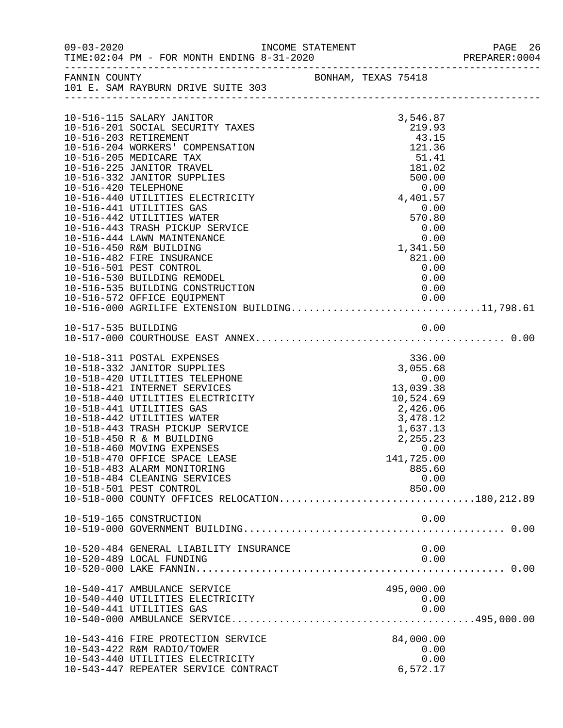| $09 - 03 - 2020$     |                                                                                     | INCOME STATEMENT |                     |                |      | PAGE 26<br>PREPARER: 0004 |
|----------------------|-------------------------------------------------------------------------------------|------------------|---------------------|----------------|------|---------------------------|
|                      | FANNIN COUNTY<br>101 E. SAM RAYBURN DRIVE SUITE 303                                 |                  | BONHAM, TEXAS 75418 |                |      |                           |
|                      | 10-516-115 SALARY JANITOR                                                           |                  |                     | 3,546.87       |      |                           |
|                      | 10-516-201 SOCIAL SECURITY TAXES                                                    |                  |                     | 219.93         |      |                           |
|                      | 10-516-203 RETIREMENT                                                               |                  |                     | 43.15          |      |                           |
|                      | 10-516-204 WORKERS' COMPENSATION                                                    |                  |                     | 121.36         |      |                           |
|                      | 10-516-205 MEDICARE TAX                                                             |                  |                     | 51.41          |      |                           |
|                      | 10-516-225 JANITOR TRAVEL                                                           |                  |                     | 181.02         |      |                           |
|                      | 10-516-332 JANITOR SUPPLIES                                                         |                  |                     | 500.00         |      |                           |
| 10-516-420 TELEPHONE |                                                                                     |                  |                     |                | 0.00 |                           |
|                      | 10-516-440 UTILITIES ELECTRICITY                                                    |                  |                     | 4,401.57       |      |                           |
|                      | 10-516-441 UTILITIES GAS                                                            |                  |                     | 0.00<br>570.80 |      |                           |
|                      | 10-516-442 UTILITIES WATER<br>10-516-443 TRASH PICKUP SERVICE                       |                  |                     |                | 0.00 |                           |
|                      | 10-516-444 LAWN MAINTENANCE                                                         |                  |                     |                | 0.00 |                           |
|                      | 10-516-450 R&M BUILDING                                                             |                  |                     | 1,341.50       |      |                           |
|                      | 10-516-482 FIRE INSURANCE                                                           |                  |                     | 821.00         |      |                           |
|                      | 10-516-501 PEST CONTROL                                                             |                  |                     | 0.00           |      |                           |
|                      | 10-516-530 BUILDING REMODEL                                                         |                  |                     |                | 0.00 |                           |
|                      | 10-516-535 BUILDING CONSTRUCTION                                                    |                  |                     |                | 0.00 |                           |
|                      | 10-516-572 OFFICE EQUIPMENT                                                         |                  |                     |                | 0.00 |                           |
|                      | 10-516-572 OFFICE EQUIPMENT 0.00<br>10-516-000 AGRILIFE EXTENSION BUILDING11,798.61 |                  |                     |                |      |                           |
|                      |                                                                                     |                  |                     |                |      |                           |
|                      |                                                                                     |                  |                     |                |      |                           |
|                      |                                                                                     |                  |                     |                |      |                           |
|                      | 10-518-311 POSTAL EXPENSES                                                          |                  |                     | 336.00         |      |                           |
|                      | 10-518-332 JANITOR SUPPLIES                                                         |                  |                     | 3,055.68       |      |                           |
|                      | 10-518-420 UTILITIES TELEPHONE                                                      |                  |                     | 0.00           |      |                           |
|                      | 10-518-421 INTERNET SERVICES                                                        |                  |                     | 13,039.38      |      |                           |
|                      | 10-518-440 UTILITIES ELECTRICITY                                                    |                  |                     | 10,524.69      |      |                           |
|                      | 10-518-441 UTILITIES GAS                                                            |                  |                     | 2,426.06       |      |                           |
|                      | 10-518-442 UTILITIES WATER                                                          |                  |                     | 3,478.12       |      |                           |
|                      | 10-518-443 TRASH PICKUP SERVICE                                                     |                  |                     | 1,637.13       |      |                           |
|                      | 10-518-450 R & M BUILDING                                                           |                  |                     | 2,255.23       |      |                           |
|                      | 10-518-460 MOVING EXPENSES                                                          |                  |                     |                | 0.00 |                           |
|                      | 10-518-470 OFFICE SPACE LEASE                                                       |                  |                     | 141,725.00     |      |                           |
|                      | 10-518-483 ALARM MONITORING                                                         |                  |                     | 885.60         |      |                           |
|                      | 10-518-484 CLEANING SERVICES                                                        |                  |                     | 0.00           |      |                           |
|                      | 10-518-501 PEST CONTROL<br>10-518-000 COUNTY OFFICES RELOCATION180,212.89           |                  |                     | 850.00         |      |                           |
|                      |                                                                                     |                  |                     |                |      |                           |
|                      | 10-519-165 CONSTRUCTION                                                             |                  |                     |                | 0.00 |                           |
|                      |                                                                                     |                  |                     |                |      |                           |
|                      |                                                                                     |                  |                     |                |      |                           |
|                      | 10-520-484 GENERAL LIABILITY INSURANCE                                              |                  |                     |                | 0.00 |                           |
|                      | 10-520-489 LOCAL FUNDING                                                            |                  |                     |                | 0.00 |                           |
|                      |                                                                                     |                  |                     |                |      |                           |
|                      |                                                                                     |                  |                     |                |      |                           |
|                      | 10-540-417 AMBULANCE SERVICE                                                        |                  |                     | 495,000.00     |      |                           |
|                      | 10-540-440 UTILITIES ELECTRICITY                                                    |                  |                     | 0.00           |      |                           |
|                      | 10-540-441 UTILITIES GAS                                                            |                  |                     |                | 0.00 |                           |
|                      |                                                                                     |                  |                     |                |      |                           |
|                      | 10-543-416 FIRE PROTECTION SERVICE                                                  |                  |                     | 84,000.00      |      |                           |
|                      | 10-543-422 R&M RADIO/TOWER                                                          |                  |                     |                | 0.00 |                           |
|                      | 10-543-440 UTILITIES ELECTRICITY                                                    |                  |                     |                | 0.00 |                           |
|                      | 10-543-447 REPEATER SERVICE CONTRACT                                                |                  |                     | 6,572.17       |      |                           |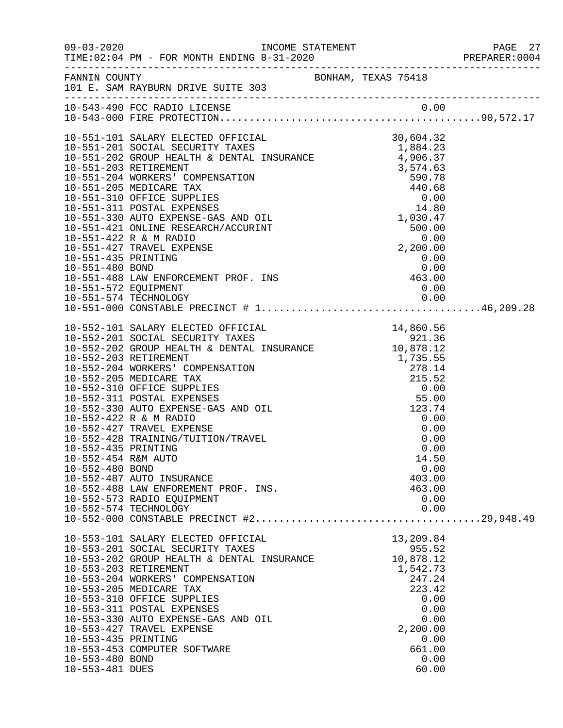|                                                               |                                                                                                                                                                                                                                                                                                                                                                                                                                                                                                                                                                          |  |                                                                                                 |                                      | PREPARER: 0004 |
|---------------------------------------------------------------|--------------------------------------------------------------------------------------------------------------------------------------------------------------------------------------------------------------------------------------------------------------------------------------------------------------------------------------------------------------------------------------------------------------------------------------------------------------------------------------------------------------------------------------------------------------------------|--|-------------------------------------------------------------------------------------------------|--------------------------------------|----------------|
|                                                               | FANNIN COUNTY<br>101 E. SAM RAYBURN DRIVE SUITE 303                                                                                                                                                                                                                                                                                                                                                                                                                                                                                                                      |  |                                                                                                 |                                      |                |
|                                                               |                                                                                                                                                                                                                                                                                                                                                                                                                                                                                                                                                                          |  |                                                                                                 |                                      |                |
|                                                               | 2, 200.00<br>10-551-480 BOND<br>10-551-488 LAW ENFORCEMENT PROF. INS<br>10-551-572 EQUIPMENT<br>10-551-574 TECHNOLOGY<br>10-551-000 CONSTART PROF.                                                                                                                                                                                                                                                                                                                                                                                                                       |  |                                                                                                 |                                      |                |
|                                                               |                                                                                                                                                                                                                                                                                                                                                                                                                                                                                                                                                                          |  |                                                                                                 |                                      |                |
| 10-552-435 PRINTING<br>10-552-454 R&M AUTO<br>10-552-480 BOND | $\begin{tabular}{lllllllllllllllllllllll} 10-552-101 & \text{SALARY ELECTED OFFICAL} & & & 14,860.56 \\ 10-552-201 & \text{SOCIAL SECURITY TXES} & & 921.36 \\ 10-552-202 & \text{GROUP HEALTH & \text{DENTAL INSURANCE} & & 10,878.12 \\ 10-552-203 & \text{RETIREMENT} & & 1,735.55 \\ 10-552-204 & \text{WOKERS'} & \text{COMPENSATION} & & 278.14 \\ 10-552-205 & \$<br>10-552-422 R & M RADIO<br>10-552-427 TRAVEL EXPENSE<br>10-552-428 TRAINING/TUITION/TRAVEL<br>10-552-487 AUTO INSURANCE<br>10-552-488 LAW ENFOREMENT PROF. INS.<br>10-552-573 RADIO EQUIPMENT |  | 0.00<br>0.00<br>14.50<br>403.00<br>463.00<br>0.00                                               | 0.00<br>0.00<br>0.00                 |                |
| 10-553-435 PRINTING<br>10-553-480 BOND<br>10-553-481 DUES     | 10-553-101 SALARY ELECTED OFFICIAL<br>10-553-201 SOCIAL SECURITY TAXES<br>10-553-202 GROUP HEALTH & DENTAL INSURANCE<br>10-553-203 RETIREMENT<br>10-553-204 WORKERS' COMPENSATION<br>10-553-205 MEDICARE TAX<br>10-553-310 OFFICE SUPPLIES<br>10-553-311 POSTAL EXPENSES<br>10-553-330 AUTO EXPENSE-GAS AND OIL<br>10-553-427 TRAVEL EXPENSE<br>10-553-453 COMPUTER SOFTWARE                                                                                                                                                                                             |  | 13,209.84<br>955.52<br>10,878.12<br>1,542.73<br>247.24<br>223.42<br>2,200.00<br>661.00<br>60.00 | 0.00<br>0.00<br>0.00<br>0.00<br>0.00 |                |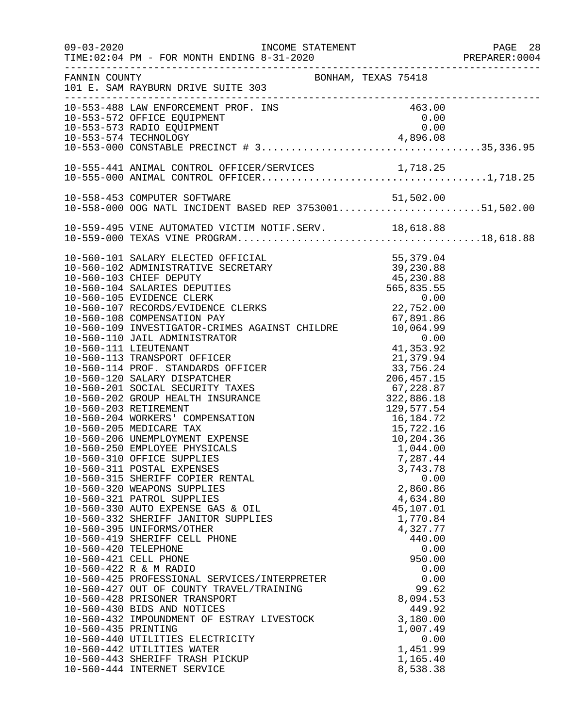| $09 - 03 - 2020$     |                                                                                                                                                                                                                                                | INCOME STATEMENT                                                                                                        |                        | PAGE 28 |
|----------------------|------------------------------------------------------------------------------------------------------------------------------------------------------------------------------------------------------------------------------------------------|-------------------------------------------------------------------------------------------------------------------------|------------------------|---------|
| FANNIN COUNTY        | 101 E. SAM RAYBURN DRIVE SUITE 303                                                                                                                                                                                                             | BONHAM, TEXAS 75418                                                                                                     |                        |         |
|                      | 10-553-488 LAW ENFORCEMENT PROF. INS<br>10-553-572 OFFICE EQUIPMENT<br>10-553-573 RADIO EQUIPMENT                                                                                                                                              |                                                                                                                         | 463.00<br>0.00<br>0.00 |         |
|                      |                                                                                                                                                                                                                                                |                                                                                                                         |                        |         |
|                      |                                                                                                                                                                                                                                                |                                                                                                                         |                        |         |
|                      | 10-558-453 COMPUTER SOFTWARE<br>10-558-000 OOG NATL INCIDENT BASED REP 375300151,502.00                                                                                                                                                        |                                                                                                                         |                        |         |
|                      |                                                                                                                                                                                                                                                |                                                                                                                         |                        |         |
|                      | 10-560-101 SALARY ELECTED OFFICIAL<br>10-560-102 ADMINISTRATIVE SECRETARY<br>10-560-103 CHIEF DEPUTY<br>10-560-104 SALARIES DEPUTIES<br>10-560-105 EVIDENCE CLERK<br>10-560-107 RECORDS/EVIDENCE CLERKS<br>22,752.00<br>22,752.00<br>22,752.00 |                                                                                                                         |                        |         |
|                      |                                                                                                                                                                                                                                                |                                                                                                                         |                        |         |
|                      |                                                                                                                                                                                                                                                |                                                                                                                         |                        |         |
|                      |                                                                                                                                                                                                                                                |                                                                                                                         |                        |         |
|                      |                                                                                                                                                                                                                                                | LERKS<br>T                                                                                                              |                        |         |
|                      | 10-560-107 RECORDS/EVIDENCE CLEARS<br>10-560-108 COMPENSATION PAY 67,891.86<br>10-560-109 INVESTIGATOR-CRIMES AGAINST CHILDRE 10,064.99<br>10-560-110 JAIL ADMINISTRATOR 0.00<br>10-560-111 LENNINISTRATOR 41,353.92<br>10.064.99              |                                                                                                                         |                        |         |
|                      |                                                                                                                                                                                                                                                |                                                                                                                         |                        |         |
|                      |                                                                                                                                                                                                                                                |                                                                                                                         |                        |         |
|                      | 10-560-113 TRANSPORT OFFICER                                                                                                                                                                                                                   |                                                                                                                         |                        |         |
|                      | 10-560-114 PROF. STANDARDS OFFICER                                                                                                                                                                                                             | $21,379.94$<br>$33,756.24$<br>$206,457.15$<br>$67,228.87$<br>$322,886.18$<br>$129,577.54$<br>$16,184.72$<br>$15,722.16$ |                        |         |
|                      | 10-560-120 SALARY DISPATCHER                                                                                                                                                                                                                   |                                                                                                                         |                        |         |
|                      | 10-560-201 SOCIAL SECURITY TAXES<br>10-560-202 GROUP HEALTH INSURANCE                                                                                                                                                                          |                                                                                                                         |                        |         |
|                      | 10-560-203 RETIREMENT                                                                                                                                                                                                                          |                                                                                                                         |                        |         |
|                      | 10-560-204 WORKERS' COMPENSATION                                                                                                                                                                                                               |                                                                                                                         |                        |         |
|                      | 10-560-205 MEDICARE TAX                                                                                                                                                                                                                        |                                                                                                                         | 15,722.16              |         |
|                      | 10-560-206 UNEMPLOYMENT EXPENSE                                                                                                                                                                                                                |                                                                                                                         | 10,204.36              |         |
|                      | 10-560-250 EMPLOYEE PHYSICALS<br>10-560-310 OFFICE SUPPLIES                                                                                                                                                                                    |                                                                                                                         | 1,044.00<br>7,287.44   |         |
|                      | 10-560-311 POSTAL EXPENSES                                                                                                                                                                                                                     |                                                                                                                         | 3,743.78               |         |
|                      | 10-560-315 SHERIFF COPIER RENTAL                                                                                                                                                                                                               |                                                                                                                         | 0.00                   |         |
|                      | 10-560-320 WEAPONS SUPPLIES                                                                                                                                                                                                                    |                                                                                                                         | 2,860.86               |         |
|                      | 10-560-321 PATROL SUPPLIES                                                                                                                                                                                                                     |                                                                                                                         | 4,634.80               |         |
|                      | 10-560-330 AUTO EXPENSE GAS & OIL<br>10-560-332 SHERIFF JANITOR SUPPLIES                                                                                                                                                                       |                                                                                                                         | 45,107.01<br>1,770.84  |         |
|                      | 10-560-395 UNIFORMS/OTHER                                                                                                                                                                                                                      |                                                                                                                         | 4,327.77               |         |
|                      | 10-560-419 SHERIFF CELL PHONE                                                                                                                                                                                                                  |                                                                                                                         | 440.00                 |         |
| 10-560-420 TELEPHONE |                                                                                                                                                                                                                                                |                                                                                                                         | 0.00                   |         |
|                      | 10-560-421 CELL PHONE                                                                                                                                                                                                                          |                                                                                                                         | 950.00                 |         |
|                      | 10-560-422 R & M RADIO<br>10-560-425 PROFESSIONAL SERVICES/INTERPRETER                                                                                                                                                                         |                                                                                                                         | 0.00<br>0.00           |         |
|                      | 10-560-427 OUT OF COUNTY TRAVEL/TRAINING                                                                                                                                                                                                       |                                                                                                                         | 99.62                  |         |
|                      | 10-560-428 PRISONER TRANSPORT                                                                                                                                                                                                                  |                                                                                                                         | 8,094.53               |         |
|                      | 10-560-430 BIDS AND NOTICES                                                                                                                                                                                                                    |                                                                                                                         | 449.92                 |         |
| 10-560-435 PRINTING  | 10-560-432 IMPOUNDMENT OF ESTRAY LIVESTOCK                                                                                                                                                                                                     |                                                                                                                         | 3,180.00               |         |
|                      | 10-560-440 UTILITIES ELECTRICITY                                                                                                                                                                                                               |                                                                                                                         | 1,007.49<br>0.00       |         |
|                      | 10-560-442 UTILITIES WATER                                                                                                                                                                                                                     |                                                                                                                         | 1,451.99               |         |
|                      | 10-560-443 SHERIFF TRASH PICKUP                                                                                                                                                                                                                |                                                                                                                         | 1,165.40               |         |
|                      | 10-560-444 INTERNET SERVICE                                                                                                                                                                                                                    |                                                                                                                         | 8,538.38               |         |
|                      |                                                                                                                                                                                                                                                |                                                                                                                         |                        |         |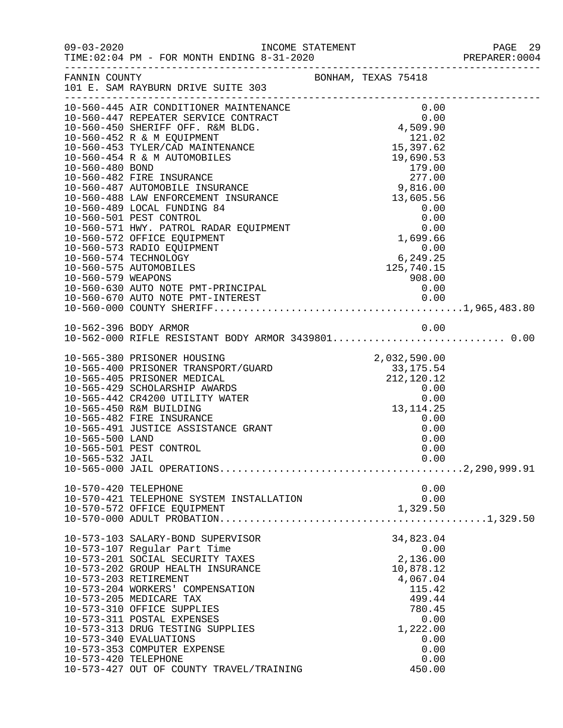| $09 - 03 - 2020$                      | TIME: 02:04 PM - FOR MONTH ENDING 8-31-2020                                                                                                                                                                                                                                                                                                                                                                                                                                                                                                                                                                                  | INCOME STATEMENT<br>ENDING 8-31-2020 |                                                                                                                                                                                                      | PAGE 29<br>PREPARER:0004 |
|---------------------------------------|------------------------------------------------------------------------------------------------------------------------------------------------------------------------------------------------------------------------------------------------------------------------------------------------------------------------------------------------------------------------------------------------------------------------------------------------------------------------------------------------------------------------------------------------------------------------------------------------------------------------------|--------------------------------------|------------------------------------------------------------------------------------------------------------------------------------------------------------------------------------------------------|--------------------------|
| FANNIN COUNTY                         | 101 E. SAM RAYBURN DRIVE SUITE 303                                                                                                                                                                                                                                                                                                                                                                                                                                                                                                                                                                                           |                                      | BONHAM, TEXAS 75418                                                                                                                                                                                  |                          |
| 10-560-480 BOND<br>10-560-579 WEAPONS | 10-560-445 AIR CONDITIONER MAINTENANCE<br>10-560-447 REPEATER SERVICE CONTRACT<br>10-560-450 SHERIFF OFF. R&M BLDG.<br>10-560-452 R & M EQUIPMENT<br>10-560-453 TYLER/CAD MAINTENANCE<br>10-560-454 R & M AUTOMOBILES<br>10-560-482 FIRE INSURANCE<br>10-560-487 AUTOMOBILE INSURANCE<br>10-560-488 LAW ENFORCEMENT INSURANCE 10-560-488 LAW ENFORCEMENT INSURANCE<br>10-560-489 LOCAL FUNDING 84<br>10-560-501 PEST CONTROL<br>10-560-571 HWY. PATROL RADAR EQUIPMENT<br>10-560-572 OFFICE EQUIPMENT<br>10-560-573 RADIO EQUIPMENT<br>10-560-574 TECHNOLOGY<br>10-560-575 AUTOMOBILES<br>10-560-630 AUTO NOTE PMT-PRINCIPAL |                                      | $0.00$<br>0.00<br>4,509.90<br>121.02<br>$121.02$<br>15,397.62<br>19,690.53<br>179.00<br>277.00<br>9,816.00<br>0.00<br>0.00<br>0.00<br>1,699.66<br>0.00<br>6,249.25<br>125,740.15<br>$908.00$<br>0.00 |                          |
|                                       | 10-562-396 BODY ARMOR                                                                                                                                                                                                                                                                                                                                                                                                                                                                                                                                                                                                        |                                      | 0.00                                                                                                                                                                                                 |                          |
| 10-565-500 LAND<br>10-565-532 JAIL    | 10-565-380 PRISONER HOUSING<br>10-565-400 PRISONER TRANSPORT/GUARD 2,032,590.00<br>10-565-405 PRISONER MEDICAL 212,120.12<br>10-565-429 SCHOLARSHIP AWARDS<br>10-565-442 CR4200 UTILITY WATER<br>10-565-450 R&M BUILDING<br>10-565-482 FIRE INSURANCE<br>10-565-491 JUSTICE ASSISTANCE GRANT<br>10-565-501 PEST CONTROL                                                                                                                                                                                                                                                                                                      |                                      | $0.00$<br>0.00<br>13, 114. 25<br>0.00<br>0.00<br>0.00<br>0.00<br>0.00                                                                                                                                |                          |
| 10-570-420 TELEPHONE                  | 10-570-421 TELEPHONE SYSTEM INSTALLATION<br>10-570-572 OFFICE EQUIPMENT                                                                                                                                                                                                                                                                                                                                                                                                                                                                                                                                                      |                                      | 0.00<br>0.00<br>1,329.50                                                                                                                                                                             |                          |
|                                       | 10-573-103 SALARY-BOND SUPERVISOR<br>10-573-107 Regular Part Time<br>10-573-201 SOCIAL SECURITY TAXES<br>10-573-202 GROUP HEALTH INSURANCE<br>10-573-203 RETIREMENT<br>10-573-204 WORKERS' COMPENSATION<br>10-573-205 MEDICARE TAX<br>10-573-310 OFFICE SUPPLIES<br>10-573-311 POSTAL EXPENSES<br>10-573-313 DRUG TESTING SUPPLIES<br>10-573-340 EVALUATIONS                                                                                                                                                                                                                                                                 |                                      | 34,823.04<br>0.00<br>2,136.00<br>10,878.12<br>4,067.04<br>115.42<br>499.44<br>780.45<br>0.00<br>1,222.00<br>0.00                                                                                     |                          |

10-573-340 EVALUATIONS 0.00 10-573-353 COMPUTER EXPENSE 0.00 10-573-420 TELEPHONE 0.00<br>10-573-427 OUT OF COUNTY TRAVEL/TRAINING 450.00

10-573-427 OUT OF COUNTY TRAVEL/TRAINING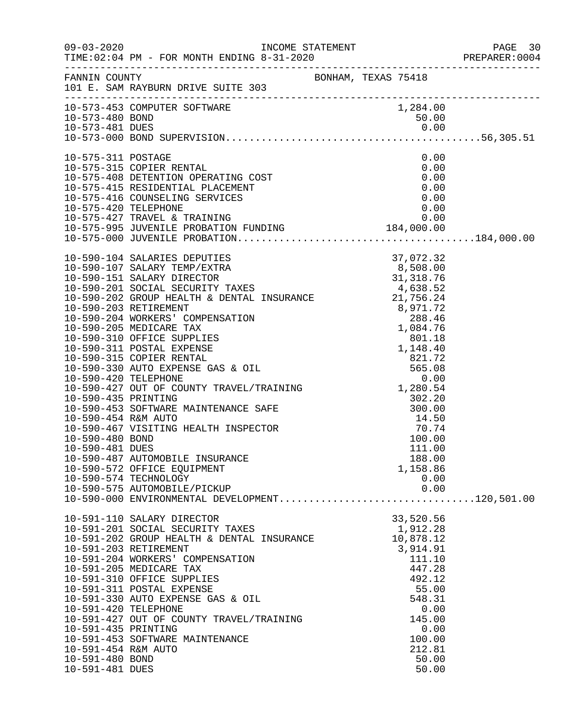|                                                                                                          |                                                                                                                                                                                                                                                                                                                                                                                                                                                                                                                                                                                                                                                                                           |                                                                                                                                                                 | PREPARER: 0004 |
|----------------------------------------------------------------------------------------------------------|-------------------------------------------------------------------------------------------------------------------------------------------------------------------------------------------------------------------------------------------------------------------------------------------------------------------------------------------------------------------------------------------------------------------------------------------------------------------------------------------------------------------------------------------------------------------------------------------------------------------------------------------------------------------------------------------|-----------------------------------------------------------------------------------------------------------------------------------------------------------------|----------------|
|                                                                                                          | FANNIN COUNTY<br>101 E. SAM RAYBURN DRIVE SUITE 303                                                                                                                                                                                                                                                                                                                                                                                                                                                                                                                                                                                                                                       |                                                                                                                                                                 |                |
| 10-573-480 BOND                                                                                          | 10-573-453 COMPUTER SOFTWARE                                                                                                                                                                                                                                                                                                                                                                                                                                                                                                                                                                                                                                                              | 1,284.00<br>50.00                                                                                                                                               |                |
| 10-575-311 POSTAGE<br>10-575-420 TELEPHONE                                                               | 10-575-315 COPIER RENTAL<br>10-575-408 DETENTION OPERATING COST<br>10-575-415 RESIDENTIAL PLACEMENT<br>10-575-416 COUNSELING SERVICES                                                                                                                                                                                                                                                                                                                                                                                                                                                                                                                                                     | 0.00<br>0.00<br>0.00<br>0.00<br>0.00<br>0.00                                                                                                                    |                |
| 10-590-454 R&M AUTO<br>10-590-480 BOND<br>10-590-481 DUES                                                | 10-590-104 SALARIES DEPUTIES<br>10-590-107 SALARY TEMP/EXTRA<br>10-590-107 SALARY DIRECTOR<br>10-590-201 SOCIAL SECURITY TAXES<br>10-590-201 SOCIAL SECURITY TAXES<br>10-590-202 GROUP HEALTH & DENTAL INSURANCE<br>10-590-203 RETIREMENT<br><br>1,148.40<br>1,148.40<br>10-590-330 AUTO EXPENSE GAS & OIL<br>10-590-420 TELEPHONE<br>10-590-427 OUT OF COUNTY TRAVEL/TRAINING<br>1,280.54<br>1,280.54<br>1,280.54<br>1,280.54<br>1,280.54<br>1,280.54<br>1,280.54<br>1,280.54<br>10-590-453 SOFTWARE MAINTENANCE SAFE<br>10-590-467 VISITING HEALTH INSPECTOR<br>10-590-487 AUTOMOBILE INSURANCE<br>10-590-572 OFFICE EQUIPMENT<br>10-590-574 TECHNOLOGY<br>10-590-575 AUTOMOBILE/PICKUP | $302.20$<br>$300.00$<br>$14.50$<br>$\frac{14.50}{70.71}$<br>100.00<br>111.00<br>188.00<br>1,158.86<br>0.00<br>0.00                                              |                |
| 10-591-420 TELEPHONE<br>10-591-435 PRINTING<br>10-591-454 R&M AUTO<br>10-591-480 BOND<br>10-591-481 DUES | 10-591-110 SALARY DIRECTOR<br>10-591-201 SOCIAL SECURITY TAXES<br>10-591-202 GROUP HEALTH & DENTAL INSURANCE<br>10-591-203 RETIREMENT<br>10-591-204 WORKERS' COMPENSATION<br>10-591-205 MEDICARE TAX<br>10-591-310 OFFICE SUPPLIES<br>10-591-311 POSTAL EXPENSE<br>10-591-330 AUTO EXPENSE GAS & OIL<br>10-591-427 OUT OF COUNTY TRAVEL/TRAINING<br>10-591-453 SOFTWARE MAINTENANCE                                                                                                                                                                                                                                                                                                       | 33,520.56<br>1,912.28<br>10,878.12<br>3,914.91<br>111.10<br>447.28<br>492.12<br>55.00<br>548.31<br>0.00<br>145.00<br>0.00<br>100.00<br>212.81<br>50.00<br>50.00 |                |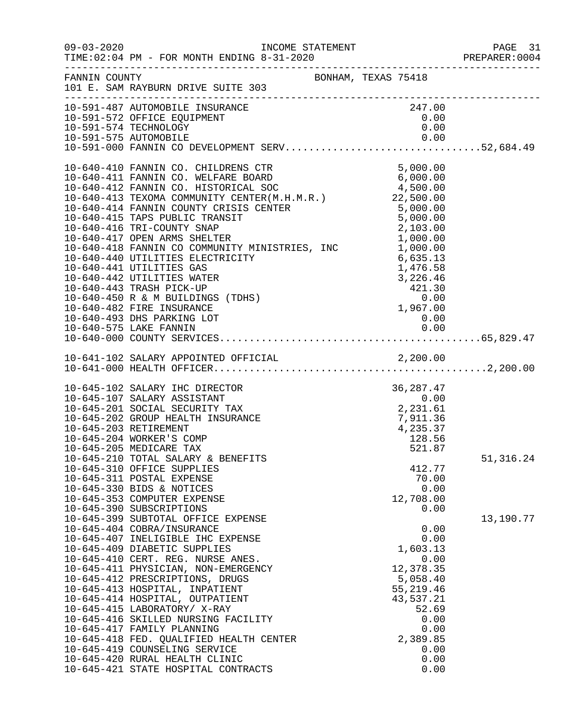|                       |                                                                                                                                                                                                                                                                                                                                                                                                                                                                                                                                                                                                                                                                                                                    |                                                              |        |                                                                                  |                                                              | PREPARER: 0004 |
|-----------------------|--------------------------------------------------------------------------------------------------------------------------------------------------------------------------------------------------------------------------------------------------------------------------------------------------------------------------------------------------------------------------------------------------------------------------------------------------------------------------------------------------------------------------------------------------------------------------------------------------------------------------------------------------------------------------------------------------------------------|--------------------------------------------------------------|--------|----------------------------------------------------------------------------------|--------------------------------------------------------------|----------------|
|                       | FANNIN COUNTY<br>101 E. SAM RAYBURN DRIVE SUITE 303<br>BONHAM, TEXAS 75418                                                                                                                                                                                                                                                                                                                                                                                                                                                                                                                                                                                                                                         |                                                              |        |                                                                                  |                                                              |                |
|                       | 10-591-487 AUTOMOBILE INSURANCE<br>10-591-572 OFFICE EQUIPMENT<br>10-591-574 TECHNOLOGY<br>10-591-575 AUTOMOBILE<br>10-591-000 FANNIN CO DEVELOPMENT SERV52,684.49                                                                                                                                                                                                                                                                                                                                                                                                                                                                                                                                                 |                                                              | 247.00 | 0.00                                                                             |                                                              |                |
|                       | 10-640-410 FANNIN CO. CHILDRENS CTR<br>10-640-411 FANNIN CO. WELFARE BOARD<br>10-640-412 FANNIN CO. HISTORICAL SOC $\begin{array}{@{}c@{\thinspace}c@{\thinspace}c@{\thinspace}c@{\thinspace}c@{\thinspace}c@{\thinspace}c@{\thinspace}c@{\thinspace}c@{\thinspace}c@{\thinspace}c@{\thinspace}c@{\thinspace}c@{\thinspace}c@{\thinspace}c@{\thinspace}c@{\thinspace}c@{\thinspace}$<br>10-640-416 TRI-COUNTY SNAP<br>10-640-417 OPEN ARMS SHELTER 1,000.00<br>10-640-418 FANNIN CO COMMUNITY MINISTRIES, INC 1,000.00<br>10-640-440 UTILITIES ELECTRICITY<br>10-640-441 UTILITIES GAS<br>10-640-442 UTILITIES WATER<br>10-640-443 TRASH PICK-UP<br>10-640-450 R & M BUILDINGS (TDHS)<br>10-640-482 FIRE INSURANCE | $1,476.58$<br>$3,226.46$<br>$421.30$<br>$0.00$<br>$1,967.00$ |        | 6,635.13<br>1,476.58                                                             |                                                              |                |
|                       |                                                                                                                                                                                                                                                                                                                                                                                                                                                                                                                                                                                                                                                                                                                    |                                                              |        |                                                                                  |                                                              |                |
| 10-645-203 RETIREMENT | 36, 287.47<br>0.00<br>2, 231.61<br>7, 911.36<br>7, 911.36<br>10-645-102 SALARY IHC DIRECTOR<br>10-645-107 SALARY ASSISTANT<br>10-645-201 SOCIAL SECURITY TAX<br>10-645-202 GROUP HEALTH INSURANCE<br>10-645-204 WORKER'S COMP<br>10-645-205 MEDICARE TAX                                                                                                                                                                                                                                                                                                                                                                                                                                                           |                                                              |        | 4,235.37<br>128.56<br>521.87                                                     |                                                              |                |
|                       | 10-645-210 TOTAL SALARY & BENEFITS<br>10-645-310 OFFICE SUPPLIES<br>10-645-311 POSTAL EXPENSE<br>10-645-330 BIDS & NOTICES<br>10-645-353 COMPUTER EXPENSE<br>10-645-390 SUBSCRIPTIONS                                                                                                                                                                                                                                                                                                                                                                                                                                                                                                                              |                                                              |        | 412.77<br>70.00<br>12,708.00                                                     | 0.00<br>0.00                                                 | 51, 316.24     |
|                       | 10-645-399 SUBTOTAL OFFICE EXPENSE<br>10-645-404 COBRA/INSURANCE<br>10-645-407 INELIGIBLE IHC EXPENSE<br>10-645-409 DIABETIC SUPPLIES<br>10-645-410 CERT. REG. NURSE ANES.<br>10-645-411 PHYSICIAN, NON-EMERGENCY<br>10-645-412 PRESCRIPTIONS, DRUGS<br>10-645-413 HOSPITAL, INPATIENT<br>10-645-414 HOSPITAL, OUTPATIENT<br>10-645-415 LABORATORY/ X-RAY<br>10-645-416 SKILLED NURSING FACILITY<br>10-645-417 FAMILY PLANNING<br>10-645-418 FED. QUALIFIED HEALTH CENTER<br>10-645-419 COUNSELING SERVICE<br>10-645-420 RURAL HEALTH CLINIC<br>10-645-421 STATE HOSPITAL CONTRACTS                                                                                                                                |                                                              |        | 1,603.13<br>12,378.35<br>5,058.40<br>55,219.46<br>43,537.21<br>52.69<br>2,389.85 | 0.00<br>0.00<br>0.00<br>0.00<br>0.00<br>0.00<br>0.00<br>0.00 | 13,190.77      |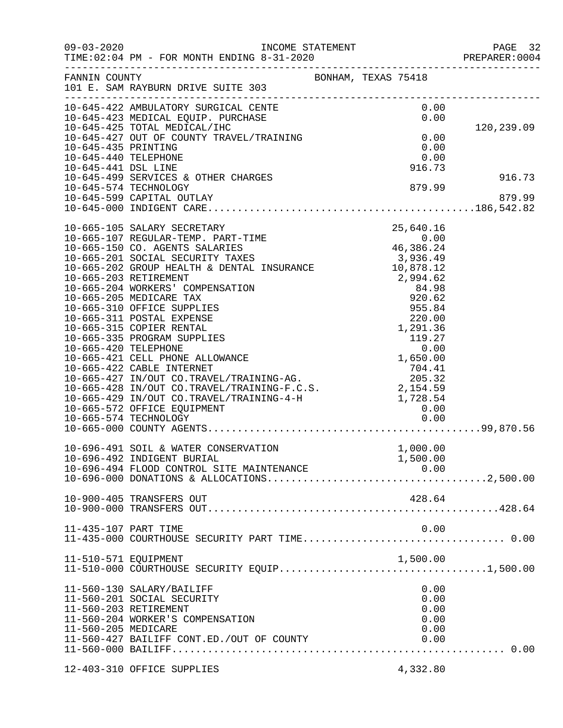|                                                                    |                                                                                                                                                                                                                                                                                                                                                                                                                                                                                                                                                                                                                                                                                                                |  |                                                                                                                  |                                              | PAGE 32<br>PREPARER: 0004 |
|--------------------------------------------------------------------|----------------------------------------------------------------------------------------------------------------------------------------------------------------------------------------------------------------------------------------------------------------------------------------------------------------------------------------------------------------------------------------------------------------------------------------------------------------------------------------------------------------------------------------------------------------------------------------------------------------------------------------------------------------------------------------------------------------|--|------------------------------------------------------------------------------------------------------------------|----------------------------------------------|---------------------------|
| FANNIN COUNTY                                                      | 101 E. SAM RAYBURN DRIVE SUITE 303                                                                                                                                                                                                                                                                                                                                                                                                                                                                                                                                                                                                                                                                             |  | BONHAM, TEXAS 75418                                                                                              |                                              |                           |
|                                                                    | 10-645-422 AMBULATORY SURGICAL CENTE<br>10-645-423 MEDICAL EQUIP. PURCHASE<br>10-645-425 TOTAL MEDICAL/IHC<br>10-645-427 OUT OF COUNTY TRAVEL/TRAINING                                                                                                                                                                                                                                                                                                                                                                                                                                                                                                                                                         |  | 0.00                                                                                                             | 0.00<br>0.00                                 | 120,239.09                |
| 10-645-435 PRINTING<br>10-645-440 TELEPHONE<br>10-645-441 DSL LINE |                                                                                                                                                                                                                                                                                                                                                                                                                                                                                                                                                                                                                                                                                                                |  | 916.73                                                                                                           | 0.00<br>0.00                                 |                           |
|                                                                    | 10-645-499 SERVICES & OTHER CHARGES<br>10-645-574 TECHNOLOGY<br>10-645-599 CAPITAL OUTLAY                                                                                                                                                                                                                                                                                                                                                                                                                                                                                                                                                                                                                      |  | 879.99                                                                                                           |                                              | 916.73<br>879.99          |
| 10-665-420 TELEPHONE                                               | 10-665-105 SALARY SECRETARY 25,640.16<br>10-665-107 REGULAR-TEMP. PART-TIME 0.00<br>10-665-150 CO. AGENTS SALARIES 46,386.24<br>10-665-201 SOCIAL SECURITY TAXES 3,936.49<br>10-665-202 GROUP HEALTH & DENTAL INSURANCE 10,878.12<br>10,<br>10-665-203 RETIREMENT<br>10-665-204 WORKERS' COMPENSATION<br>10-665-205 MEDICARE TAX<br>10-665-310 OFFICE SUPPLIES<br>10-665-311 POSTAL EXPENSE<br>10-665-315 COPIER RENTAL<br>10-665-335 PROGRAM SUPPLIES<br>10-665-421 CELL PHONE ALLOWANCE<br>10-665-427 IN/OUT CO.TRAVEL/TRAINING-AG.<br>10-665-428 IN/OUT CO.TRAVEL/TRAINING-AG. 205.32<br>10-665-428 IN/OUT CO.TRAVEL/TRAINING-F.C.S. 2,154.59<br>10-665-572 OFFICE EQUIPMENT<br>10-665-572 OFFICE EQUIPMENT |  | 10,878.12<br>2,994.62<br>84.98<br>920.62<br>955.84<br>220.00<br>1,291.36<br>119.27<br>0.00<br>1,650.00<br>704.41 |                                              |                           |
|                                                                    | 10-696-491 SOIL & WATER CONSERVATION<br>10-696-492 INDIGENT BURIAL<br>10-696-494 FLOOD CONTROL SITE MAINTENANCE                                                                                                                                                                                                                                                                                                                                                                                                                                                                                                                                                                                                |  | 1,000.00<br>1,500.00                                                                                             |                                              |                           |
|                                                                    | 10-900-405 TRANSFERS OUT                                                                                                                                                                                                                                                                                                                                                                                                                                                                                                                                                                                                                                                                                       |  | 428.64                                                                                                           |                                              |                           |
| 11-435-107 PART TIME                                               |                                                                                                                                                                                                                                                                                                                                                                                                                                                                                                                                                                                                                                                                                                                |  |                                                                                                                  | 0.00                                         |                           |
| 11-510-571 EQUIPMENT                                               |                                                                                                                                                                                                                                                                                                                                                                                                                                                                                                                                                                                                                                                                                                                |  | 1,500.00                                                                                                         |                                              |                           |
| 11-560-205 MEDICARE                                                | 11-560-130 SALARY/BAILIFF<br>11-560-201 SOCIAL SECURITY<br>11-560-203 RETIREMENT<br>11-560-204 WORKER'S COMPENSATION<br>11-560-427 BAILIFF CONT.ED./OUT OF COUNTY                                                                                                                                                                                                                                                                                                                                                                                                                                                                                                                                              |  |                                                                                                                  | 0.00<br>0.00<br>0.00<br>0.00<br>0.00<br>0.00 |                           |
|                                                                    | 12-403-310 OFFICE SUPPLIES                                                                                                                                                                                                                                                                                                                                                                                                                                                                                                                                                                                                                                                                                     |  | 4,332.80                                                                                                         |                                              |                           |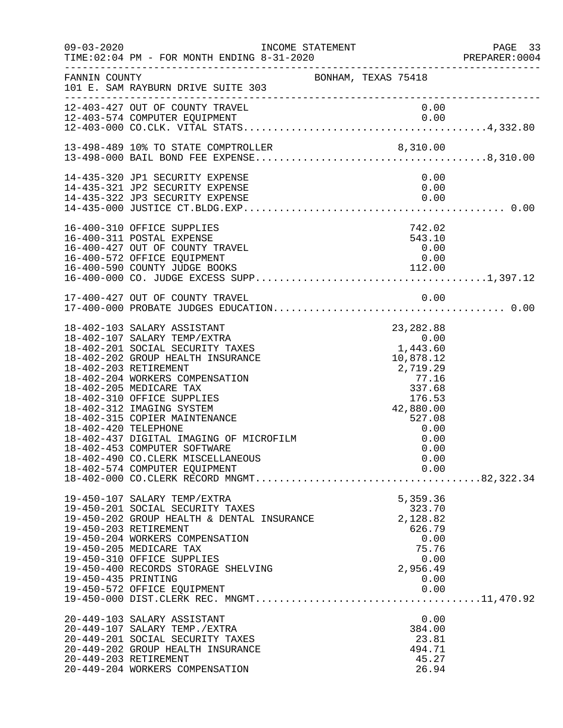| $09 - 03 - 2020$     | TIME: 02:04 PM - FOR MONTH ENDING 8-31-2020<br>--------------------------------------                                                                                                                                                                                                                                                                                                                                                                                    | INCOME STATEMENT    |                                         |                                                                                      |                                      | PAGE 33<br>PREPARER: 0004 |
|----------------------|--------------------------------------------------------------------------------------------------------------------------------------------------------------------------------------------------------------------------------------------------------------------------------------------------------------------------------------------------------------------------------------------------------------------------------------------------------------------------|---------------------|-----------------------------------------|--------------------------------------------------------------------------------------|--------------------------------------|---------------------------|
| FANNIN COUNTY        | 101 E. SAM RAYBURN DRIVE SUITE 303                                                                                                                                                                                                                                                                                                                                                                                                                                       | BONHAM, TEXAS 75418 |                                         |                                                                                      |                                      |                           |
|                      | 12-403-427 OUT OF COUNTY TRAVEL                                                                                                                                                                                                                                                                                                                                                                                                                                          |                     |                                         |                                                                                      | 0.00                                 |                           |
|                      |                                                                                                                                                                                                                                                                                                                                                                                                                                                                          |                     |                                         |                                                                                      |                                      |                           |
|                      | 14-435-320 JP1 SECURITY EXPENSE<br>14-435-321 JP2 SECURITY EXPENSE<br>14-435-322 JP3 SECURITY EXPENSE                                                                                                                                                                                                                                                                                                                                                                    |                     |                                         |                                                                                      | 0.00<br>0.00<br>0.00                 |                           |
|                      | 16-400-310 OFFICE SUPPLIES<br>16-400-311 POSTAL EXPENSE<br>16-400-427 OUT OF COUNTY TRAVEL<br>16-400-572 OFFICE EQUIPMENT<br>16-400-590 COUNTY JUDGE BOOKS                                                                                                                                                                                                                                                                                                               |                     |                                         | 742.02<br>543.10<br>0.00<br>0.00                                                     |                                      |                           |
|                      | 17-400-427 OUT OF COUNTY TRAVEL                                                                                                                                                                                                                                                                                                                                                                                                                                          |                     |                                         |                                                                                      | 0.00                                 |                           |
| 18-402-420 TELEPHONE | 18-402-103 SALARY ASSISTANT<br>18-402-107 SALARY TEMP/EXTRA<br>18-402-201 SOCIAL SECURITY TAXES<br>18-402-202 GROUP HEALTH INSURANCE<br>18-402-203 RETIREMENT<br>18-402-204 WORKERS COMPENSATION<br>18-402-205 MEDICARE TAX<br>18-402-310 OFFICE SUPPLIES<br>18-402-312 IMAGING SYSTEM<br>18-402-315 COPIER MAINTENANCE<br>18-402-437 DIGITAL IMAGING OF MICROFILM<br>18-402-453 COMPUTER SOFTWARE<br>18-402-490 CO.CLERK MISCELLANEOUS<br>18-402-574 COMPUTER EQUIPMENT |                     | $0.00\ 1,443.60\ 10,878.12$<br>2,719.29 | 23,282.88<br>10,878.12<br>77.16<br>337.68<br>176.53<br>42,880.00<br>527.08<br>527.08 | 0.00<br>0.00<br>0.00<br>0.00<br>0.00 |                           |
| 19-450-435 PRINTING  | 19-450-107 SALARY TEMP/EXTRA<br>19-450-201 SOCIAL SECURITY TAXES<br>19-450-202 GROUP HEALTH & DENTAL INSURANCE<br>19-450-203 RETIREMENT<br>19-450-204 WORKERS COMPENSATION<br>19-450-205 MEDICARE TAX<br>19-450-310 OFFICE SUPPLIES<br>19-450-400 RECORDS STORAGE SHELVING<br>19-450-572 OFFICE EQUIPMENT                                                                                                                                                                |                     |                                         | 5,359.36<br>323.70<br>2,128.82<br>626.79<br>75.76<br>2,956.49                        | 0.00<br>0.00<br>0.00<br>0.00         |                           |
|                      | 20-449-103 SALARY ASSISTANT<br>20-449-107 SALARY TEMP./EXTRA<br>20-449-201 SOCIAL SECURITY TAXES<br>20-449-202 GROUP HEALTH INSURANCE<br>20-449-203 RETIREMENT<br>20-449-204 WORKERS COMPENSATION                                                                                                                                                                                                                                                                        |                     |                                         | 384.00<br>23.81<br>494.71<br>45.27<br>26.94                                          | 0.00                                 |                           |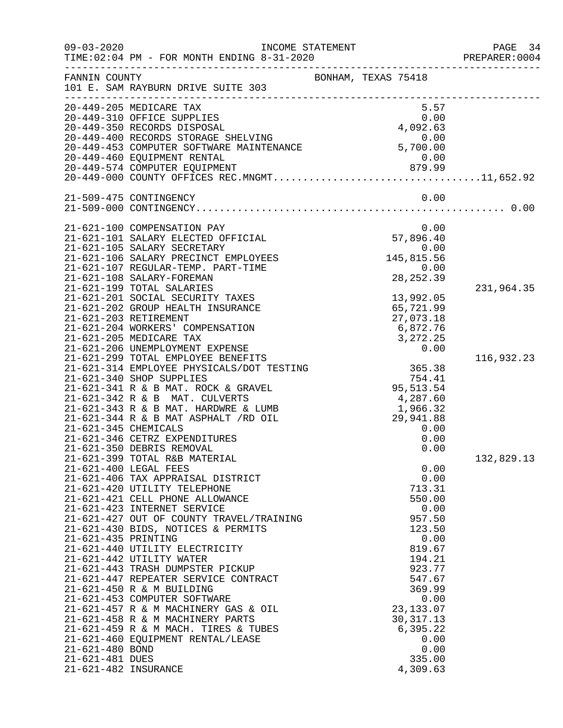| $09 - 03 - 2020$                                                                  | INCOME STATEMENT<br>TIME: 02:04 PM - FOR MONTH ENDING 8-31-2020                                                                                                                                                                                                                                                                                                                                                                                                                                                                                                                                                                                                                                                                                                                                                                                                                                                   |                     |                                                                 |                                                                                                                                                                               |                                      | PAGE 34<br>PREPARER: 0004              |
|-----------------------------------------------------------------------------------|-------------------------------------------------------------------------------------------------------------------------------------------------------------------------------------------------------------------------------------------------------------------------------------------------------------------------------------------------------------------------------------------------------------------------------------------------------------------------------------------------------------------------------------------------------------------------------------------------------------------------------------------------------------------------------------------------------------------------------------------------------------------------------------------------------------------------------------------------------------------------------------------------------------------|---------------------|-----------------------------------------------------------------|-------------------------------------------------------------------------------------------------------------------------------------------------------------------------------|--------------------------------------|----------------------------------------|
| FANNIN COUNTY                                                                     | 101 E. SAM RAYBURN DRIVE SUITE 303                                                                                                                                                                                                                                                                                                                                                                                                                                                                                                                                                                                                                                                                                                                                                                                                                                                                                | BONHAM, TEXAS 75418 |                                                                 |                                                                                                                                                                               |                                      |                                        |
|                                                                                   | 20-449-205 MEDICARE TAX<br>20-449-310 OFFICE SUPPLIES<br>20-449-350 RECORDS DISPOSAL<br>20-449-400 RECORDS STORAGE SHELVING<br>20-449-453 COMPUTER SOFTWARE MAINTENANCE 5,700.00                                                                                                                                                                                                                                                                                                                                                                                                                                                                                                                                                                                                                                                                                                                                  |                     | 4,092.63                                                        | 5.57<br>0.00                                                                                                                                                                  |                                      |                                        |
|                                                                                   | 21-509-475 CONTINGENCY                                                                                                                                                                                                                                                                                                                                                                                                                                                                                                                                                                                                                                                                                                                                                                                                                                                                                            |                     |                                                                 |                                                                                                                                                                               | 0.00                                 |                                        |
| 21-621-345 CHEMICALS                                                              | 21-621-100 COMPENSATION PAY<br>21-621-101 SALARY ELECTED OFFICIAL<br>21-621-105 SALARY SECRETARY<br>21-621-106 SALARY PRECINCT EMPLOYEES<br>21-621-107 REGULAR-TEMP. PART-TIME<br>21-621-108 SALARY-FOREMAN<br>21-621-199 TOTAL SALARIES<br>21-621-201 SOCIAL SECURITY TAXES<br>21-621-202 GROUP HEALTH INSURANCE<br>21-621-203 RETIREMENT<br>21-621-204 WORKERS' COMPENSATION<br>21-621-205 MEDICARE TAX<br>21-621-206 UNEMPLOYMENT EXPENSE<br>21-621-299 TOTAL EMPLOYEE BENEFITS<br>21-621-314 EMPLOYEE PHYSICALS/DOT TESTING<br>21-621-340 SHOP SUPPLIES<br>21-621-341 R & B MAT. ROCK & GRAVEL<br>21-621-342 R & B MAT. CULVERTS<br>21-621-343 R & B MAT. HARDWRE & LUMB<br>21-621-344 R & B MAT ASPHALT /RD OIL<br>21-621-346 CETRZ EXPENDITURES<br>21-621-350 DEBRIS REMOVAL<br>21-621-399 TOTAL R&B MATERIAL<br>21-621-400 LEGAL FEES<br>21-621-406 TAX APPRAISAL DISTRICT<br>21-621-420 UTILITY TELEPHONE |                     | 57,896.40<br>145,815.56<br>95, 513. 54<br>1,966.32<br>29,941.88 | 0.00<br>0.00<br>0.00<br>28, 252.39<br>13,992.05<br>65,721.99<br>27,073.18<br>6,872.76<br>3, 272. 25<br>0.00<br>365.38<br>754.41<br>4,287.60<br>0.00<br>0.00<br>0.00<br>713.31 | 0.00<br>0.00                         | 231,964.35<br>116,932.23<br>132,829.13 |
| 21-621-435 PRINTING<br>21-621-480 BOND<br>21-621-481 DUES<br>21-621-482 INSURANCE | 21-621-421 CELL PHONE ALLOWANCE<br>21-621-423 INTERNET SERVICE<br>21-621-427 OUT OF COUNTY TRAVEL/TRAINING<br>21-621-430 BIDS, NOTICES & PERMITS<br>21-621-440 UTILITY ELECTRICITY<br>21-621-442 UTILITY WATER<br>21-621-443 TRASH DUMPSTER PICKUP<br>21-621-447 REPEATER SERVICE CONTRACT<br>21-621-450 R & M BUILDING<br>21-621-453 COMPUTER SOFTWARE<br>21-621-457 R & M MACHINERY GAS & OIL<br>21-621-458 R & M MACHINERY PARTS<br>21-621-459 R & M MACH. TIRES & TUBES<br>21-621-460 EQUIPMENT RENTAL/LEASE                                                                                                                                                                                                                                                                                                                                                                                                  |                     |                                                                 | 550.00<br>957.50<br>123.50<br>819.67<br>194.21<br>923.77<br>547.67<br>369.99<br>23, 133.07<br>30, 317. 13<br>6,395.22<br>335.00<br>4,309.63                                   | 0.00<br>0.00<br>0.00<br>0.00<br>0.00 |                                        |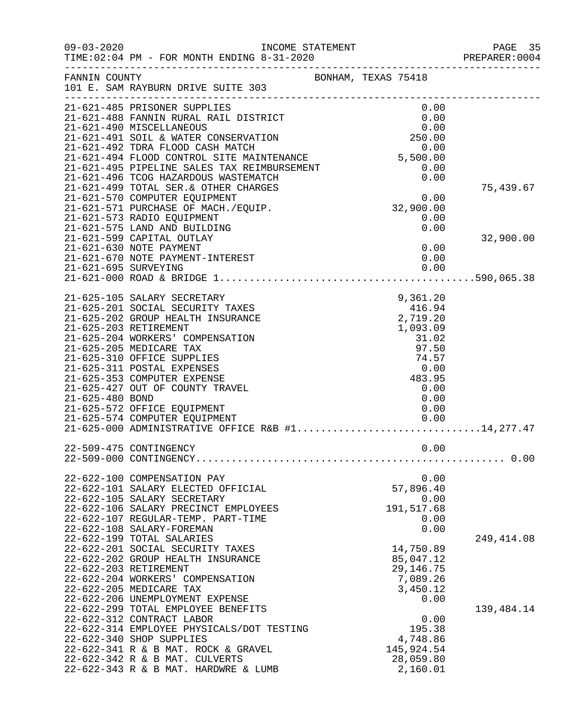| $09 - 03 - 2020$     | INCOME STATEMENT<br>TIME: 02:04 PM - FOR MONTH ENDING 8-31-2020                   | ---------------------------------- | PAGE 35<br>PREPARER:0004 |
|----------------------|-----------------------------------------------------------------------------------|------------------------------------|--------------------------|
| FANNIN COUNTY        | 101 E. SAM RAYBURN DRIVE SUITE 303<br>__________________________________          | BONHAM, TEXAS 75418                |                          |
|                      | 21-621-485 PRISONER SUPPLIES                                                      | 0.00                               |                          |
|                      | 21-621-488 FANNIN RURAL RAIL DISTRICT                                             | 0.00                               |                          |
|                      |                                                                                   |                                    |                          |
|                      |                                                                                   |                                    |                          |
|                      |                                                                                   |                                    |                          |
|                      |                                                                                   |                                    |                          |
|                      |                                                                                   |                                    |                          |
|                      |                                                                                   |                                    | 75,439.67                |
|                      |                                                                                   | $0.00$<br>32,900.00                |                          |
|                      | 21-621-571 PURCHASE OF MACH./EQUIP.                                               |                                    |                          |
|                      | 21-621-573 RADIO EQUIPMENT                                                        | 0.00                               |                          |
|                      | 21-621-575 LAND AND BUILDING                                                      | 0.00                               |                          |
|                      | 21-621-599 CAPITAL OUTLAY                                                         |                                    | 32,900.00                |
|                      | 21-621-630 NOTE PAYMENT                                                           | 0.00                               |                          |
|                      | 21-621-670 NOTE PAYMENT-INTEREST                                                  | 0.00                               |                          |
| 21-621-695 SURVEYING |                                                                                   | 0.00                               |                          |
|                      |                                                                                   |                                    |                          |
|                      | 21-625-105 SALARY SECRETARY                                                       |                                    |                          |
|                      | 21-625-201 SOCIAL SECURITY TAXES                                                  |                                    |                          |
|                      | 21-625-202 GROUP HEALTH INSURANCE                                                 | $9,301.20$<br>416.94<br>2,719.20   |                          |
|                      | 21-625-203 RETIREMENT                                                             | 1,093.09                           |                          |
|                      | 21-625-204 WORKERS' COMPENSATION                                                  | 31.02                              |                          |
|                      | 21-625-205 MEDICARE TAX                                                           | 97.50                              |                          |
|                      | 21-625-310 OFFICE SUPPLIES                                                        | 74.57                              |                          |
|                      | 21-625-311 POSTAL EXPENSES                                                        | 0.00                               |                          |
|                      | 21-625-353 COMPUTER EXPENSE                                                       | 483.95                             |                          |
|                      | 21-625-427 OUT OF COUNTY TRAVEL                                                   | 0.00                               |                          |
| 21-625-480 BOND      | 21-625-572 OFFICE EQUIPMENT                                                       | 0.00<br>0.00                       |                          |
|                      | 21-625-574 COMPUTER EQUIPMENT                                                     | 0.00                               |                          |
|                      | 21-625-574 COMPUTER EQUIPMENT<br>21-625-000 ADMINISTRATIVE OFFICE R&B #114,277.47 |                                    |                          |
|                      |                                                                                   |                                    |                          |
|                      | 22-509-475 CONTINGENCY                                                            | 0.00                               |                          |
|                      |                                                                                   |                                    |                          |
|                      | 22-622-100 COMPENSATION PAY                                                       | 0.00                               |                          |
|                      | 22-622-101 SALARY ELECTED OFFICIAL                                                | 57,896.40                          |                          |
|                      | 22-622-105 SALARY SECRETARY                                                       | 0.00                               |                          |
|                      | 22-622-106 SALARY PRECINCT EMPLOYEES                                              | 191,517.68                         |                          |
|                      | 22-622-107 REGULAR-TEMP. PART-TIME                                                | 0.00                               |                          |
|                      | 22-622-108 SALARY-FOREMAN                                                         | 0.00                               |                          |
|                      | 22-622-199 TOTAL SALARIES                                                         |                                    | 249, 414.08              |
|                      | 22-622-201 SOCIAL SECURITY TAXES                                                  | 14,750.89                          |                          |
|                      | 22-622-202 GROUP HEALTH INSURANCE                                                 | 85,047.12                          |                          |
|                      | 22-622-203 RETIREMENT<br>22-622-204 WORKERS' COMPENSATION                         | 29, 146. 75<br>7,089.26            |                          |
|                      | 22-622-205 MEDICARE TAX                                                           | 3,450.12                           |                          |
|                      | 22-622-206 UNEMPLOYMENT EXPENSE                                                   | 0.00                               |                          |
|                      | 22-622-299 TOTAL EMPLOYEE BENEFITS                                                |                                    | 139,484.14               |
|                      | 22-622-312 CONTRACT LABOR                                                         | 0.00                               |                          |
|                      | 22-622-314 EMPLOYEE PHYSICALS/DOT TESTING                                         | 195.38                             |                          |
|                      | 22-622-340 SHOP SUPPLIES                                                          | 4,748.86                           |                          |
|                      | 22-622-341 R & B MAT. ROCK & GRAVEL                                               | 145,924.54                         |                          |
|                      | 22-622-342 R & B MAT. CULVERTS                                                    | 28,059.80                          |                          |
|                      | 22-622-343 R & B MAT. HARDWRE & LUMB                                              | 2,160.01                           |                          |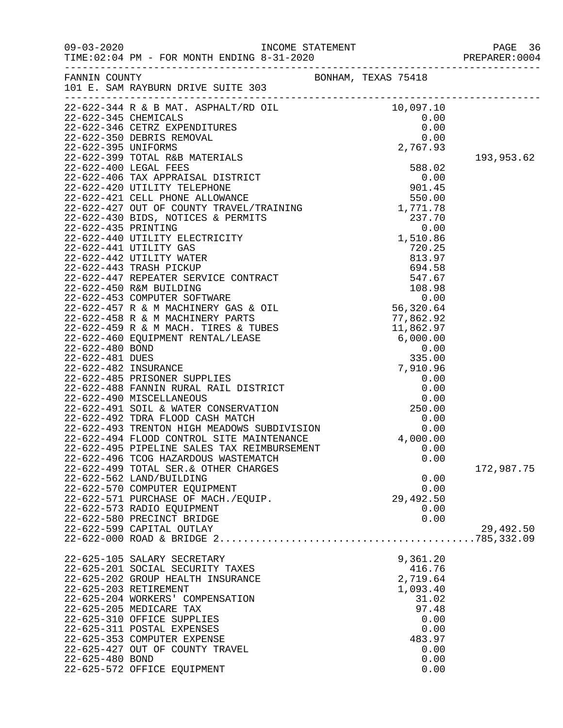09-03-2020<br>TIME:02:04 PM - FOR MONTH ENDING 8-31-2020<br>PREPARER:0004 PREPARER:0004

22-625-572 OFFICE EQUIPMENT

|                 |                                                                                                                                                                                                                                  |                     | PREPARER:0004 |
|-----------------|----------------------------------------------------------------------------------------------------------------------------------------------------------------------------------------------------------------------------------|---------------------|---------------|
| FANNIN COUNTY   | 101 E. SAM RAYBURN DRIVE SUITE 303                                                                                                                                                                                               | BONHAM, TEXAS 75418 |               |
|                 | 22-622-344 R & B MAT. ASPHALT/RD OIL<br>22-622-345 CHEMICALS<br>22-622-346 CETRZ EXPENDITURES<br>22-622-350 DEBRIS REMOVAL<br>22-622-395 UNIFORMS<br>22-622-399 TOTAL R&B MATERIALS<br>22-622-399 TOTAL R&B MATERIALS<br>2767.93 |                     |               |
|                 |                                                                                                                                                                                                                                  |                     |               |
|                 |                                                                                                                                                                                                                                  |                     |               |
|                 |                                                                                                                                                                                                                                  |                     |               |
|                 |                                                                                                                                                                                                                                  |                     |               |
|                 |                                                                                                                                                                                                                                  |                     | 193,953.62    |
|                 |                                                                                                                                                                                                                                  |                     |               |
|                 |                                                                                                                                                                                                                                  |                     |               |
|                 |                                                                                                                                                                                                                                  |                     |               |
|                 |                                                                                                                                                                                                                                  |                     |               |
|                 |                                                                                                                                                                                                                                  |                     |               |
|                 |                                                                                                                                                                                                                                  |                     |               |
|                 |                                                                                                                                                                                                                                  |                     |               |
|                 |                                                                                                                                                                                                                                  |                     |               |
|                 |                                                                                                                                                                                                                                  |                     |               |
|                 |                                                                                                                                                                                                                                  |                     |               |
|                 |                                                                                                                                                                                                                                  |                     |               |
|                 |                                                                                                                                                                                                                                  |                     |               |
|                 |                                                                                                                                                                                                                                  |                     |               |
|                 |                                                                                                                                                                                                                                  |                     |               |
|                 |                                                                                                                                                                                                                                  |                     |               |
|                 |                                                                                                                                                                                                                                  |                     |               |
|                 |                                                                                                                                                                                                                                  |                     |               |
|                 |                                                                                                                                                                                                                                  |                     |               |
|                 |                                                                                                                                                                                                                                  |                     |               |
|                 |                                                                                                                                                                                                                                  |                     |               |
|                 |                                                                                                                                                                                                                                  |                     |               |
|                 |                                                                                                                                                                                                                                  |                     |               |
|                 |                                                                                                                                                                                                                                  |                     |               |
|                 |                                                                                                                                                                                                                                  |                     |               |
|                 |                                                                                                                                                                                                                                  |                     |               |
|                 |                                                                                                                                                                                                                                  |                     |               |
|                 |                                                                                                                                                                                                                                  |                     |               |
|                 |                                                                                                                                                                                                                                  |                     |               |
|                 | 22-622-499 TOTAL SER. & OTHER CHARGES                                                                                                                                                                                            |                     | 172,987.75    |
|                 | 22-622-562 LAND/BUILDING                                                                                                                                                                                                         | 0.00                |               |
|                 | 22-622-570 COMPUTER EQUIPMENT                                                                                                                                                                                                    | 0.00                |               |
|                 | 22-622-571 PURCHASE OF MACH./EQUIP.                                                                                                                                                                                              | 29,492.50           |               |
|                 | 22-622-573 RADIO EQUIPMENT                                                                                                                                                                                                       | 0.00                |               |
|                 | 22-622-580 PRECINCT BRIDGE                                                                                                                                                                                                       | 0.00                |               |
|                 | 22-622-599 CAPITAL OUTLAY                                                                                                                                                                                                        |                     | 29,492.50     |
|                 |                                                                                                                                                                                                                                  |                     |               |
|                 | 22-625-105 SALARY SECRETARY                                                                                                                                                                                                      | 9,361.20            |               |
|                 | 22-625-201 SOCIAL SECURITY TAXES                                                                                                                                                                                                 | 416.76              |               |
|                 | 22-625-202 GROUP HEALTH INSURANCE                                                                                                                                                                                                | 2,719.64            |               |
|                 | 22-625-203 RETIREMENT                                                                                                                                                                                                            | 1,093.40            |               |
|                 | 22-625-204 WORKERS' COMPENSATION                                                                                                                                                                                                 | 31.02               |               |
|                 | 22-625-205 MEDICARE TAX                                                                                                                                                                                                          | 97.48               |               |
|                 | 22-625-310 OFFICE SUPPLIES                                                                                                                                                                                                       | 0.00                |               |
|                 | 22-625-311 POSTAL EXPENSES                                                                                                                                                                                                       | 0.00                |               |
|                 | 22-625-353 COMPUTER EXPENSE                                                                                                                                                                                                      | 483.97              |               |
|                 | 22-625-427 OUT OF COUNTY TRAVEL                                                                                                                                                                                                  | 0.00                |               |
| 22-625-480 BOND |                                                                                                                                                                                                                                  | 0.00                |               |
|                 | 22-625-572 OFFICE EOUIPMENT                                                                                                                                                                                                      | 0.00                |               |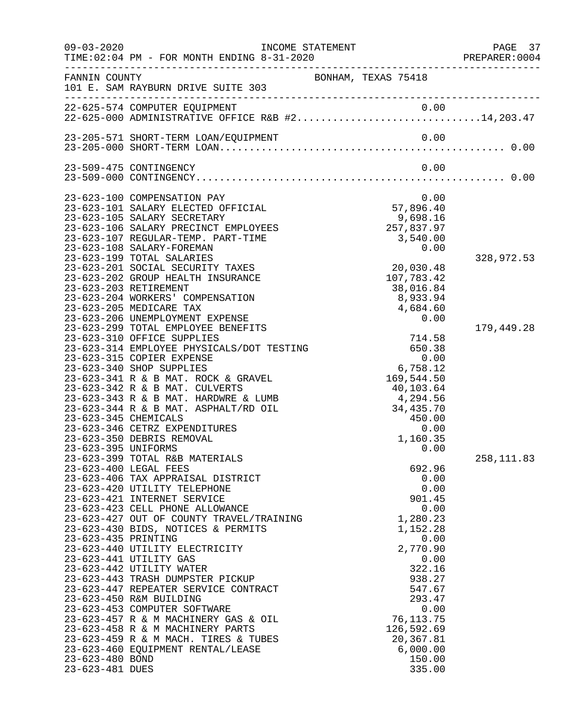| $09 - 03 - 2020$                   |                                                                                                                                                                                                                                                                                                                                                                                                                                                                                                                                                                                                                                                                                                                                                                                                                                                                                                                                                                                                                                                                                                                                                                                                                                                                                                                                                                                                                                                                                                                    | INCOME STATEMENT |                                                                                                                                                                                                                                                                                                                                                                                                                                                                    | PAGE 37<br>PREPARER: 0004              |
|------------------------------------|--------------------------------------------------------------------------------------------------------------------------------------------------------------------------------------------------------------------------------------------------------------------------------------------------------------------------------------------------------------------------------------------------------------------------------------------------------------------------------------------------------------------------------------------------------------------------------------------------------------------------------------------------------------------------------------------------------------------------------------------------------------------------------------------------------------------------------------------------------------------------------------------------------------------------------------------------------------------------------------------------------------------------------------------------------------------------------------------------------------------------------------------------------------------------------------------------------------------------------------------------------------------------------------------------------------------------------------------------------------------------------------------------------------------------------------------------------------------------------------------------------------------|------------------|--------------------------------------------------------------------------------------------------------------------------------------------------------------------------------------------------------------------------------------------------------------------------------------------------------------------------------------------------------------------------------------------------------------------------------------------------------------------|----------------------------------------|
| FANNIN COUNTY                      | 101 E. SAM RAYBURN DRIVE SUITE 303                                                                                                                                                                                                                                                                                                                                                                                                                                                                                                                                                                                                                                                                                                                                                                                                                                                                                                                                                                                                                                                                                                                                                                                                                                                                                                                                                                                                                                                                                 |                  | BONHAM, TEXAS 75418                                                                                                                                                                                                                                                                                                                                                                                                                                                |                                        |
|                                    | 22-625-574 COMPUTER EQUIPMENT 0.00<br>22-625-000 ADMINISTRATIVE OFFICE R&B #214,203.47                                                                                                                                                                                                                                                                                                                                                                                                                                                                                                                                                                                                                                                                                                                                                                                                                                                                                                                                                                                                                                                                                                                                                                                                                                                                                                                                                                                                                             |                  |                                                                                                                                                                                                                                                                                                                                                                                                                                                                    |                                        |
|                                    | 23-205-571 SHORT-TERM LOAN/EQUIPMENT                                                                                                                                                                                                                                                                                                                                                                                                                                                                                                                                                                                                                                                                                                                                                                                                                                                                                                                                                                                                                                                                                                                                                                                                                                                                                                                                                                                                                                                                               |                  | 0.00                                                                                                                                                                                                                                                                                                                                                                                                                                                               |                                        |
|                                    | 23-509-475 CONTINGENCY                                                                                                                                                                                                                                                                                                                                                                                                                                                                                                                                                                                                                                                                                                                                                                                                                                                                                                                                                                                                                                                                                                                                                                                                                                                                                                                                                                                                                                                                                             |                  | 0.00                                                                                                                                                                                                                                                                                                                                                                                                                                                               |                                        |
|                                    | 23-623-100 COMPENSATION PAY<br>23-623-101 SALARY ELECTED OFFICIAL<br>23-623-105 SALARY SECRETARY<br>23-623-106 SALARY PRECINCT EMPLOYEES<br>23-623-107 REGULAR-TEMP. PART-TIME<br>23-623-108 SALARY-FOREMAN<br>23-623-199 TOTAL SALARIES<br>23-623-201 SOCIAL SECURITY TAXES<br>23-623-202 GROUP HEALTH INSURANCE<br>23-623-203 RETIREMENT<br>23-623-204 WORKERS' COMPENSATION<br>23-623-205 MEDICARE TAX<br>23-623-206 UNEMPLOYMENT EXPENSE<br>23-623-299 TOTAL EMPLOYEE BENEFITS<br>23-623-310 OFFICE SUPPLIES<br>23-623-314 EMPLOYEE PHYSICALS/DOT TESTING<br>23-623-315 COPIER EXPENSE<br>23-623-340 SHOP SUPPLIES<br>23-623-341 R & B MAT. ROCK & GRAVEL<br>23-623-342 R & B MAT. CULVERTS<br>23-623-343 R & B MAT. HARDWRE & LUMB<br>23-623-344 R & B MAT. ASPHALT/RD OIL<br>23-623-345 CHEMICALS<br>23-623-346 CETRZ EXPENDITURES<br>23-623-350 DEBRIS REMOVAL<br>23-623-395 UNIFORMS<br>23-623-399 TOTAL R&B MATERIALS<br>23-623-400 LEGAL FEES<br>23-623-406 TAX APPRAISAL DISTRICT<br>23-623-420 UTILITY TELEPHONE<br>23-623-421 INTERNET SERVICE<br>23-623-423 CELL PHONE ALLOWANCE<br>23-623-427 OUT OF COUNTY TRAVEL/TRAINING<br>23-623-430 BIDS, NOTICES & PERMITS<br>23-623-435 PRINTING<br>23-623-440 UTILITY ELECTRICITY<br>23-623-441 UTILITY GAS<br>23-623-442 UTILITY WATER<br>23-623-443 TRASH DUMPSTER PICKUP<br>23-623-447 REPEATER SERVICE CONTRACT<br>23-623-450 R&M BUILDING<br>23-623-453 COMPUTER SOFTWARE<br>23-623-457 R & M MACHINERY GAS & OIL<br>23-623-458 R & M MACHINERY PARTS |                  | 0.00<br>57,896.40<br>9,698.16<br>9,698.16<br>257,837.97<br>3,540.00<br>0.00<br>20,030.48<br>107,783.42<br>38,016.84<br>8,933.94<br>4,684.60<br>0.00<br>714.58<br>650.38<br>0.00<br>6,758.12<br>169,544.50<br>40,103.64<br>4,294.56<br>34,435.70<br>450.00<br>0.00<br>1,160.35<br>0.00<br>692.96<br>0.00<br>0.00<br>901.45<br>0.00<br>1,280.23<br>1,152.28<br>0.00<br>2,770.90<br>0.00<br>322.16<br>938.27<br>547.67<br>293.47<br>0.00<br>76, 113. 75<br>126,592.69 | 328,972.53<br>179,449.28<br>258,111.83 |
| 23-623-480 BOND<br>23-623-481 DUES | 23-623-459 R & M MACH. TIRES & TUBES<br>23-623-460 EQUIPMENT RENTAL/LEASE                                                                                                                                                                                                                                                                                                                                                                                                                                                                                                                                                                                                                                                                                                                                                                                                                                                                                                                                                                                                                                                                                                                                                                                                                                                                                                                                                                                                                                          |                  | 20,367.81<br>6,000.00<br>150.00<br>335.00                                                                                                                                                                                                                                                                                                                                                                                                                          |                                        |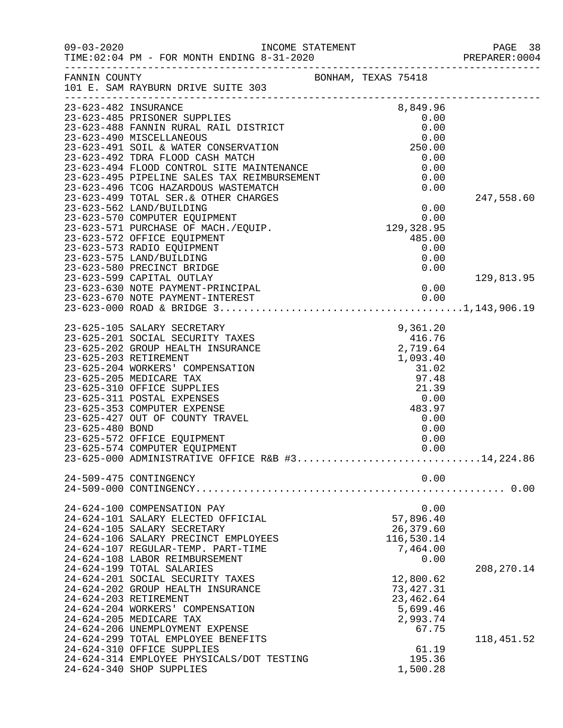| $09 - 03 - 2020$      |                                                                                                                                                                                                                                                                                                                                                                                                                                                                                                         |                                                                                                       | PAGE 38<br>PREPARER:0004   |
|-----------------------|---------------------------------------------------------------------------------------------------------------------------------------------------------------------------------------------------------------------------------------------------------------------------------------------------------------------------------------------------------------------------------------------------------------------------------------------------------------------------------------------------------|-------------------------------------------------------------------------------------------------------|----------------------------|
| FANNIN COUNTY         | 101 E. SAM RAYBURN DRIVE SUITE 303                                                                                                                                                                                                                                                                                                                                                                                                                                                                      | BONHAM, TEXAS 75418                                                                                   |                            |
| 23-623-482 INSURANCE  | DISTRICT<br>DISTRICT<br>COLOR<br>COLOR<br>COLOR<br>COLOR<br>COLOR<br>COLOR<br>COLOR<br>COLOR<br>COLOR<br>23-623-485 PRISONER SUPPLIES<br>23-623-488 FANNIN RURAL RAIL DISTRICT<br>23-623-490 MISCELLANEOUS<br>23-623-491 SOIL & WATER CONSERVATION<br>23-623-492 TDRA FLOOD CASH MATCH<br>23-623-492 TDRA FLOOD CASH MATCH<br>23-623-494 FLOOD CONTROL SITE MAINTENANCE<br>23-623-495 PIPELINE SALES TAX REIMBURSEMENT<br>23-623-496 TCOG HAZARDOUS WASTEMATCH                                          | 0.00<br>0.00                                                                                          | 247,558.60                 |
|                       | 23-623-599 CAPITAL OUTLAY                                                                                                                                                                                                                                                                                                                                                                                                                                                                               | 0.00                                                                                                  | 129,813.95                 |
| 23-625-480 BOND       | 23-625-105 SALARY SECRETARY<br>9, 361. 20 و.<br>20, 416. 416. 416. 416<br>2, 719. 64<br>23-625-201 SOCIAL SECURITY TAXES<br>23-625-202 GROUP HEALTH INSURANCE<br>23-625-203 RETIREMENT<br>23-625-204 WORKERS' COMPENSATION<br>23-625-205 MEDICARE TAX<br>23-625-310 OFFICE SUPPLIES<br>23-625-311 POSTAL EXPENSES<br>23-625-353 COMPUTER EXPENSE<br>23-625-427 OUT OF COUNTY TRAVEL<br>23-625-572 OFFICE EQUIPMENT<br>23-625-574 COMPUTER EQUIPMENT<br>23-625-000 ADMINISTRATIVE OFFICE R&B #314,224.86 | 2,719.64<br>1,093.40<br>31.02<br>97.48<br>21.39<br>0.00<br>483.97<br>0.00<br>0.00<br>0.00<br>0.00     |                            |
|                       | 24-509-475 CONTINGENCY                                                                                                                                                                                                                                                                                                                                                                                                                                                                                  | 0.00                                                                                                  |                            |
|                       | 24-624-100 COMPENSATION PAY<br>24-624-101 SALARY ELECTED OFFICIAL<br>24-624-105 SALARY SECRETARY<br>24-624-106 SALARY PRECINCT EMPLOYEES<br>24-624-107 REGULAR-TEMP. PART-TIME<br>24-624-108 LABOR REIMBURSEMENT                                                                                                                                                                                                                                                                                        | 0.00<br>57,896.40<br>26,379.60<br>116,530.14<br>7,464.00<br>0.00                                      |                            |
| 24-624-203 RETIREMENT | 24-624-199 TOTAL SALARIES<br>24-624-201 SOCIAL SECURITY TAXES<br>24-624-202 GROUP HEALTH INSURANCE<br>24-624-204 WORKERS' COMPENSATION<br>24-624-205 MEDICARE TAX<br>24-624-206 UNEMPLOYMENT EXPENSE<br>24-624-299 TOTAL EMPLOYEE BENEFITS<br>24-624-310 OFFICE SUPPLIES<br>24-624-314 EMPLOYEE PHYSICALS/DOT TESTING<br>24-624-340 SHOP SUPPLIES                                                                                                                                                       | 12,800.62<br>73, 427.31<br>23, 462.64<br>5,699.46<br>2,993.74<br>67.75<br>61.19<br>195.36<br>1,500.28 | 208, 270.14<br>118, 451.52 |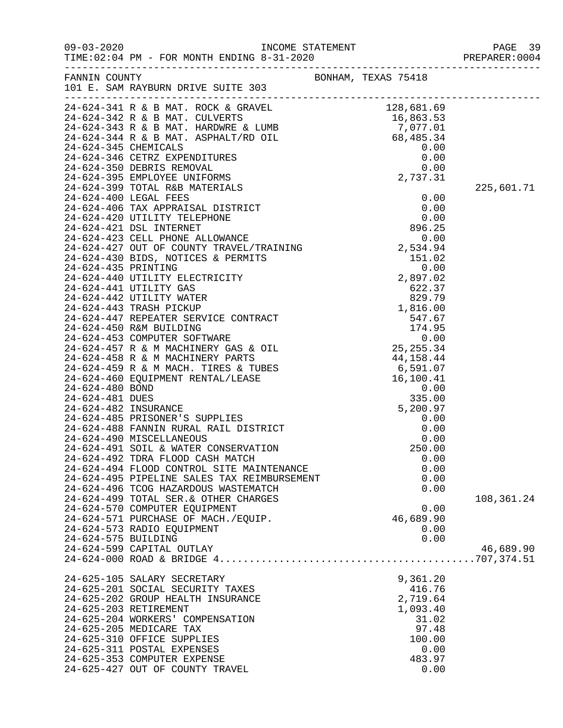| $09 - 03 - 2020$                                                         | TIME: $02:04$ PM - FOR MONTH ENDING $8-31-2020$                                                                                                                                                                                                                                                                                                                | INCOME STATEMENT |                                                                                                                        | PAGE 39<br>PREPARER: 0004 |
|--------------------------------------------------------------------------|----------------------------------------------------------------------------------------------------------------------------------------------------------------------------------------------------------------------------------------------------------------------------------------------------------------------------------------------------------------|------------------|------------------------------------------------------------------------------------------------------------------------|---------------------------|
| FANNIN COUNTY                                                            | 101 E. SAM RAYBURN DRIVE SUITE 303                                                                                                                                                                                                                                                                                                                             |                  | BONHAM, TEXAS 75418                                                                                                    |                           |
| 24-624-345 CHEMICALS<br>24-624-400 LEGAL FEES<br>24-624-421 DSL INTERNET | $24-624-341$ R & B MAT. ROCK & GRAVEL<br>24-624-342 R & B MAT. CULVERTS<br>$24-624-343$ R & B MAT. HARDWRE & LUMB<br>24-624-344 R & B MAT. ASPHALT/RD OIL<br>24-624-346 CETRZ EXPENDITURES<br>24-624-350 DEBRIS REMOVAL<br>24-624-395 EMPLOYEE UNIFORMS<br>24-624-399 TOTAL R&B MATERIALS<br>24-624-406 TAX APPRAISAL DISTRICT<br>24-624-420 UTILITY TELEPHONE |                  | 128,681.69<br>16,863.53<br>7,077.01<br>68,485.34<br>0.00<br>0.00<br>0.00<br>2,737.31<br>0.00<br>0.00<br>0.00<br>896.25 | 225,601.71                |

|                     | $\begin{tabular}{lllllllll} 24-624-343 R &\& B \text{ MAT}. HARDWRE & LUMB \\ 24-624-344 R &\& B \text{ MAT}. ASPHALT/RD OIL \\ 24-624-345 CHEMICALS \\ 24-624-346 CETRZ EXPENDITURES \\ 24-624-350 DEBRIS REMOVAL \\ 24-624-395 EMPLOYEE UNIFORMS \\ 24-624-399 TOTAL R&B MATERIALS \\ \end{tabular}$ | 7,077.01       |            |
|---------------------|--------------------------------------------------------------------------------------------------------------------------------------------------------------------------------------------------------------------------------------------------------------------------------------------------------|----------------|------------|
|                     |                                                                                                                                                                                                                                                                                                        | 68,485.34      |            |
|                     |                                                                                                                                                                                                                                                                                                        | 0.00           |            |
|                     |                                                                                                                                                                                                                                                                                                        | 0.00           |            |
|                     |                                                                                                                                                                                                                                                                                                        | 0.00           |            |
|                     |                                                                                                                                                                                                                                                                                                        | 2,737.31       |            |
|                     | 24-624-399 TOTAL R&B MATERIALS                                                                                                                                                                                                                                                                         |                | 225,601.71 |
|                     |                                                                                                                                                                                                                                                                                                        |                |            |
|                     |                                                                                                                                                                                                                                                                                                        |                |            |
|                     |                                                                                                                                                                                                                                                                                                        |                |            |
|                     |                                                                                                                                                                                                                                                                                                        |                |            |
|                     |                                                                                                                                                                                                                                                                                                        |                |            |
|                     |                                                                                                                                                                                                                                                                                                        |                |            |
|                     |                                                                                                                                                                                                                                                                                                        |                |            |
|                     |                                                                                                                                                                                                                                                                                                        |                |            |
|                     |                                                                                                                                                                                                                                                                                                        |                |            |
|                     |                                                                                                                                                                                                                                                                                                        |                |            |
|                     |                                                                                                                                                                                                                                                                                                        |                |            |
|                     |                                                                                                                                                                                                                                                                                                        |                |            |
|                     |                                                                                                                                                                                                                                                                                                        |                |            |
|                     |                                                                                                                                                                                                                                                                                                        |                |            |
|                     |                                                                                                                                                                                                                                                                                                        |                |            |
|                     |                                                                                                                                                                                                                                                                                                        |                |            |
|                     |                                                                                                                                                                                                                                                                                                        |                |            |
|                     |                                                                                                                                                                                                                                                                                                        |                |            |
|                     |                                                                                                                                                                                                                                                                                                        |                |            |
|                     |                                                                                                                                                                                                                                                                                                        |                |            |
|                     |                                                                                                                                                                                                                                                                                                        |                |            |
|                     |                                                                                                                                                                                                                                                                                                        |                |            |
|                     |                                                                                                                                                                                                                                                                                                        |                |            |
|                     |                                                                                                                                                                                                                                                                                                        |                |            |
|                     |                                                                                                                                                                                                                                                                                                        |                |            |
|                     |                                                                                                                                                                                                                                                                                                        |                |            |
|                     |                                                                                                                                                                                                                                                                                                        |                |            |
|                     |                                                                                                                                                                                                                                                                                                        |                |            |
|                     |                                                                                                                                                                                                                                                                                                        |                |            |
|                     |                                                                                                                                                                                                                                                                                                        |                |            |
|                     |                                                                                                                                                                                                                                                                                                        |                |            |
|                     | 24-624-499 TOTAL SER. & OTHER CHARGES                                                                                                                                                                                                                                                                  |                | 108,361.24 |
|                     | 24-624-570 COMPUTER EQUIPMENT                                                                                                                                                                                                                                                                          | 0.00           |            |
|                     | 24-624-571 PURCHASE OF MACH./EQUIP.                                                                                                                                                                                                                                                                    | 46,689.90      |            |
|                     | 24-624-573 RADIO EQUIPMENT                                                                                                                                                                                                                                                                             | 0.00           |            |
| 24-624-575 BUILDING |                                                                                                                                                                                                                                                                                                        | 0.00           |            |
|                     | 24-624-599 CAPITAL OUTLAY                                                                                                                                                                                                                                                                              |                |            |
|                     |                                                                                                                                                                                                                                                                                                        |                | 46,689.90  |
|                     |                                                                                                                                                                                                                                                                                                        |                |            |
|                     | 24-625-105 SALARY SECRETARY                                                                                                                                                                                                                                                                            | 9,361.20       |            |
|                     | 24-625-201 SOCIAL SECURITY TAXES                                                                                                                                                                                                                                                                       | 416.76         |            |
|                     | 24-625-202 GROUP HEALTH INSURANCE                                                                                                                                                                                                                                                                      | 2,719.64       |            |
|                     | 24-625-203 RETIREMENT                                                                                                                                                                                                                                                                                  |                |            |
|                     |                                                                                                                                                                                                                                                                                                        | 1,093.40       |            |
|                     | 24-625-204 WORKERS' COMPENSATION                                                                                                                                                                                                                                                                       | 31.02<br>97.48 |            |
|                     | 24-625-205 MEDICARE TAX                                                                                                                                                                                                                                                                                |                |            |
|                     | 24-625-310 OFFICE SUPPLIES                                                                                                                                                                                                                                                                             | 100.00         |            |
|                     | 24-625-311 POSTAL EXPENSES                                                                                                                                                                                                                                                                             | 0.00           |            |
|                     | 24-625-353 COMPUTER EXPENSE                                                                                                                                                                                                                                                                            | 483.97         |            |
|                     | 24-625-427 OUT OF COUNTY TRAVEL                                                                                                                                                                                                                                                                        | 0.00           |            |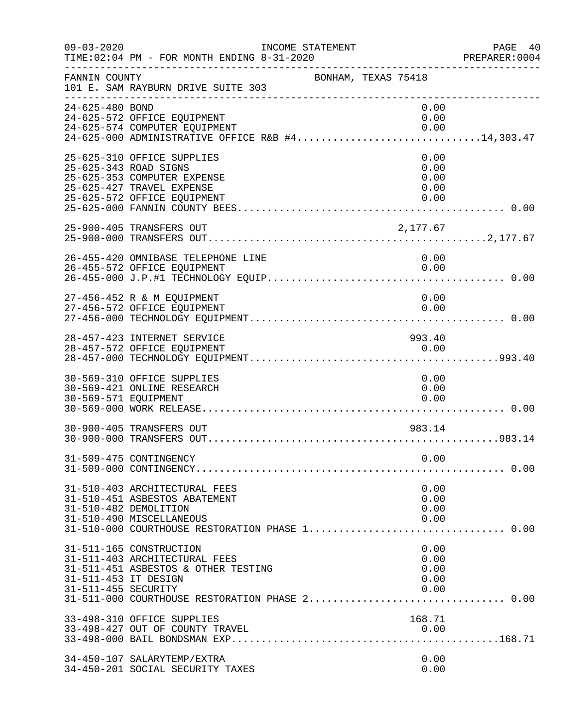| $09 - 03 - 2020$                            | INCOME STATEMENT<br>TIME: 02:04 PM - FOR MONTH ENDING 8-31-2020                                                                                                       |                                      | PAGE 40<br>PREPARER:0004 |
|---------------------------------------------|-----------------------------------------------------------------------------------------------------------------------------------------------------------------------|--------------------------------------|--------------------------|
| FANNIN COUNTY                               | 101 E. SAM RAYBURN DRIVE SUITE 303                                                                                                                                    | BONHAM, TEXAS 75418                  |                          |
| 24-625-480 BOND                             | 24-625-572 OFFICE EQUIPMENT<br>24-625-574 COMPUTER EQUIPMENT<br>24-625-000 ADMINISTRATIVE OFFICE R&B #414,303.47                                                      | 0.00<br>0.00<br>0.00                 |                          |
|                                             | 25-625-310 OFFICE SUPPLIES<br>25-625-343 ROAD SIGNS<br>25-625-353 COMPUTER EXPENSE<br>25-625-427 TRAVEL EXPENSE<br>25-625-572 OFFICE EQUIPMENT                        | 0.00<br>0.00<br>0.00<br>0.00<br>0.00 |                          |
|                                             | 25-900-405 TRANSFERS OUT                                                                                                                                              | 2,177.67                             |                          |
|                                             | 26-455-420 OMNIBASE TELEPHONE LINE<br>26-455-572 OFFICE EQUIPMENT                                                                                                     | 0.00<br>0.00                         |                          |
|                                             | 27-456-452 R & M EQUIPMENT<br>27-456-572 OFFICE EQUIPMENT                                                                                                             | 0.00<br>0.00                         |                          |
|                                             | 28-457-423 INTERNET SERVICE<br>28-457-572 OFFICE EQUIPMENT                                                                                                            | 993.40<br>0.00                       |                          |
| 30-569-571 EQUIPMENT                        | 30-569-310 OFFICE SUPPLIES<br>30-569-421 ONLINE RESEARCH                                                                                                              | 0.00<br>0.00<br>0.00                 |                          |
|                                             | 30-900-405 TRANSFERS OUT                                                                                                                                              | 983.14                               |                          |
|                                             | 31-509-475 CONTINGENCY                                                                                                                                                | 0.00                                 |                          |
|                                             | 31-510-403 ARCHITECTURAL FEES<br>31-510-451 ASBESTOS ABATEMENT<br>31-510-482 DEMOLITION<br>31-510-490 MISCELLANEOUS<br>31-510-000 COURTHOUSE RESTORATION PHASE 1 0.00 | 0.00<br>0.00<br>0.00<br>0.00         |                          |
| 31-511-453 IT DESIGN<br>31-511-455 SECURITY | 31-511-165 CONSTRUCTION<br>31-511-403 ARCHITECTURAL FEES<br>31-511-451 ASBESTOS & OTHER TESTING                                                                       | 0.00<br>0.00<br>0.00<br>0.00<br>0.00 |                          |
|                                             | 33-498-310 OFFICE SUPPLIES<br>33-498-427 OUT OF COUNTY TRAVEL                                                                                                         | 168.71<br>0.00                       |                          |
|                                             | 34-450-107 SALARYTEMP/EXTRA<br>34-450-201 SOCIAL SECURITY TAXES                                                                                                       | 0.00<br>0.00                         |                          |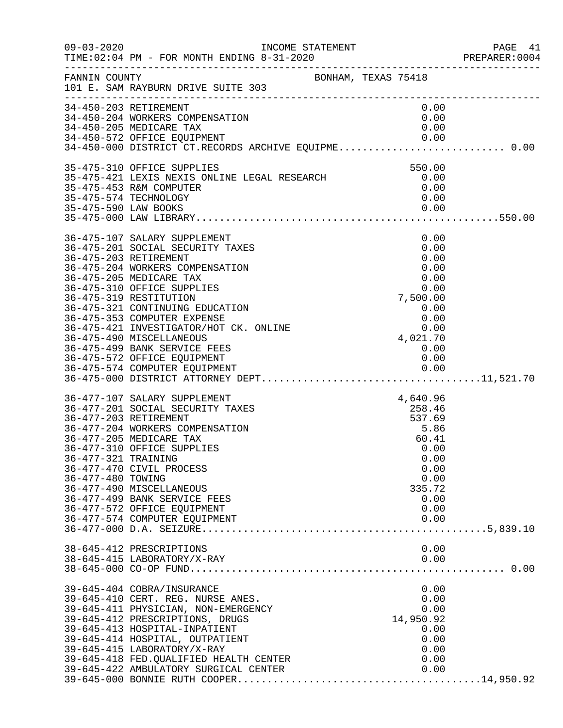| $09 - 03 - 2020$                                                  | INCOME STATEMENT                                                                                                                                                                                                                                                                                                                                                                                                       |                                                                                                                 | PAGE 41<br>PREPARER:0004 |
|-------------------------------------------------------------------|------------------------------------------------------------------------------------------------------------------------------------------------------------------------------------------------------------------------------------------------------------------------------------------------------------------------------------------------------------------------------------------------------------------------|-----------------------------------------------------------------------------------------------------------------|--------------------------|
| FANNIN COUNTY                                                     | BONHAM, TEXAS 75418<br>101 E. SAM RAYBURN DRIVE SUITE 303                                                                                                                                                                                                                                                                                                                                                              |                                                                                                                 |                          |
|                                                                   | 34-450-203 RETIREMENT<br>34-450-204 WORKERS COMPENSATION<br>34-450-205 MEDICARE TAX<br>34-450-572 OFFICE EQUIPMENT<br>34-450-000 DISTRICT CT.RECORDS ARCHIVE EQUIPME 0.00                                                                                                                                                                                                                                              | 0.00<br>0.00<br>0.00<br>0.00                                                                                    |                          |
| 35-475-590 LAW BOOKS                                              | 35-475-310 OFFICE SUPPLIES<br>35-475-421 LEXIS NEXIS ONLINE LEGAL RESEARCH<br>35-475-453 R&M COMPUTER<br>35-475-574 TECHNOLOGY                                                                                                                                                                                                                                                                                         | 550.00<br>0.00<br>0.00<br>0.00<br>0.00                                                                          |                          |
|                                                                   | 36-475-107 SALARY SUPPLEMENT<br>36-475-201 SOCIAL SECURITY TAXES<br>36-475-203 RETIREMENT<br>36-475-204 WORKERS COMPENSATION<br>36-475-205 MEDICARE TAX<br>36-475-310 OFFICE SUPPLIES<br>36-475-319 RESTITUTION<br>36-475-321 CONTINUING EDUCATION<br>36-475-353 COMPUTER EXPENSE<br>36-475-421 INVESTIGATOR/HOT CK. ONLINE<br>36-475-490 MISCELLANEOUS<br>36-475-499 BANK SERVICE FEES<br>36-475-572 OFFICE EQUIPMENT | 0.00<br>0.00<br>0.00<br>0.00<br>0.00<br>0.00<br>7,500.00<br>0.00<br>0.00<br>4,021.70<br>0.00<br>0.00            |                          |
| 36-477-203 RETIREMENT<br>36-477-321 TRAINING<br>36-477-480 TOWING | 36-477-107 SALARY SUPPLEMENT<br>36-477-201 SOCIAL SECURITY TAXES<br>36-477-204 WORKERS COMPENSATION<br>36-477-205 MEDICARE TAX<br>36-477-310 OFFICE SUPPLIES<br>36-477-470 CIVIL PROCESS<br>36-477-490 MISCELLANEOUS<br>36-477-499 BANK SERVICE FEES<br>36-477-572 OFFICE EQUIPMENT<br>36-477-574 COMPUTER EQUIPMENT                                                                                                   | 4,640.96<br>258.46<br>537.69<br>5.86<br>60.41<br>0.00<br>0.00<br>0.00<br>0.00<br>335.72<br>0.00<br>0.00<br>0.00 |                          |
|                                                                   | 38-645-412 PRESCRIPTIONS<br>38-645-415 LABORATORY/X-RAY                                                                                                                                                                                                                                                                                                                                                                | 0.00<br>0.00                                                                                                    |                          |
|                                                                   | 39-645-404 COBRA/INSURANCE<br>39-645-410 CERT. REG. NURSE ANES.<br>39-645-411 PHYSICIAN, NON-EMERGENCY<br>39-645-412 PRESCRIPTIONS, DRUGS<br>39-645-413 HOSPITAL-INPATIENT<br>39-645-414 HOSPITAL, OUTPATIENT<br>39-645-415 LABORATORY/X-RAY<br>39-645-418 FED. QUALIFIED HEALTH CENTER<br>39-645-422 AMBULATORY SURGICAL CENTER                                                                                       | 0.00<br>0.00<br>0.00<br>14,950.92<br>0.00<br>0.00<br>0.00<br>0.00<br>0.00                                       |                          |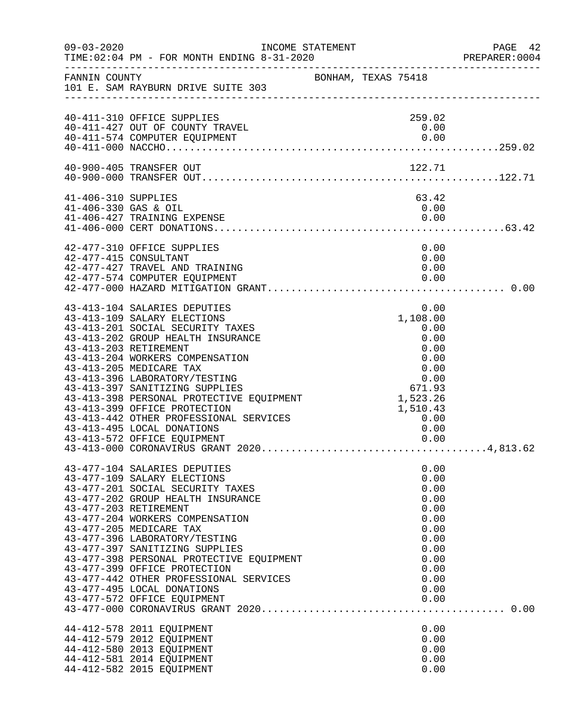| $09 - 03 - 2020$     | INCOME STATEMENT                                                 |                     |              | PAGE 42<br>PREPARER: 0004 |
|----------------------|------------------------------------------------------------------|---------------------|--------------|---------------------------|
| FANNIN COUNTY        | 101 E. SAM RAYBURN DRIVE SUITE 303                               | BONHAM, TEXAS 75418 |              |                           |
|                      | 40-411-310 OFFICE SUPPLIES                                       |                     | 259.02       |                           |
|                      | 40-411-427 OUT OF COUNTY TRAVEL<br>40-411-574 COMPUTER EQUIPMENT |                     | 0.00<br>0.00 |                           |
|                      |                                                                  |                     |              |                           |
|                      | 40-900-405 TRANSFER OUT                                          |                     | 122.71       |                           |
|                      |                                                                  |                     |              |                           |
| 41-406-310 SUPPLIES  |                                                                  |                     | 63.42        |                           |
| 41-406-330 GAS & OIL |                                                                  |                     | 0.00         |                           |
|                      | 41-406-427 TRAINING EXPENSE                                      |                     | 0.00         |                           |
|                      |                                                                  |                     |              |                           |
|                      | 42-477-310 OFFICE SUPPLIES<br>42-477-415 CONSULTANT              |                     | 0.00<br>0.00 |                           |
|                      | 42-477-427 TRAVEL AND TRAINING                                   |                     | 0.00         |                           |
|                      | 42-477-574 COMPUTER EQUIPMENT                                    |                     | 0.00         |                           |
|                      |                                                                  |                     |              |                           |
|                      | 43-413-104 SALARIES DEPUTIES                                     |                     | 0.00         |                           |
|                      | 43-413-109 SALARY ELECTIONS                                      |                     | 1,108.00     |                           |
|                      | 43-413-201 SOCIAL SECURITY TAXES                                 |                     | 0.00         |                           |
|                      | 43-413-202 GROUP HEALTH INSURANCE                                |                     | 0.00         |                           |
|                      | 43-413-203 RETIREMENT<br>43-413-204 WORKERS COMPENSATION         |                     | 0.00<br>0.00 |                           |
|                      | 43-413-205 MEDICARE TAX                                          |                     | 0.00         |                           |
|                      | 43-413-396 LABORATORY/TESTING                                    |                     | 0.00         |                           |
|                      | 43-413-397 SANITIZING SUPPLIES                                   |                     | 671.93       |                           |
|                      | 43-413-398 PERSONAL PROTECTIVE EQUIPMENT                         |                     | 1,523.26     |                           |
|                      | 43-413-399 OFFICE PROTECTION                                     |                     | 1,510.43     |                           |
|                      | 43-413-442 OTHER PROFESSIONAL SERVICES                           |                     | 0.00         |                           |
|                      | 43-413-495 LOCAL DONATIONS                                       |                     | 0.00         |                           |
|                      |                                                                  |                     |              |                           |
|                      |                                                                  |                     |              |                           |
|                      | 43-477-104 SALARIES DEPUTIES                                     |                     | 0.00         |                           |
|                      | 43-477-109 SALARY ELECTIONS<br>43-477-201 SOCIAL SECURITY TAXES  |                     | 0.00<br>0.00 |                           |
|                      | 43-477-202 GROUP HEALTH INSURANCE                                |                     | 0.00         |                           |
|                      | 43-477-203 RETIREMENT                                            |                     | 0.00         |                           |
|                      | 43-477-204 WORKERS COMPENSATION                                  |                     | 0.00         |                           |
|                      | 43-477-205 MEDICARE TAX                                          |                     | 0.00         |                           |
|                      | 43-477-396 LABORATORY/TESTING                                    |                     | 0.00         |                           |
|                      | 43-477-397 SANITIZING SUPPLIES                                   |                     | 0.00         |                           |
|                      | 43-477-398 PERSONAL PROTECTIVE EQUIPMENT                         |                     | 0.00         |                           |
|                      | 43-477-399 OFFICE PROTECTION                                     |                     | 0.00         |                           |
|                      | 43-477-442 OTHER PROFESSIONAL SERVICES                           |                     | 0.00         |                           |
|                      | 43-477-495 LOCAL DONATIONS                                       |                     | 0.00         |                           |
|                      | 43-477-572 OFFICE EQUIPMENT                                      |                     | 0.00         |                           |
|                      |                                                                  |                     |              |                           |
|                      | 44-412-578 2011 EQUIPMENT                                        |                     | 0.00         |                           |
|                      | 44-412-579 2012 EQUIPMENT                                        |                     | 0.00         |                           |
|                      | 44-412-580 2013 EQUIPMENT                                        |                     | 0.00         |                           |
|                      | 44-412-581 2014 EQUIPMENT<br>44-412-582 2015 EQUIPMENT           |                     | 0.00<br>0.00 |                           |
|                      |                                                                  |                     |              |                           |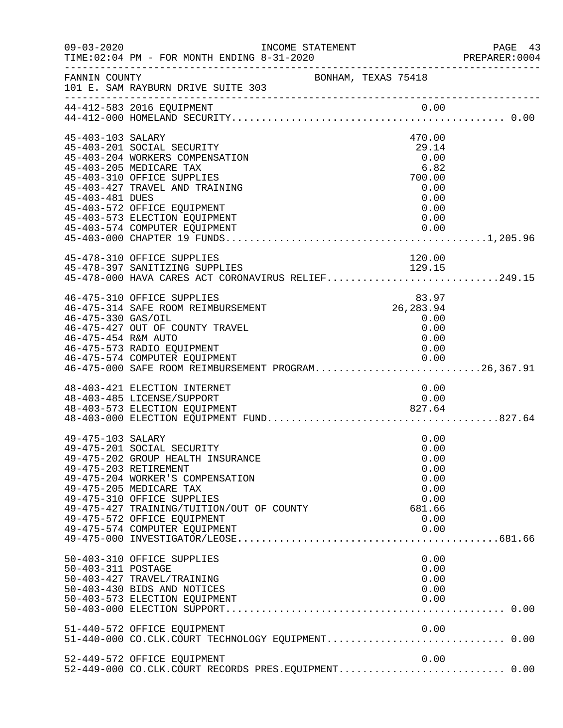| $09 - 03 - 2020$    | INCOME STATEMENT<br>TIME: 02:04 PM - FOR MONTH ENDING 8-31-2020                      |                     | PAGE 43<br>PREPARER: 0004 |
|---------------------|--------------------------------------------------------------------------------------|---------------------|---------------------------|
| FANNIN COUNTY       | 101 E. SAM RAYBURN DRIVE SUITE 303                                                   | BONHAM, TEXAS 75418 |                           |
|                     |                                                                                      |                     |                           |
|                     |                                                                                      |                     |                           |
| 45-403-103 SALARY   |                                                                                      | 470.00              |                           |
|                     | 45-403-201 SOCIAL SECURITY                                                           | 29.14               |                           |
|                     | 45-403-204 WORKERS COMPENSATION                                                      | 0.00                |                           |
|                     | 45-403-205 MEDICARE TAX                                                              | 6.82                |                           |
|                     | 45-403-310 OFFICE SUPPLIES<br>45-403-427 TRAVEL AND TRAINING                         | 700.00<br>0.00      |                           |
| 45-403-481 DUES     |                                                                                      | 0.00                |                           |
|                     | 45-403-572 OFFICE EQUIPMENT                                                          | 0.00                |                           |
|                     | 45-403-573 ELECTION EQUIPMENT                                                        | 0.00                |                           |
|                     | 45-403-574 COMPUTER EQUIPMENT                                                        | 0.00                |                           |
|                     |                                                                                      |                     |                           |
|                     | 45-478-310 OFFICE SUPPLIES                                                           | 120.00              |                           |
|                     | 45-478-397 SANITIZING SUPPLIES<br>45-478-000 HAVA CARES ACT CORONAVIRUS RELIEF249.15 |                     |                           |
|                     |                                                                                      |                     |                           |
|                     | 46-475-310 OFFICE SUPPLIES                                                           | 83.97               |                           |
|                     | 46-475-314 SAFE ROOM REIMBURSEMENT                                                   | 26,283.94           |                           |
| 46-475-330 GAS/OIL  |                                                                                      | 0.00                |                           |
|                     | 46-475-427 OUT OF COUNTY TRAVEL                                                      | 0.00                |                           |
| 46-475-454 R&M AUTO |                                                                                      | 0.00                |                           |
|                     | 46-475-573 RADIO EQUIPMENT<br>46-475-574 COMPUTER EQUIPMENT                          | 0.00                |                           |
|                     | 46-475-574 COMPUTER EQUIPMENT<br>46-475-000 SAFE ROOM REIMBURSEMENT PROGRAM26,367.91 |                     |                           |
|                     | 48-403-421 ELECTION INTERNET                                                         | 0.00                |                           |
|                     | 48-403-485 LICENSE/SUPPORT                                                           | 0.00                |                           |
|                     |                                                                                      |                     |                           |
|                     |                                                                                      |                     |                           |
| 49-475-103 SALARY   |                                                                                      | 0.00                |                           |
|                     | 49-475-201 SOCIAL SECURITY                                                           | 0.00                |                           |
|                     | 49-475-202 GROUP HEALTH INSURANCE                                                    | 0.00                |                           |
|                     | 49-475-203 RETIREMENT                                                                | 0.00                |                           |
|                     | 49-475-204 WORKER'S COMPENSATION                                                     | 0.00                |                           |
|                     | 49-475-205 MEDICARE TAX<br>49-475-310 OFFICE SUPPLIES                                | 0.00<br>0.00        |                           |
|                     | 49-475-427 TRAINING/TUITION/OUT OF COUNTY                                            | 681.66              |                           |
|                     | 49-475-572 OFFICE EQUIPMENT                                                          | 0.00                |                           |
|                     | 49-475-574 COMPUTER EQUIPMENT                                                        | 0.00                |                           |
|                     |                                                                                      |                     |                           |
|                     | 50-403-310 OFFICE SUPPLIES                                                           | 0.00                |                           |
| 50-403-311 POSTAGE  |                                                                                      | 0.00                |                           |
|                     | 50-403-427 TRAVEL/TRAINING                                                           | 0.00                |                           |
|                     | 50-403-430 BIDS AND NOTICES                                                          | 0.00                |                           |
|                     | 50-403-573 ELECTION EQUIPMENT                                                        | 0.00                |                           |
|                     |                                                                                      |                     |                           |
|                     | 51-440-572 OFFICE EQUIPMENT                                                          | 0.00                |                           |
|                     |                                                                                      |                     |                           |
|                     | 52-449-572 OFFICE EQUIPMENT                                                          | 0.00                |                           |
|                     | 52-449-000 CO.CLK.COURT RECORDS PRES.EQUIPMENT 0.00                                  |                     |                           |
|                     |                                                                                      |                     |                           |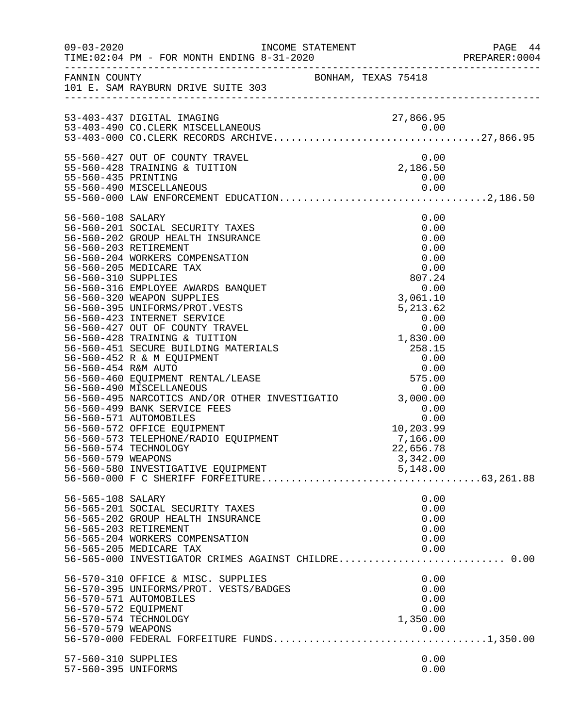| $09 - 03 - 2020$                                                                      | TIME: 02:04 PM - FOR MONTH ENDING 8-31-2020                                                                                                                                                                                                                                                                                                                                                                                                                                                                                                                                                                                                                                                                                                                             |                     | INCOME STATEMENT                                                                                                                                                                                                                    | PAGE 44<br>PREPARER: 0004 |
|---------------------------------------------------------------------------------------|-------------------------------------------------------------------------------------------------------------------------------------------------------------------------------------------------------------------------------------------------------------------------------------------------------------------------------------------------------------------------------------------------------------------------------------------------------------------------------------------------------------------------------------------------------------------------------------------------------------------------------------------------------------------------------------------------------------------------------------------------------------------------|---------------------|-------------------------------------------------------------------------------------------------------------------------------------------------------------------------------------------------------------------------------------|---------------------------|
|                                                                                       | FANNIN COUNTY<br>101 E. SAM RAYBURN DRIVE SUITE 303                                                                                                                                                                                                                                                                                                                                                                                                                                                                                                                                                                                                                                                                                                                     | BONHAM, TEXAS 75418 |                                                                                                                                                                                                                                     |                           |
|                                                                                       | 53-403-437 DIGITAL IMAGING                                                                                                                                                                                                                                                                                                                                                                                                                                                                                                                                                                                                                                                                                                                                              |                     | 27,866.95                                                                                                                                                                                                                           |                           |
| 55-560-435 PRINTING                                                                   | 55-560-427 OUT OF COUNTY TRAVEL<br>55-560-428 TRAINING & TUITION<br>and a string<br>Linda<br>55-560-490 MISCELLANEOUS                                                                                                                                                                                                                                                                                                                                                                                                                                                                                                                                                                                                                                                   |                     | 0.00<br>2,186.50<br>0.00<br>0.00                                                                                                                                                                                                    |                           |
|                                                                                       |                                                                                                                                                                                                                                                                                                                                                                                                                                                                                                                                                                                                                                                                                                                                                                         |                     |                                                                                                                                                                                                                                     |                           |
| 56-560-108 SALARY<br>56-560-310 SUPPLIES<br>56-560-454 R&M AUTO<br>56-560-579 WEAPONS | 56-560-201 SOCIAL SECURITY TAXES<br>56-560-202 GROUP HEALTH INSURANCE<br>56-560-203 RETIREMENT<br>56-560-204 WORKERS COMPENSATION<br>56-560-205 MEDICARE TAX<br>56-560-316 EMPLOYEE AWARDS BANQUET<br>56-560-320 WEAPON SUPPLIES<br>56-560-395 UNIFORMS/PROT.VESTS<br>56-560-423 INTERNET SERVICE<br>56-560-427 OUT OF COUNTY TRAVEL<br>56-560-428 TRAINING & TUITION<br>56-560-451 SECURE BUILDING MATERIALS<br>56-560-452 R & M EQUIPMENT<br>56-560-460 EQUIPMENT RENTAL/LEASE<br>56-560-490 MISCELLANEOUS<br>56-560-495 NARCOTICS AND/OR OTHER INVESTIGATIO 3,000.00<br>56-560-499 BANK SERVICE FEES<br>56-560-571 AUTOMOBILES<br>56-560-572 OFFICE EQUIPMENT<br>56-560-573 TELEPHONE/RADIO EQUIPMENT<br>56-560-574 TECHNOLOGY<br>56-560-580 INVESTIGATIVE EQUIPMENT |                     | 0.00<br>0.00<br>0.00<br>0.00<br>0.00<br>0.00<br>807.24<br>0.00<br>$5, 2 -$<br>$0.00$<br>$1, 830.00$<br>$258.15$<br>$0.00$<br>$0.0$<br>$575.0$<br>0.00<br>0.00<br>0.00<br>10,203.99<br>7,166.00<br>22,656.78<br>3,342.00<br>5,148.00 |                           |
| 56-565-108 SALARY                                                                     | 56-565-201 SOCIAL SECURITY TAXES<br>56-565-202 GROUP HEALTH INSURANCE<br>56-565-203 RETIREMENT<br>56-565-204 WORKERS COMPENSATION<br>56-565-205 MEDICARE TAX<br>56-565-000 INVESTIGATOR CRIMES AGAINST CHILDRE 0.00                                                                                                                                                                                                                                                                                                                                                                                                                                                                                                                                                     |                     | 0.00<br>0.00<br>0.00<br>0.00<br>0.00<br>0.00                                                                                                                                                                                        |                           |
| 56-570-572 EQUIPMENT                                                                  | 56-570-310 OFFICE & MISC. SUPPLIES<br>56-570-395 UNIFORMS/PROT. VESTS/BADGES<br>56-570-571 AUTOMOBILES<br>56-570-574 TECHNOLOGY                                                                                                                                                                                                                                                                                                                                                                                                                                                                                                                                                                                                                                         |                     | 0.00<br>0.00<br>0.00<br>0.00<br>1,350.00                                                                                                                                                                                            |                           |
| 57-560-310 SUPPLIES<br>57-560-395 UNIFORMS                                            |                                                                                                                                                                                                                                                                                                                                                                                                                                                                                                                                                                                                                                                                                                                                                                         |                     | 0.00<br>0.00                                                                                                                                                                                                                        |                           |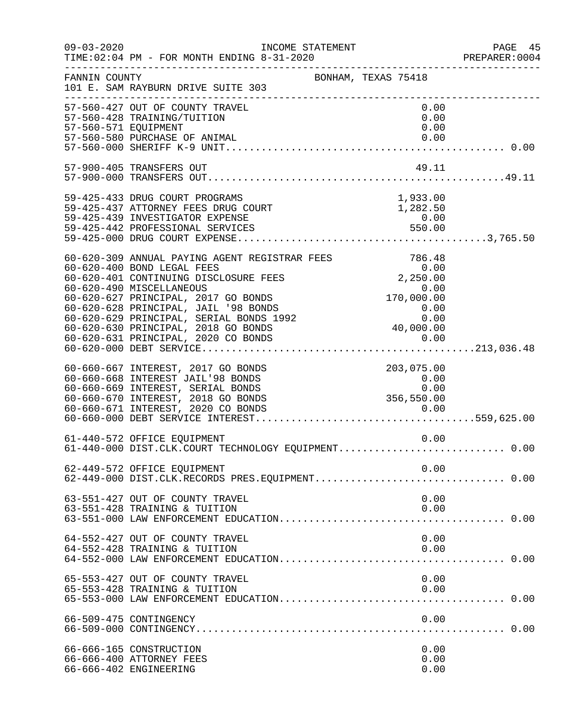| $09 - 03 - 2020$     | INCOME STATEMENT<br>TIME: 02:04 PM - FOR MONTH ENDING 8-31-2020                                                                                                                          |                                                                                 | PAGE 45<br>PREPARER: 0004 |
|----------------------|------------------------------------------------------------------------------------------------------------------------------------------------------------------------------------------|---------------------------------------------------------------------------------|---------------------------|
| FANNIN COUNTY        | 101 E. SAM RAYBURN DRIVE SUITE 303                                                                                                                                                       | BONHAM, TEXAS 75418                                                             |                           |
| 57-560-571 EQUIPMENT | 57-560-427 OUT OF COUNTY TRAVEL<br>57-560-428 TRAINING/TUITION<br>57-560-580 PURCHASE OF ANIMAL                                                                                          | 0.00<br>0.00<br>0.00<br>0.00                                                    |                           |
|                      | 57-900-405 TRANSFERS OUT                                                                                                                                                                 | 49.11                                                                           |                           |
|                      | 59-425-433 DRUG COURT PROGRAMS<br>59-425-437 ATTORNEY FEES DRUG COURT<br>59-425-439 INVESTIGATOR EXPENSE                                                                                 | 1,933.00<br>1,282.50<br>0.00                                                    |                           |
|                      | 60-620-309 ANNUAL PAYING AGENT REGISTRAR FEES                                                                                                                                            | 786.48                                                                          |                           |
|                      | 60-660-667 INTEREST, 2017 GO BONDS<br>60-660-668 INTEREST JAIL'98 BONDS<br>60-660-669 INTEREST, SERIAL BONDS<br>60-660-670 INTEREST, 2018 GO BONDS<br>60-660-671 INTEREST, 2020 CO BONDS | 203,075.00<br>$\begin{array}{c} 0.00 \\ 0.00 \end{array}$<br>0.00<br>356,550.00 |                           |
|                      | 61-440-572 OFFICE EQUIPMENT                                                                                                                                                              | 0.00                                                                            |                           |
|                      | 62-449-572 OFFICE EQUIPMENT                                                                                                                                                              | 0.00                                                                            |                           |
|                      | 63-551-427 OUT OF COUNTY TRAVEL<br>63-551-428 TRAINING & TUITION                                                                                                                         | 0.00<br>0.00                                                                    |                           |
|                      | 64-552-427 OUT OF COUNTY TRAVEL<br>64-552-428 TRAINING & TUITION                                                                                                                         | 0.00<br>0.00                                                                    |                           |
|                      | 65-553-427 OUT OF COUNTY TRAVEL<br>65-553-428 TRAINING & TUITION                                                                                                                         | 0.00<br>0.00                                                                    |                           |
|                      | 66-509-475 CONTINGENCY                                                                                                                                                                   | 0.00                                                                            |                           |
|                      | 66-666-165 CONSTRUCTION<br>66-666-400 ATTORNEY FEES<br>66-666-402 ENGINEERING                                                                                                            | 0.00<br>0.00<br>0.00                                                            |                           |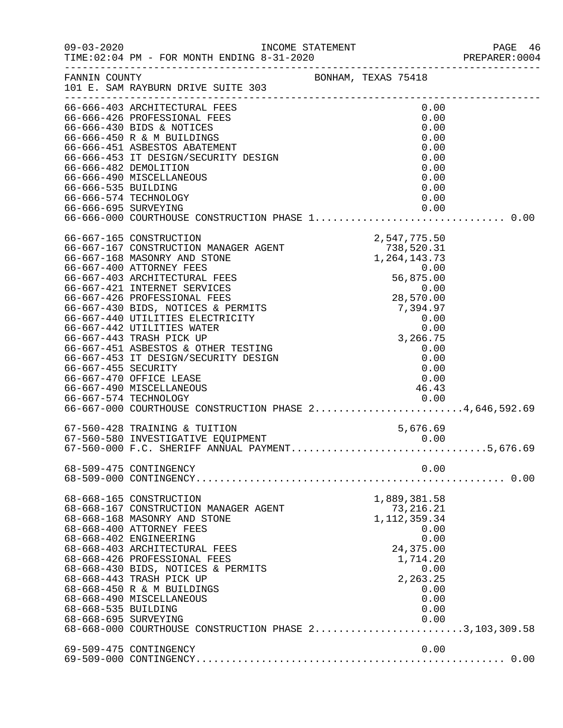|                                             |                                                                                                                                                                                                                                                                                                                                                                                                                                                                                                                                                                                            |                                                                                                                                                                                                                                                                                          | PREPARER: 0004 |
|---------------------------------------------|--------------------------------------------------------------------------------------------------------------------------------------------------------------------------------------------------------------------------------------------------------------------------------------------------------------------------------------------------------------------------------------------------------------------------------------------------------------------------------------------------------------------------------------------------------------------------------------------|------------------------------------------------------------------------------------------------------------------------------------------------------------------------------------------------------------------------------------------------------------------------------------------|----------------|
|                                             | FANNIN COUNTY<br>101 E. SAM RAYBURN DRIVE SUITE 303                                                                                                                                                                                                                                                                                                                                                                                                                                                                                                                                        | BONHAM, TEXAS 75418                                                                                                                                                                                                                                                                      |                |
| 66-666-535 BUILDING<br>66-666-695 SURVEYING | 66-666-403 ARCHITECTURAL FEES<br>66-666-426 PROFESSIONAL FEES<br>66-666-430 BIDS & NOTICES<br>66-666-430 BIDS & NOTICES<br>66-666-450 R & M BUILDINGS<br>66-666-451 ASBESTOS ABATEMENT<br>66-666-453 IT DESIGN/SECURITY DESIGN<br>66-666-453 IT DESIGN/SECURITY DESIGN<br>66-666-482 DEMOLITION<br>66-666-490 MISCELLANEOUS<br>66-666-574 TECHNOLOGY                                                                                                                                                                                                                                       | 0.00<br>0.00<br>0.00<br>0.00<br>0.00<br>0.00<br>0.00<br>0.00<br>0.00<br>0.00<br>0.00                                                                                                                                                                                                     |                |
| 66-667-455 SECURITY                         | 66-667-165 CONSTRUCTION<br>66-667-167 CONSTRUCTION MANAGER AGENT<br>66-667-168 MASONRY AND STONE<br>66-667-400 ATTORNEY FEES<br>66-667-403 ARCHITECTURAL FEES<br>66-667-421 INTERNET SERVICES<br>66-667-426 PROFESSIONAL FEES<br>66-667-430 BIDS, NOTICES & PERMITS<br>66-667-440 UTILITIES ELECTRICITY<br>66-667-442 UTILITIES WATER<br>66-667-443 TRASH PICK UP<br>66-667-451 ASBESTOS & OTHER TESTING<br>66-667-453 IT DESIGN/SECURITY DESIGN<br>66-667-470 OFFICE LEASE<br>66-667-490 MISCELLANEOUS<br>66-667-574 TECHNOLOGY<br>66-667-000 COURTHOUSE CONSTRUCTION PHASE 24,646,592.69 | 2, 547, 775. 50<br>T38, 520. 31<br>1, 264, 143. 73<br>0. 00<br>56, 875. 00<br>0. 00<br>7, 394. 97<br>0. 00<br>0. 00<br>0. 00<br>3, 266. 75<br>0. 00<br>0. 00<br>0. 00<br>0. 00<br>0. 00<br>0. 00<br>0. 00<br>0. 00<br>0. 00<br>0. 00<br>0. 00<br>0. 00<br>0. 00<br>0. 00<br>0. 0<br>0.00 |                |
|                                             | 67-560-428 TRAINING & TUITION<br>67-560-580 INVESTIGATIVE EQUIPMENT<br>67-560-580 INVESTIGATIVE EQUIPMENT<br>67-560-000 F.C. SHERIFF ANNUAL PAYMENT5,676.69                                                                                                                                                                                                                                                                                                                                                                                                                                | 5,676.69                                                                                                                                                                                                                                                                                 |                |
|                                             | 68-509-475 CONTINGENCY                                                                                                                                                                                                                                                                                                                                                                                                                                                                                                                                                                     | 0.00                                                                                                                                                                                                                                                                                     |                |
| 68-668-535 BUILDING<br>68-668-695 SURVEYING | 68-668-165 CONSTRUCTION<br>68-668-167 CONSTRUCTION MANAGER AGENT<br>68-668-168 MASONRY AND STONE<br>68-668-400 ATTORNEY FEES<br>68-668-402 ENGINEERING<br>68-668-403 ARCHITECTURAL FEES<br>68-668-426 PROFESSIONAL FEES<br>68-668-430 BIDS, NOTICES & PERMITS<br>68-668-443 TRASH PICK UP<br>68-668-450 R & M BUILDINGS<br>68-668-490 MISCELLANEOUS<br>68-668-000 COURTHOUSE CONSTRUCTION PHASE 23,103,309.58                                                                                                                                                                              | 1,889,381.58<br>73, 216. 21<br>1, 112, 359.34<br>0.00<br>0.00<br>24,375.00<br>1,714.20<br>0.00<br>2,263.25<br>0.00<br>0.00<br>0.00<br>0.00                                                                                                                                               |                |
|                                             | 69-509-475 CONTINGENCY                                                                                                                                                                                                                                                                                                                                                                                                                                                                                                                                                                     | 0.00                                                                                                                                                                                                                                                                                     |                |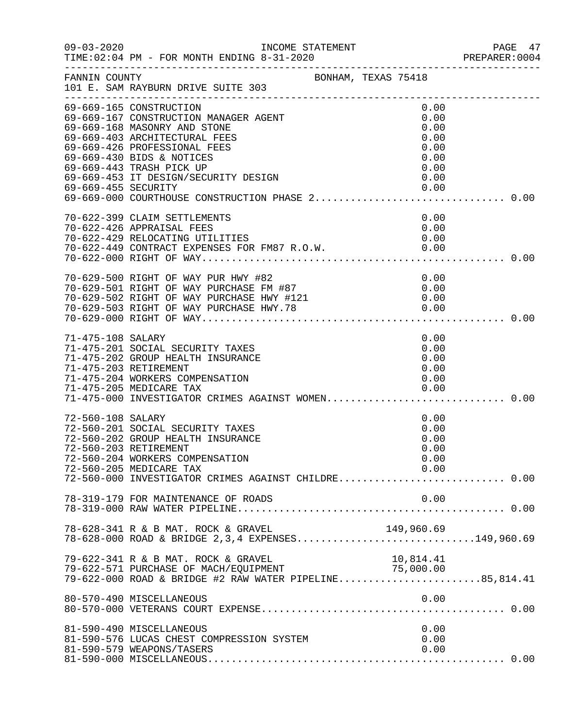| $09 - 03 - 2020$    | INCOME STATEMENT                                                                                                                                                                                                                                                                                                      |                                                                      | PAGE 47<br>PREPARER: 0004 |
|---------------------|-----------------------------------------------------------------------------------------------------------------------------------------------------------------------------------------------------------------------------------------------------------------------------------------------------------------------|----------------------------------------------------------------------|---------------------------|
| FANNIN COUNTY       | BONHAM, TEXAS 75418<br>101 E. SAM RAYBURN DRIVE SUITE 303                                                                                                                                                                                                                                                             |                                                                      |                           |
| 69-669-455 SECURITY | 69-669-165 CONSTRUCTION<br>69-669-167 CONSTRUCTION MANAGER AGENT<br>69-669-168 MASONRY AND STONE<br>69-669-403 ARCHITECTURAL FEES<br>69-669-426 PROFESSIONAL FEES<br>69-669-430 BIDS & NOTICES<br>69-669-443 TRASH PICK UP<br>69-669-453 IT DESIGN/SECURITY DESIGN<br>69-669-000 COURTHOUSE CONSTRUCTION PHASE 2 0.00 | 0.00<br>0.00<br>0.00<br>0.00<br>0.00<br>0.00<br>0.00<br>0.00<br>0.00 |                           |
|                     | 70-622-399 CLAIM SETTLEMENTS<br>70-622-426 APPRAISAL FEES<br>70-622-429 RELOCATING UTILITIES<br>70-622-449 CONTRACT EXPENSES FOR FM87 R.O.W. 0.00                                                                                                                                                                     | 0.00<br>0.00<br>0.00                                                 |                           |
|                     | 70-629-500 RIGHT OF WAY PUR HWY #82<br>70-629-501 RIGHT OF WAY PURCHASE FM #87                                                                                                                                                                                                                                        | 0.00<br>0.00                                                         |                           |
| 71-475-108 SALARY   | 71-475-201 SOCIAL SECURITY TAXES<br>71-475-202 GROUP HEALTH INSURANCE<br>71-475-203 RETIREMENT<br>71-475-204 WORKERS COMPENSATION<br>71-475-205 MEDICARE TAX 0.00<br>71-475-000 INVESTIGATOR CRIMES AGAINST WOMEN0.00                                                                                                 | 0.00<br>0.00<br>0.00<br>0.00<br>0.00                                 |                           |
| 72-560-108 SALARY   | 72-560-201 SOCIAL SECURITY TAXES<br>72-560-202 GROUP HEALTH INSURANCE<br>72-560-203 RETIREMENT<br>72-560-204 WORKERS COMPENSATION<br>72-560-205 MEDICARE TAX<br>72-560-000 INVESTIGATOR CRIMES AGAINST CHILDRE 0.00                                                                                                   | 0.00<br>0.00<br>0.00<br>0.00<br>0.00<br>0.00                         |                           |
|                     | 78-319-179 FOR MAINTENANCE OF ROADS                                                                                                                                                                                                                                                                                   | 0.00                                                                 |                           |
|                     | 78-628-341 R & B MAT. ROCK & GRAVEL<br>78-628-341 R & B MAT. ROCK & GRAVEL 149,960.69<br>78-628-000 ROAD & BRIDGE 2,3,4 EXPENSES149,960.69                                                                                                                                                                            |                                                                      |                           |
|                     | 79-622-341 R & B MAT. ROCK & GRAVEL                                                                                                                                                                                                                                                                                   | 10,814.41                                                            |                           |
|                     | 80-570-490 MISCELLANEOUS                                                                                                                                                                                                                                                                                              | 0.00                                                                 |                           |
|                     | 81-590-490 MISCELLANEOUS<br>81-590-576 LUCAS CHEST COMPRESSION SYSTEM<br>81-590-579 WEAPONS/TASERS                                                                                                                                                                                                                    | 0.00<br>0.00<br>0.00                                                 |                           |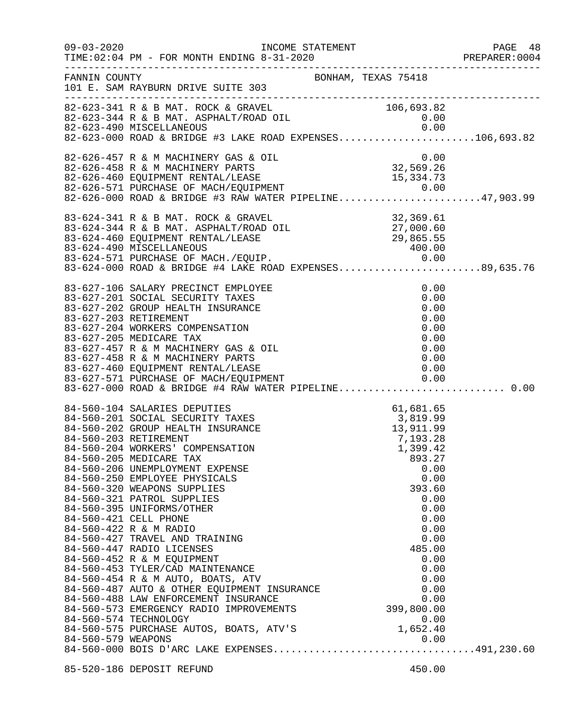| FANNIN COUNTY      | 101 E. SAM RAYBURN DRIVE SUITE 303                                                                                                                                                                                                                                                                                                                                                                                                                                                                                                                                                                                                                                                                                                                                                                                             | BONHAM, TEXAS 75418                                        |                                                                                                                                                                      |  |
|--------------------|--------------------------------------------------------------------------------------------------------------------------------------------------------------------------------------------------------------------------------------------------------------------------------------------------------------------------------------------------------------------------------------------------------------------------------------------------------------------------------------------------------------------------------------------------------------------------------------------------------------------------------------------------------------------------------------------------------------------------------------------------------------------------------------------------------------------------------|------------------------------------------------------------|----------------------------------------------------------------------------------------------------------------------------------------------------------------------|--|
|                    | 82-623-341 R & B MAT. ROCK & GRAVEL<br>82-623-344 R & B MAT. ASPHALT/ROAD OIL<br>82-623-490 MISCELLANEOUS<br>0.00<br>82-623-000 ROAD & BRIDGE #3 LAKE ROAD EXPENSES106,693.82                                                                                                                                                                                                                                                                                                                                                                                                                                                                                                                                                                                                                                                  |                                                            |                                                                                                                                                                      |  |
|                    | 82-626-457 R & M MACHINERY GAS & OIL<br>82-626-458 R & M MACHINERY PARTS<br>82-626-460 EQUIPMENT RENTAL/LEASE 15,334.73<br>82-626-571 PURCHASE OF MACH/EQUIPMENT 0.00<br>82-626-000 ROAD & BRIDGE #3 RAW WATER PIPELINE                                                                                                                                                                                                                                                                                                                                                                                                                                                                                                                                                                                                        |                                                            |                                                                                                                                                                      |  |
|                    | 83-624-341 R & B MAT. ROCK & GRAVEL<br>83-624-344 R & B MAT. ASPHALT/ROAD OIL<br>83-624-460 EQUIPMENT RENTAL/LEASE 29,865.55<br>83-624-490 MISCELLANEOUS 400.00<br>83-624-571 PURCHASE OF MACH./EQUIP. 0.00<br>83-624-000 ROAD & BRIDGE                                                                                                                                                                                                                                                                                                                                                                                                                                                                                                                                                                                        |                                                            |                                                                                                                                                                      |  |
|                    | 83-627-106 SALARY PRECINCT EMPLOYEE<br>83-627-201 SOCIAL SECURITY TAXES<br>83-627-202 GROUP HEALTH INSURANCE<br>83-627-203 RETIREMENT<br>83-627-204 WORKERS COMPENSATION<br>83-627-205 MEDICARE TAX<br>83-627-457 R & M MACHINERY GAS & OIL<br>83-627-458 R & M MACHINERY PARTS<br>83-627-460 EQUIPMENT RENTAL/LEASE<br>83-627-571 PURCHASE OF MACH/EQUIPMENT 0.00<br>83-627-000 ROAD & BRIDGE #4 RAW WATER PIPELINE0.00                                                                                                                                                                                                                                                                                                                                                                                                       |                                                            | 0.00<br>0.00<br>0.00<br>0.00<br>0.00<br>0.00<br>0.00<br>0.00<br>0.00                                                                                                 |  |
| 84-560-579 WEAPONS | 84-560-104 SALARIES DEPUTIES<br>84-560-201 SOCIAL SECURITY TAXES<br>84-560-202 GROUP HEALTH INSURANCE<br>84-560-203 RETIREMENT<br>84-560-204 WORKERS' COMPENSATION<br>84-560-205 MEDICARE TAX<br>84-560-206 UNEMPLOYMENT EXPENSE<br>84-560-250 EMPLOYEE PHYSICALS<br>84-560-320 WEAPONS SUPPLIES<br>84-560-321 PATROL SUPPLIES<br>84-560-395 UNIFORMS/OTHER<br>84-560-421 CELL PHONE<br>84-560-422 R & M RADIO<br>84-560-427 TRAVEL AND TRAINING<br>84-560-447 RADIO LICENSES<br>84-560-452 R & M EQUIPMENT<br>84-560-453 TYLER/CAD MAINTENANCE<br>84-560-453 IILER/CAD MAINIENANCE<br>84-560-454 R & M AUTO, BOATS, ATV<br>84-560-487 AUTO & OTHER EQUIPMENT INSURANCE<br>84-560-488 LAW ENFORCEMENT INSURANCE<br>84-560-573 EMERGENCY RADIO IMPROVEMENTS<br>84-560-574 TECHNOLOGY<br>84-560-575 PURCHASE AUTOS, BOATS, ATV'S | 61,681.65<br>3,819.99<br>13,911.99<br>7,193.28<br>1,399.42 | 893.27<br>0.00<br>0.00<br>393.60<br>0.00<br>0.00<br>0.00<br>0.00<br>0.00<br>485.00<br>0.00<br>0.00<br>0.00<br>0.00<br>0.00<br>399,800.00<br>0.00<br>1,652.40<br>0.00 |  |
|                    | 85-520-186 DEPOSIT REFUND                                                                                                                                                                                                                                                                                                                                                                                                                                                                                                                                                                                                                                                                                                                                                                                                      |                                                            | 450.00                                                                                                                                                               |  |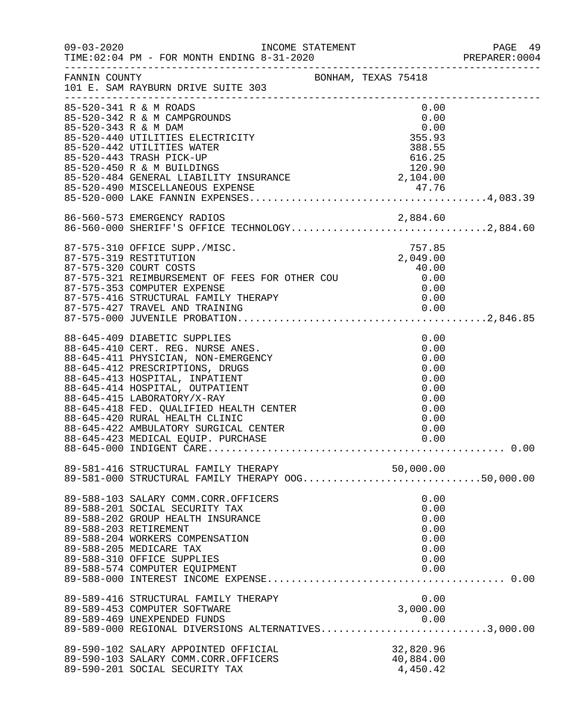| $09 - 03 - 2020$     | INCOME STATEMENT<br>TIME: 02:04 PM - FOR MONTH ENDING 8-31-2020                                                                                                                                                                                                                                                                                                                                             |  |                                    |                                                                                      | PAGE 49<br>PREPARER: 0004 |
|----------------------|-------------------------------------------------------------------------------------------------------------------------------------------------------------------------------------------------------------------------------------------------------------------------------------------------------------------------------------------------------------------------------------------------------------|--|------------------------------------|--------------------------------------------------------------------------------------|---------------------------|
| FANNIN COUNTY        | BONHAM, TEXAS 75418<br>101 E. SAM RAYBURN DRIVE SUITE 303                                                                                                                                                                                                                                                                                                                                                   |  |                                    |                                                                                      |                           |
| 85-520-343 R & M DAM | 85-520-341 R & M ROADS<br>85-520-342 R & M CAMPGROUNDS<br>85-520-440 UTILITIES ELECTRICITY<br>85-520-442 UTILITIES WATER                                                                                                                                                                                                                                                                                    |  | 0.00<br>0.00<br>355.93<br>388.55   | 0.00                                                                                 |                           |
|                      |                                                                                                                                                                                                                                                                                                                                                                                                             |  |                                    |                                                                                      |                           |
|                      |                                                                                                                                                                                                                                                                                                                                                                                                             |  |                                    |                                                                                      |                           |
|                      | 86-560-573 EMERGENCY RADIOS<br>86-560-573 EMERGENCY RADIOS 2,884.60<br>86-560-000 SHERIFF'S OFFICE TECHNOLOGY2,884.60                                                                                                                                                                                                                                                                                       |  |                                    |                                                                                      |                           |
|                      | 87-575-310 OFFICE SUPP./MISC.<br>87-575-319 RESTITUTION<br>87-575-321 REIMBURSEMENT OF FEES FOR OTHER COU 40.00<br>87-575-353 COMPUTER EXPENSE                                                                                                                                                                                                                                                              |  | 757.85<br>2,049.00                 |                                                                                      |                           |
|                      |                                                                                                                                                                                                                                                                                                                                                                                                             |  |                                    |                                                                                      |                           |
|                      | 88-645-409 DIABETIC SUPPLIES<br>88-645-410 CERT. REG. NURSE ANES.<br>88-645-411 PHYSICIAN, NON-EMERGENCY<br>88-645-412 PRESCRIPTIONS, DRUGS<br>88-645-413 HOSPITAL, INPATIENT<br>88-645-414 HOSPITAL, OUTPATIENT<br>88-645-415 LABORATORY/X-RAY<br>88-645-418 FED. QUALIFIED HEALTH CENTER<br>88-645-420 RURAL HEALTH CLINIC<br>88-645-422 AMBULATORY SURGICAL CENTER<br>88-645-423 MEDICAL EQUIP. PURCHASE |  |                                    | 0.00<br>0.00<br>0.00<br>0.00<br>0.00<br>0.00<br>0.00<br>0.00<br>0.00<br>0.00<br>0.00 |                           |
|                      |                                                                                                                                                                                                                                                                                                                                                                                                             |  |                                    |                                                                                      |                           |
|                      | 89-581-416 STRUCTURAL FAMILY THERAPY 50,000.00<br>89-581-000 STRUCTURAL FAMILY THERAPY OOG50,000.00                                                                                                                                                                                                                                                                                                         |  |                                    |                                                                                      |                           |
|                      | 89-588-103 SALARY COMM.CORR.OFFICERS<br>89-588-201 SOCIAL SECURITY TAX<br>89-588-202 GROUP HEALTH INSURANCE<br>89-588-203 RETIREMENT<br>89-588-204 WORKERS COMPENSATION<br>89-588-205 MEDICARE TAX<br>89-588-310 OFFICE SUPPLIES<br>89-588-574 COMPUTER EQUIPMENT                                                                                                                                           |  |                                    | 0.00<br>0.00<br>0.00<br>0.00<br>0.00<br>0.00<br>0.00<br>0.00                         |                           |
|                      | 89-589-416 STRUCTURAL FAMILY THERAPY<br>89-589-453 COMPUTER SOFTWARE<br>89-589-469 UNEXPENDED FUNDS<br>89-589-000 REGIONAL DIVERSIONS ALTERNATIVES3,000.00                                                                                                                                                                                                                                                  |  | 3,000.00                           | 0.00                                                                                 |                           |
|                      |                                                                                                                                                                                                                                                                                                                                                                                                             |  |                                    |                                                                                      |                           |
|                      | 89-590-102 SALARY APPOINTED OFFICIAL<br>89-590-103 SALARY COMM.CORR.OFFICERS<br>89-590-201 SOCIAL SECURITY TAX                                                                                                                                                                                                                                                                                              |  | 32,820.96<br>40,884.00<br>4,450.42 |                                                                                      |                           |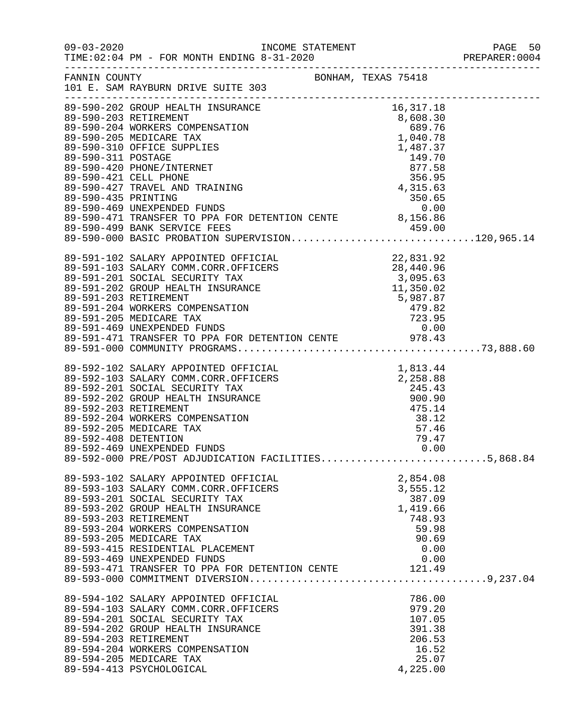|                      |                                                                                                                                                                                                                                                                                                                                                                                                                                                                                                                           |                                                                                        | PAGE 50<br>PREPARER: 0004 |
|----------------------|---------------------------------------------------------------------------------------------------------------------------------------------------------------------------------------------------------------------------------------------------------------------------------------------------------------------------------------------------------------------------------------------------------------------------------------------------------------------------------------------------------------------------|----------------------------------------------------------------------------------------|---------------------------|
|                      | FANNIN COUNTY<br>BONHAM, TEXAS 75418<br>101 E. SAM RAYBURN DRIVE SUITE 303                                                                                                                                                                                                                                                                                                                                                                                                                                                |                                                                                        |                           |
|                      | 16, 317.18<br>89-590-202 GROUP HEALTH INSURANCE<br>89-590-202 GROUP HEALTH INSURANCE<br>89-590-203 RETIREMENT<br>89-590-204 WORKERS COMPENSATION<br>89-590-205 MEDICARE TAX<br>89-590-311 POSTAGE<br>89-590-421 CELL PHONE<br>89-590-421 CELL<br>89-590-435 PRINTING<br>89-590-469 UNEXPENDED FUNDS 0.00<br>89-590-471 TRANSFER TO PPA FOR DETENTION CENTE 8,156.86<br>89-590-471 TRANSFER TO PPA FOR DETENTION CENTE 8,156.86<br>89-590-499 BANK SERVICE FEES 459.00<br>89-590-000 BASIC PROBATION SUPERVISION120,965.14 |                                                                                        |                           |
|                      | 89-590-000 BASIC PROBATION SUFFAVILLE.<br>89-591-102 SALARY APPOINTED OFFICIAL<br>89-591-103 SALARY COMM.CORR.OFFICERS<br>89-591-201 SOCIAL SECURITY TAX<br>89-591-202 GROUP HEALTH INSURANCE<br>89-591-202 GROUP HEALTH INSURANCE<br>89-5                                                                                                                                                                                                                                                                                |                                                                                        |                           |
| 89-592-408 DETENTION | 89-592-102 SALARY APPOINTED OFFICIAL<br>89-592-103 SALARY COMM.CORR.OFFICERS<br>89-592-201 SOCIAL SECURITY TAX<br>89-592-202 GROUP HEALTH INSURANCE<br>89-592-203 RETIREMENT<br>89-592-203 RETIREMENT<br>89-592-204 WORKERS COMPENSATION<br><br>89-592-205 MEDICARE TAX<br>89-592-469 UNEXPENDED FUNDS<br>89-592-000 PRE/POST ADJUDICATION FACILITIES5,868.84                                                                                                                                                             | 57.46<br>79.47<br>0.00                                                                 |                           |
|                      | 89-593-102 SALARY APPOINTED OFFICIAL<br>89-593-103 SALARY COMM.CORR.OFFICERS<br>89-593-201 SOCIAL SECURITY TAX<br>89-593-202 GROUP HEALTH INSURANCE<br>89-593-203 RETIREMENT<br>89-593-204 WORKERS COMPENSATION<br>89-593-205 MEDICARE TAX<br>89-593-415 RESIDENTIAL PLACEMENT<br>89-593-469 UNEXPENDED FUNDS<br>89-593-471 TRANSFER TO PPA FOR DETENTION CENTE 121.49                                                                                                                                                    | 2,854.08<br>3,555.12<br>387.09<br>1,419.66<br>748.93<br>59.98<br>90.69<br>0.00<br>0.00 |                           |
|                      | 89-594-102 SALARY APPOINTED OFFICIAL<br>89-594-103 SALARY COMM.CORR.OFFICERS<br>89-594-201 SOCIAL SECURITY TAX<br>89-594-202 GROUP HEALTH INSURANCE<br>89-594-203 RETIREMENT<br>89-594-204 WORKERS COMPENSATION<br>89-594-205 MEDICARE TAX<br>89-594-413 PSYCHOLOGICAL                                                                                                                                                                                                                                                    | 786.00<br>979.20<br>107.05<br>391.38<br>206.53<br>16.52<br>25.07<br>4,225.00           |                           |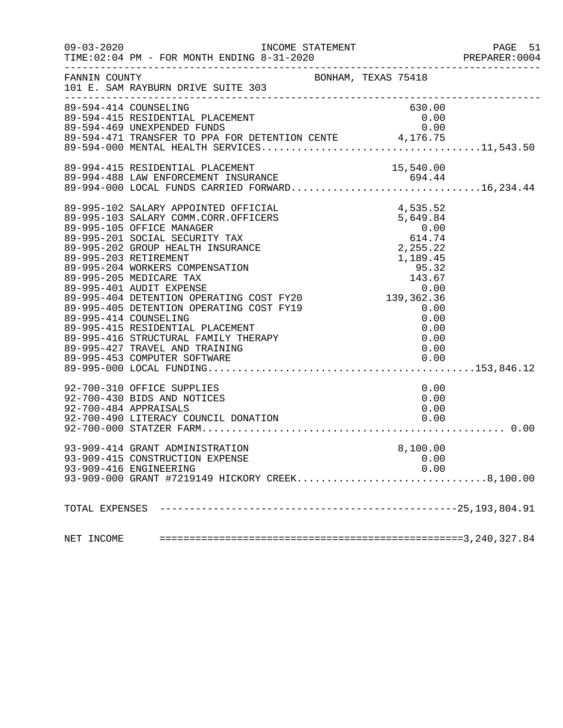| $09 - 03 - 2020$ | INCOME STATEMENT<br>TIME: 02:04 PM - FOR MONTH ENDING 8-31-2020                                                             |          | PAGE 51<br>PREPARER: 0004 |
|------------------|-----------------------------------------------------------------------------------------------------------------------------|----------|---------------------------|
| FANNIN COUNTY    | BONHAM, TEXAS 75418<br>101 E. SAM RAYBURN DRIVE SUITE 303                                                                   |          |                           |
|                  | 89-594-414 COUNSELING                                                                                                       | 630.00   |                           |
|                  | 89-594-415 RESIDENTIAL PLACEMENT                                                                                            | 0.00     |                           |
|                  | 89-594-469 UNEXPENDED FUNDS                                                                                                 | 0.00     |                           |
|                  |                                                                                                                             |          |                           |
|                  | 89-994-415 RESIDENTIAL PLACEMENT<br>89-994-488 LAW ENFORCEMENT INSURANCE<br>89-994-000 LOCAL FUNDS CARRIED FORWARD16,234.44 |          |                           |
|                  |                                                                                                                             |          |                           |
|                  |                                                                                                                             |          |                           |
|                  |                                                                                                                             |          |                           |
|                  |                                                                                                                             |          |                           |
|                  |                                                                                                                             |          |                           |
|                  |                                                                                                                             |          |                           |
|                  |                                                                                                                             |          |                           |
|                  |                                                                                                                             |          |                           |
|                  |                                                                                                                             |          |                           |
|                  |                                                                                                                             |          |                           |
|                  |                                                                                                                             |          |                           |
|                  |                                                                                                                             |          |                           |
|                  |                                                                                                                             |          |                           |
|                  |                                                                                                                             |          |                           |
|                  | 89-995-416 STRUCTURAL FAMILY THERAPY<br>89-995-427 TRAVEL AND TRAINING<br>89-995-453 COMPUTER SOFTWARE                      |          |                           |
|                  |                                                                                                                             | 0.00     |                           |
|                  |                                                                                                                             |          |                           |
|                  |                                                                                                                             |          |                           |
|                  | 92-700-310 OFFICE SUPPLIES                                                                                                  | 0.00     |                           |
|                  | 92-700-430 BIDS AND NOTICES                                                                                                 | 0.00     |                           |
|                  | 92-700-484 APPRAISALS                                                                                                       | 0.00     |                           |
|                  |                                                                                                                             |          |                           |
|                  |                                                                                                                             |          |                           |
|                  | 93-909-414 GRANT ADMINISTRATION                                                                                             | 8,100.00 |                           |
|                  | 93-909-415 CONSTRUCTION EXPENSE                                                                                             | 0.00     |                           |
|                  | 93-909-416 ENGINEERING                                                                                                      | 0.00     |                           |
|                  | 93-909-000 GRANT #7219149 HICKORY CREEK8,100.00                                                                             |          |                           |
|                  |                                                                                                                             |          |                           |
|                  |                                                                                                                             |          |                           |
| NET INCOME       |                                                                                                                             |          |                           |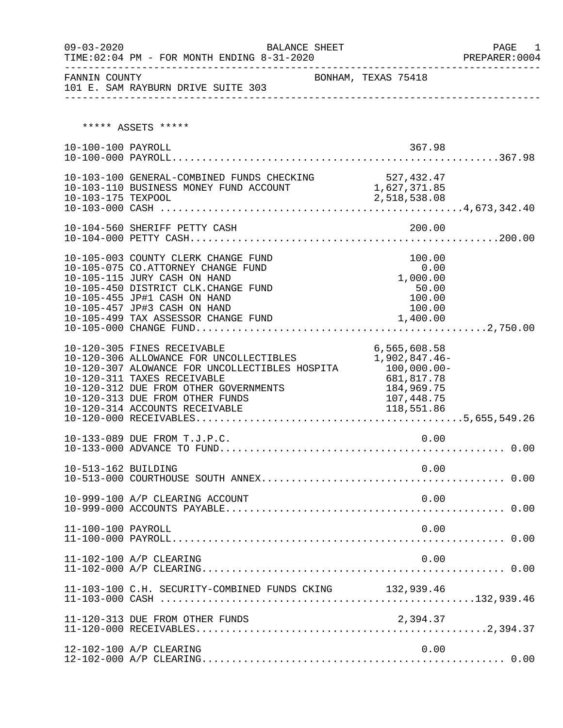| $09 - 03 - 2020$    | BALANCE SHEET                                                                                                                                                                                                                                                         |                                                                                                         | PAGE<br>1 |
|---------------------|-----------------------------------------------------------------------------------------------------------------------------------------------------------------------------------------------------------------------------------------------------------------------|---------------------------------------------------------------------------------------------------------|-----------|
|                     | 101 E. SAM RAYBURN DRIVE SUITE 303<br>---------------                                                                                                                                                                                                                 |                                                                                                         |           |
|                     | ***** ASSETS *****                                                                                                                                                                                                                                                    |                                                                                                         |           |
| 10-100-100 PAYROLL  |                                                                                                                                                                                                                                                                       | 367.98                                                                                                  |           |
| 10-103-175 TEXPOOL  | 10-103-100 GENERAL-COMBINED FUNDS CHECKING 527, 432.47<br>10-103-110 BUSINESS MONEY FUND ACCOUNT                                                                                                                                                                      | 1,627,371.85<br>2,518,538.08                                                                            |           |
|                     | 10-104-560 SHERIFF PETTY CASH                                                                                                                                                                                                                                         | 200.00                                                                                                  |           |
|                     | 10-105-003 COUNTY CLERK CHANGE FUND<br>10-105-075 CO.ATTORNEY CHANGE FUND<br>10-105-115 JURY CASH ON HAND<br>10-105-450 DISTRICT CLK. CHANGE FUND<br>10-105-455 JP#1 CASH ON HAND<br>10-105-457 JP#3 CASH ON HAND<br>10-105-499 TAX ASSESSOR CHANGE FUND              | 100.00<br>0.00<br>1,000.00<br>50.00<br>100.00<br>100.00<br>1,400.00                                     |           |
|                     | 10-120-305 FINES RECEIVABLE<br>10-120-306 ALLOWANCE FOR UNCOLLECTIBLES<br>10-120-307 ALOWANCE FOR UNCOLLECTIBLES HOSPITA<br>10-120-311 TAXES RECEIVABLE<br>10-120-312 DUE FROM OTHER GOVERNMENTS<br>10-120-313 DUE FROM OTHER FUNDS<br>10-120-314 ACCOUNTS RECEIVABLE | 6,565,608.58<br>1,902,847.46-<br>$100,000.00 -$<br>681,817.78<br>184,969.75<br>107,448.75<br>118,551.86 |           |
|                     | 10-133-089 DUE FROM T.J.P.C.                                                                                                                                                                                                                                          | 0.00                                                                                                    |           |
| 10-513-162 BUILDING |                                                                                                                                                                                                                                                                       | 0.00                                                                                                    |           |
|                     | 10-999-100 A/P CLEARING ACCOUNT                                                                                                                                                                                                                                       | 0.00                                                                                                    |           |
| 11-100-100 PAYROLL  |                                                                                                                                                                                                                                                                       | 0.00                                                                                                    |           |
|                     | 11-102-100 A/P CLEARING                                                                                                                                                                                                                                               | 0.00                                                                                                    |           |
|                     | 11-103-100 C.H. SECURITY-COMBINED FUNDS CKING 132,939.46                                                                                                                                                                                                              |                                                                                                         |           |
|                     | 11-120-313 DUE FROM OTHER FUNDS                                                                                                                                                                                                                                       | 2,394.37                                                                                                |           |
|                     | 12-102-100 A/P CLEARING                                                                                                                                                                                                                                               | 0.00                                                                                                    |           |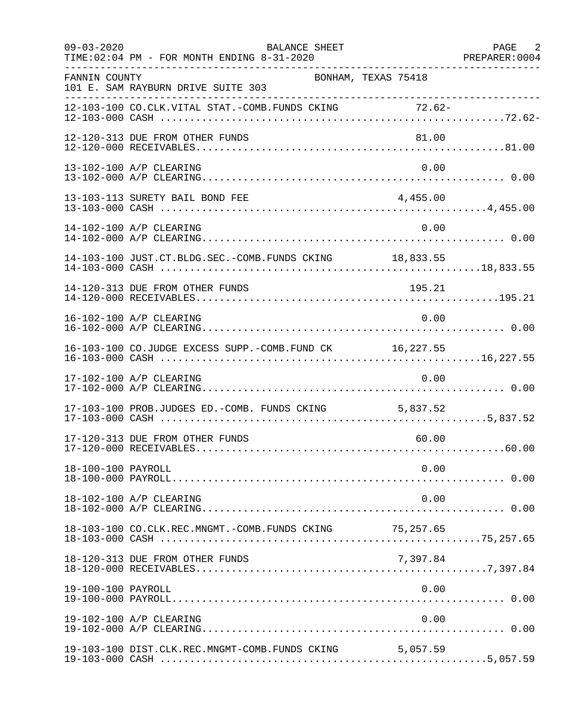| $09 - 03 - 2020$   | BALANCE SHEET<br>TIME: 02:04 PM - FOR MONTH ENDING 8-31-2020 |           | PAGE 2<br>PREPARER: 0004 |
|--------------------|--------------------------------------------------------------|-----------|--------------------------|
| FANNIN COUNTY      | BONHAM, TEXAS 75418<br>101 E. SAM RAYBURN DRIVE SUITE 303    |           |                          |
|                    | 12-103-100 CO.CLK.VITAL STAT.-COMB.FUNDS CKING 72.62-        |           |                          |
|                    | 12-120-313 DUE FROM OTHER FUNDS                              | 81.00     |                          |
|                    | 13-102-100 A/P CLEARING                                      | 0.00      |                          |
|                    | 13-103-113 SURETY BAIL BOND FEE                              | 4,455.00  |                          |
|                    | 14-102-100 A/P CLEARING                                      | 0.00      |                          |
|                    | 14-103-100 JUST.CT.BLDG.SEC.-COMB.FUNDS CKING 18,833.55      |           |                          |
|                    | 14-120-313 DUE FROM OTHER FUNDS                              | 195.21    |                          |
|                    | 16-102-100 A/P CLEARING                                      | 0.00      |                          |
|                    | 16-103-100 CO.JUDGE EXCESS SUPP.-COMB.FUND CK 16,227.55      |           |                          |
|                    | 17-102-100 A/P CLEARING                                      | 0.00      |                          |
|                    | 17-103-100 PROB.JUDGES ED.-COMB. FUNDS CKING 5,837.52        |           |                          |
|                    | 17-120-313 DUE FROM OTHER FUNDS                              | 60.00     |                          |
| 18-100-100 PAYROLL |                                                              | 0.00      |                          |
|                    | 18-102-100 A/P CLEARING                                      | 0.00      |                          |
|                    | 18-103-100 CO.CLK.REC.MNGMT.-COMB.FUNDS CKING                | 75,257.65 |                          |
|                    | 18-120-313 DUE FROM OTHER FUNDS                              | 7,397.84  |                          |
| 19-100-100 PAYROLL |                                                              | 0.00      |                          |
|                    | 19-102-100 A/P CLEARING                                      | 0.00      |                          |
|                    | 19-103-100 DIST.CLK.REC.MNGMT-COMB.FUNDS CKING 5,057.59      |           |                          |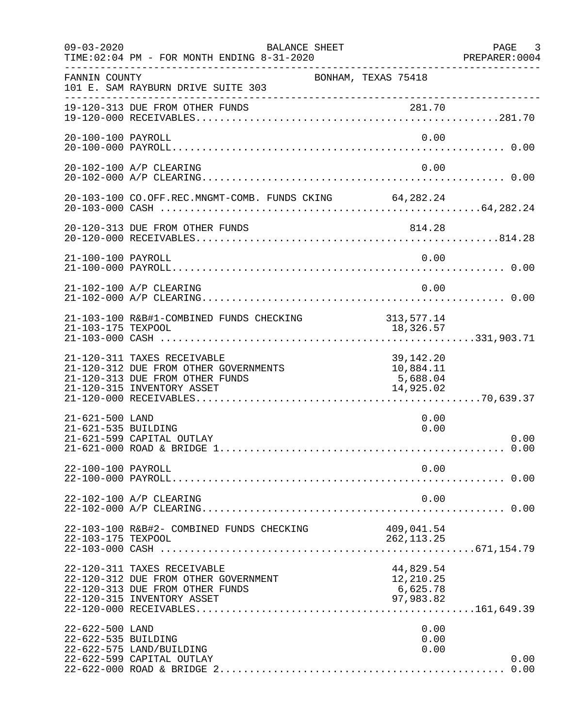| $09 - 03 - 2020$                       | BALANCE SHEET<br>TIME: 02:04 PM - FOR MONTH ENDING 8-31-2020                                                                          |                                                 | PAGE 3<br>PREPARER: 0004 |
|----------------------------------------|---------------------------------------------------------------------------------------------------------------------------------------|-------------------------------------------------|--------------------------|
| FANNIN COUNTY                          | BONHAM, TEXAS 75418<br>101 E. SAM RAYBURN DRIVE SUITE 303                                                                             |                                                 |                          |
|                                        | 19-120-313 DUE FROM OTHER FUNDS                                                                                                       |                                                 |                          |
| 20-100-100 PAYROLL                     |                                                                                                                                       | 0.00                                            |                          |
|                                        | 20-102-100 A/P CLEARING                                                                                                               | 0.00                                            |                          |
|                                        | 20-103-100 CO.OFF.REC.MNGMT-COMB. FUNDS CKING 64,282.24                                                                               |                                                 |                          |
|                                        | 20-120-313 DUE FROM OTHER FUNDS                                                                                                       | 814.28                                          |                          |
| 21-100-100 PAYROLL                     |                                                                                                                                       | 0.00                                            |                          |
|                                        | 21-102-100 A/P CLEARING                                                                                                               | 0.00                                            |                          |
|                                        | 21-103-100 R&B#1-COMBINED FUNDS CHECKING                                                                                              | 313, 577.14                                     |                          |
|                                        | 21-120-311 TAXES RECEIVABLE<br>21-120-312 DUE FROM OTHER GOVERNMENTS<br>21-120-313 DUE FROM OTHER FUNDS<br>21-120-315 INVENTORY ASSET | 39,142.20<br>10,884.11<br>5,688.04<br>14,925.02 |                          |
| 21-621-500 LAND<br>21-621-535 BUILDING | 21-621-599 CAPITAL OUTLAY                                                                                                             | 0.00<br>0.00                                    | 0.00                     |
| 22-100-100 PAYROLL                     |                                                                                                                                       | 0.00                                            |                          |
|                                        | 22-102-100 A/P CLEARING                                                                                                               | 0.00                                            |                          |
| 22-103-175 TEXPOOL                     | 22-103-100 R&B#2- COMBINED FUNDS CHECKING                                                                                             | 409,041.54<br>262, 113.25                       |                          |
|                                        | 22-120-311 TAXES RECEIVABLE<br>22-120-312 DUE FROM OTHER GOVERNMENT<br>22-120-313 DUE FROM OTHER FUNDS<br>22-120-315 INVENTORY ASSET  | 44,829.54<br>12,210.25<br>6,625.78<br>97,983.82 |                          |
| 22-622-500 LAND<br>22-622-535 BUILDING | 22-622-575 LAND/BUILDING<br>22-622-599 CAPITAL OUTLAY                                                                                 | 0.00<br>0.00<br>0.00                            | 0.00                     |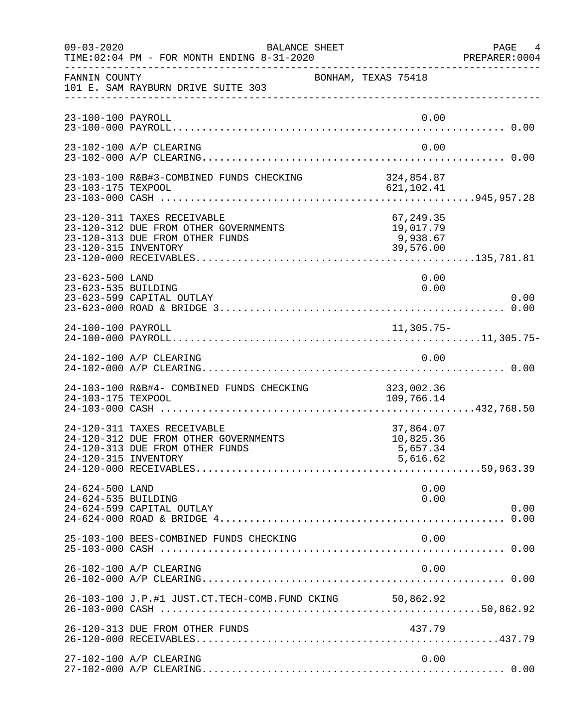| $09 - 03 - 2020$                       | BALANCE SHEET<br>TIME: 02:04 PM - FOR MONTH ENDING 8-31-2020                                                                    |                                                 | PAGE 4<br>PREPARER:0004 |
|----------------------------------------|---------------------------------------------------------------------------------------------------------------------------------|-------------------------------------------------|-------------------------|
| FANNIN COUNTY                          | 101 E. SAM RAYBURN DRIVE SUITE 303                                                                                              | BONHAM, TEXAS 75418                             |                         |
| 23-100-100 PAYROLL                     |                                                                                                                                 | 0.00                                            |                         |
|                                        | 23-102-100 A/P CLEARING                                                                                                         | 0.00                                            |                         |
|                                        | 23-103-100 R&B#3-COMBINED FUNDS CHECKING                                                                                        | 324,854.87<br>621, 102. 41                      |                         |
|                                        | 23-120-311 TAXES RECEIVABLE<br>23-120-312 DUE FROM OTHER GOVERNMENTS<br>23-120-313 DUE FROM OTHER FUNDS<br>23-120-315 INVENTORY | 67,249.35<br>19,017.79<br>9,938.67<br>39,576.00 |                         |
| 23-623-500 LAND<br>23-623-535 BUILDING | 23-623-599 CAPITAL OUTLAY                                                                                                       | 0.00<br>0.00                                    | 0.00                    |
| 24-100-100 PAYROLL                     |                                                                                                                                 | $11,305.75-$                                    |                         |
|                                        | 24-102-100 A/P CLEARING                                                                                                         | 0.00                                            |                         |
| 24-103-175 TEXPOOL                     | 24-103-100 R&B#4- COMBINED FUNDS CHECKING                                                                                       | 323,002.36<br>109,766.14                        |                         |
|                                        | 24-120-311 TAXES RECEIVABLE<br>24-120-312 DUE FROM OTHER GOVERNMENTS<br>24-120-313 DUE FROM OTHER FUNDS<br>24-120-315 INVENTORY | 37,864.07<br>10,825.36<br>5,657.34<br>5,616.62  |                         |
| 24-624-500 LAND<br>24-624-535 BUILDING | 24-624-599 CAPITAL OUTLAY                                                                                                       | 0.00<br>0.00                                    | 0.00                    |
|                                        | 25-103-100 BEES-COMBINED FUNDS CHECKING                                                                                         | 0.00                                            |                         |
|                                        | 26-102-100 A/P CLEARING                                                                                                         | 0.00                                            |                         |
|                                        | 26-103-100 J.P.#1 JUST.CT.TECH-COMB.FUND CKING 50,862.92                                                                        |                                                 |                         |
|                                        | 26-120-313 DUE FROM OTHER FUNDS                                                                                                 | 437.79                                          |                         |
|                                        | 27-102-100 A/P CLEARING                                                                                                         | 0.00                                            |                         |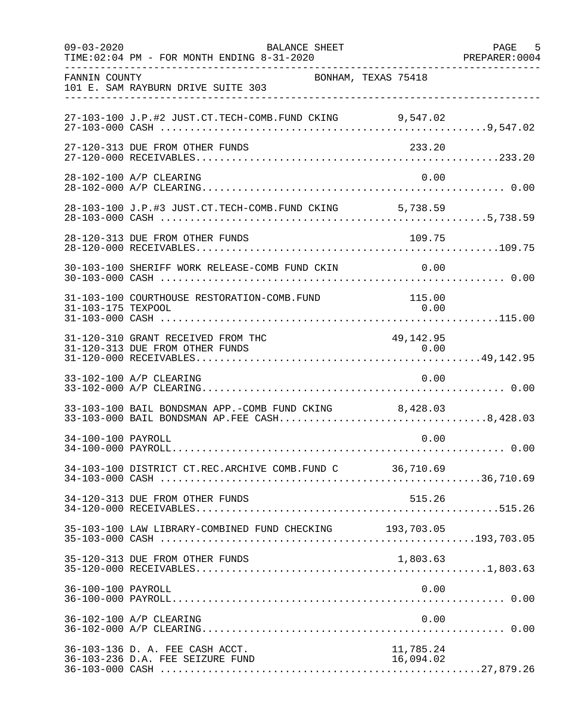| $09 - 03 - 2020$   | BALANCE SHEET<br>TIME: 02:04 PM - FOR MONTH ENDING 8-31-2020                                           |                        | PAGE 5<br>PREPARER: 0004 |
|--------------------|--------------------------------------------------------------------------------------------------------|------------------------|--------------------------|
| FANNIN COUNTY      | BONHAM, TEXAS 75418<br>101 E. SAM RAYBURN DRIVE SUITE 303                                              |                        |                          |
|                    | 27-103-100 J.P.#2 JUST.CT.TECH-COMB.FUND CKING 9,547.02                                                |                        |                          |
|                    | 27-120-313 DUE FROM OTHER FUNDS                                                                        | 233.20                 |                          |
|                    | 28-102-100 A/P CLEARING                                                                                | 0.00                   |                          |
|                    | 28-103-100 J.P.#3 JUST.CT.TECH-COMB.FUND CKING 5,738.59                                                |                        |                          |
|                    | 28-120-313 DUE FROM OTHER FUNDS                                                                        | 109.75                 |                          |
|                    | 30-103-100 SHERIFF WORK RELEASE-COMB FUND CKIN 0.00                                                    |                        |                          |
| 31-103-175 TEXPOOL | 31-103-100 COURTHOUSE RESTORATION-COMB.FUND                                                            | 115.00<br>0.00         |                          |
|                    | 31-120-310 GRANT RECEIVED FROM THC                                                                     | 49,142.95              |                          |
|                    | 33-102-100 A/P CLEARING                                                                                | 0.00                   |                          |
|                    | 33-103-100 BAIL BONDSMAN APP.-COMB FUND CKING 8,428.03<br>33-103-000 BAIL BONDSMAN AP.FEE CASH8,428.03 |                        |                          |
| 34-100-100 PAYROLL |                                                                                                        | 0.00                   |                          |
|                    | 34-103-100 DISTRICT CT.REC.ARCHIVE COMB.FUND C 36,710.69                                               |                        |                          |
|                    | 34-120-313 DUE FROM OTHER FUNDS                                                                        | 515.26                 |                          |
|                    | 35-103-100 LAW LIBRARY-COMBINED FUND CHECKING 193,703.05                                               |                        |                          |
|                    | 35-120-313 DUE FROM OTHER FUNDS                                                                        | 1,803.63               |                          |
| 36-100-100 PAYROLL |                                                                                                        | 0.00                   |                          |
|                    | 36-102-100 A/P CLEARING                                                                                | 0.00                   |                          |
|                    | 36-103-136 D. A. FEE CASH ACCT.<br>36-103-236 D.A. FEE SEIZURE FUND                                    | 11,785.24<br>16,094.02 |                          |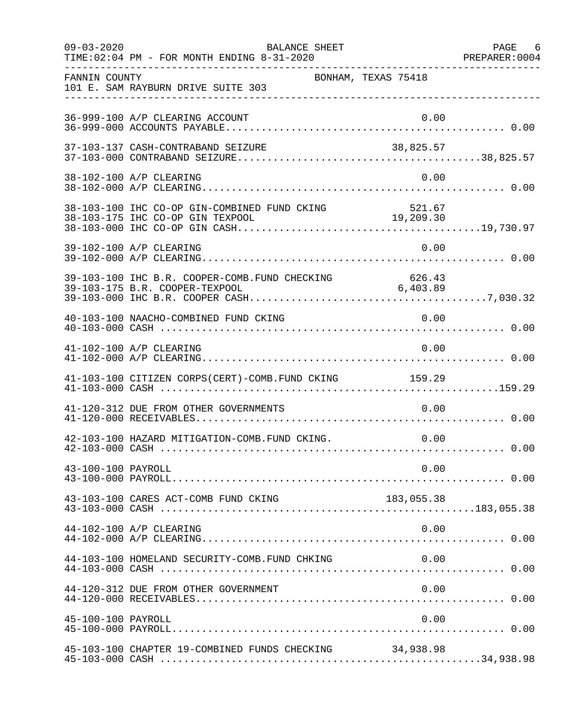| $09 - 03 - 2020$   | BALANCE SHEET<br>TIME: 02:04 PM - FOR MONTH ENDING 8-31-2020 |            | PAGE 6 |
|--------------------|--------------------------------------------------------------|------------|--------|
| FANNIN COUNTY      | BONHAM, TEXAS 75418<br>101 E. SAM RAYBURN DRIVE SUITE 303    |            |        |
|                    | 36-999-100 A/P CLEARING ACCOUNT                              | 0.00       |        |
|                    | 37-103-137 CASH-CONTRABAND SEIZURE                           |            |        |
|                    | 38-102-100 A/P CLEARING                                      | 0.00       |        |
|                    |                                                              |            |        |
|                    | 39-102-100 A/P CLEARING                                      | 0.00       |        |
|                    |                                                              |            |        |
|                    | 40-103-100 NAACHO-COMBINED FUND CKING                        | 0.00       |        |
|                    | 41-102-100 A/P CLEARING                                      | 0.00       |        |
|                    | 41-103-100 CITIZEN CORPS(CERT)-COMB. FUND CKING 159.29       |            |        |
|                    | 41-120-312 DUE FROM OTHER GOVERNMENTS                        | 0.00       |        |
|                    | 42-103-100 HAZARD MITIGATION-COMB.FUND CKING.                | 0.00       |        |
| 43-100-100 PAYROLL |                                                              | 0.00       |        |
|                    | 43-103-100 CARES ACT-COMB FUND CKING                         | 183,055.38 |        |
|                    | 44-102-100 A/P CLEARING                                      | 0.00       |        |
|                    | 44-103-100 HOMELAND SECURITY-COMB.FUND CHKING                | 0.00       |        |
|                    | 44-120-312 DUE FROM OTHER GOVERNMENT                         | 0.00       |        |
| 45-100-100 PAYROLL |                                                              | 0.00       |        |
|                    | 45-103-100 CHAPTER 19-COMBINED FUNDS CHECKING                | 34,938.98  |        |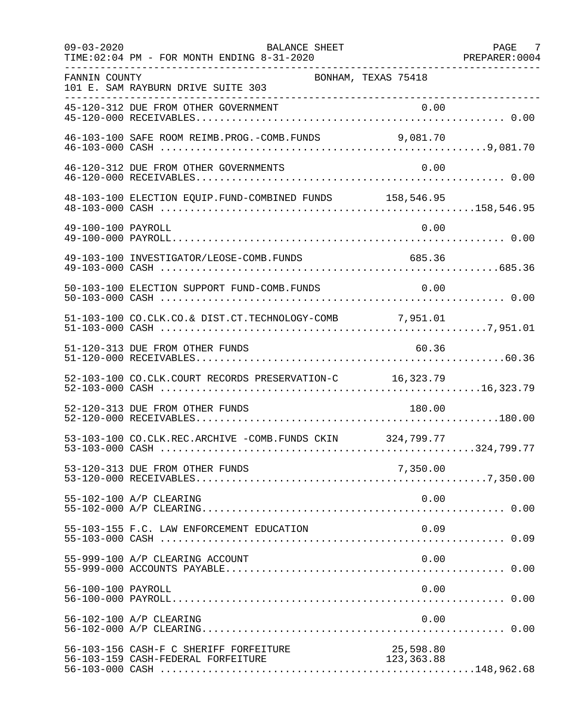| $09 - 03 - 2020$   | <b>BALANCE SHEET</b><br>TIME: 02:04 PM - FOR MONTH ENDING 8-31-2020          |                          | PAGE 7 |
|--------------------|------------------------------------------------------------------------------|--------------------------|--------|
| FANNIN COUNTY      | BONHAM, TEXAS 75418<br>101 E. SAM RAYBURN DRIVE SUITE 303                    |                          |        |
|                    |                                                                              |                          |        |
|                    | 46-103-100 SAFE ROOM REIMB. PROG. - COMB. FUNDS                              | 9,081.70                 |        |
|                    | 46-120-312 DUE FROM OTHER GOVERNMENTS                                        | 0.00                     |        |
|                    | 48-103-100 ELECTION EQUIP. FUND-COMBINED FUNDS 158,546.95                    |                          |        |
| 49-100-100 PAYROLL |                                                                              | 0.00                     |        |
|                    | 49-103-100 INVESTIGATOR/LEOSE-COMB.FUNDS                                     | 685.36                   |        |
|                    | 50-103-100 ELECTION SUPPORT FUND-COMB. FUNDS                                 | 0.00                     |        |
|                    | 51-103-100 CO.CLK.CO.& DIST.CT.TECHNOLOGY-COMB 7,951.01                      |                          |        |
|                    | 51-120-313 DUE FROM OTHER FUNDS                                              | 60.36                    |        |
|                    | 52-103-100 CO.CLK.COURT RECORDS PRESERVATION-C 16,323.79                     |                          |        |
|                    | 52-120-313 DUE FROM OTHER FUNDS                                              | 180.00                   |        |
|                    | 53-103-100 CO.CLK.REC.ARCHIVE -COMB.FUNDS CKIN 324,799.77                    |                          |        |
|                    | 53-120-313 DUE FROM OTHER FUNDS                                              | 7,350.00                 |        |
|                    | 55-102-100 A/P CLEARING                                                      | 0.00                     |        |
|                    | 55-103-155 F.C. LAW ENFORCEMENT EDUCATION                                    | 0.09                     |        |
|                    | 55-999-100 A/P CLEARING ACCOUNT                                              | 0.00                     |        |
| 56-100-100 PAYROLL |                                                                              | 0.00                     |        |
|                    | 56-102-100 A/P CLEARING                                                      | 0.00                     |        |
|                    | 56-103-156 CASH-F C SHERIFF FORFEITURE<br>56-103-159 CASH-FEDERAL FORFEITURE | 25,598.80<br>123, 363.88 |        |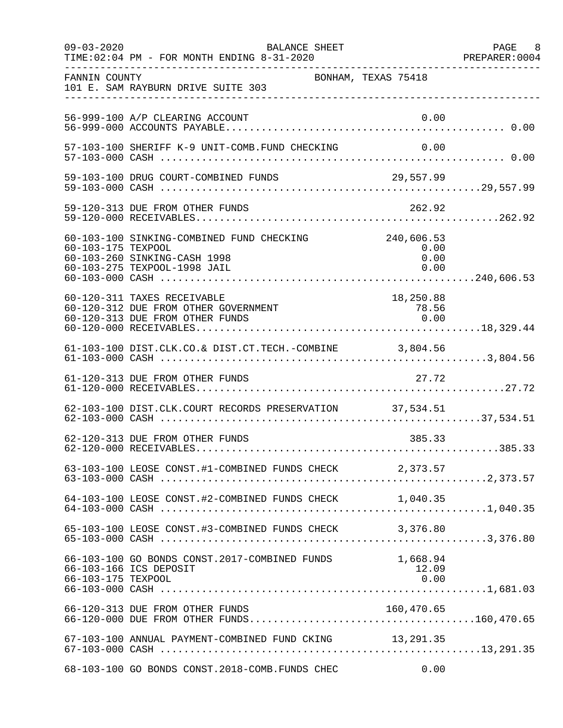| $09 - 03 - 2020$   | BALANCE SHEET<br>TIME: 02:04 PM - FOR MONTH ENDING 8-31-2020                                              | PAGE 8<br>PREPARER:0004                                   |  |
|--------------------|-----------------------------------------------------------------------------------------------------------|-----------------------------------------------------------|--|
| FANNIN COUNTY      | BONHAM, TEXAS 75418<br>101 E. SAM RAYBURN DRIVE SUITE 303                                                 |                                                           |  |
|                    | 56-999-100 A/P CLEARING ACCOUNT                                                                           | 0.00                                                      |  |
|                    | 57-103-100 SHERIFF K-9 UNIT-COMB.FUND CHECKING                                                            | 0.00                                                      |  |
|                    | 59-103-100 DRUG COURT-COMBINED FUNDS 29,557.99                                                            |                                                           |  |
|                    |                                                                                                           |                                                           |  |
| 60-103-175 TEXPOOL | 60-103-100 SINKING-COMBINED FUND CHECKING<br>60-103-260 SINKING-CASH 1998<br>60-103-275 TEXPOOL-1998 JAIL | 240,606.53<br>0.00<br>0.00<br>0.00                        |  |
|                    | 60-120-311 TAXES RECEIVABLE<br>60-120-312 DUE FROM OTHER GOVERNMENT<br>60-120-313 DUE FROM OTHER FUNDS    | 18,250.88<br>$\begin{array}{r} 78.56 \\ 0.00 \end{array}$ |  |
|                    | 61-103-100 DIST.CLK.CO.& DIST.CT.TECH.-COMBINE 3,804.56                                                   |                                                           |  |
|                    | 61-120-313 DUE FROM OTHER FUNDS                                                                           | 27.72                                                     |  |
|                    | 62-103-100 DIST.CLK.COURT RECORDS PRESERVATION 37,534.51                                                  |                                                           |  |
|                    | 62-120-313 DUE FROM OTHER FUNDS                                                                           | 385.33                                                    |  |
|                    | 63-103-100 LEOSE CONST.#1-COMBINED FUNDS CHECK 2,373.57                                                   |                                                           |  |
|                    |                                                                                                           |                                                           |  |
|                    | 65-103-100 LEOSE CONST.#3-COMBINED FUNDS CHECK 3,376.80                                                   |                                                           |  |
| 66-103-175 TEXPOOL | 66-103-100 GO BONDS CONST.2017-COMBINED FUNDS<br>66-103-166 ICS DEPOSIT                                   | 1,668.94<br>12.09<br>0.00                                 |  |
|                    | 66-120-313 DUE FROM OTHER FUNDS                                                                           | 160,470.65                                                |  |
|                    | 67-103-100 ANNUAL PAYMENT-COMBINED FUND CKING 13,291.35                                                   |                                                           |  |
|                    | 68-103-100 GO BONDS CONST.2018-COMB.FUNDS CHEC                                                            | 0.00                                                      |  |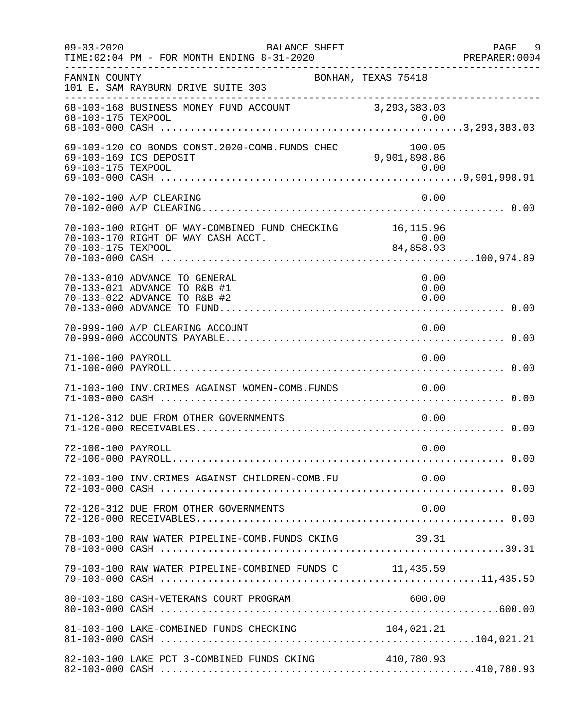| $09 - 03 - 2020$   | BALANCE SHEET<br>TIME: 02:04 PM - FOR MONTH ENDING 8-31-2020                                   |                        | PAGE<br>- 9<br>PREPARER:0004 |
|--------------------|------------------------------------------------------------------------------------------------|------------------------|------------------------------|
| FANNIN COUNTY      | 101 E. SAM RAYBURN DRIVE SUITE 303                                                             | BONHAM, TEXAS 75418    |                              |
| 68-103-175 TEXPOOL | 68-103-168 BUSINESS MONEY FUND ACCOUNT 3, 293, 383.03                                          | 0.00                   |                              |
|                    | 69-103-120 CO BONDS CONST.2020-COMB.FUNDS CHEC<br>69-103-169 ICS DEPOSIT                       | 100.05<br>9,901,898.86 |                              |
|                    | 70-102-100 A/P CLEARING                                                                        | 0.00                   |                              |
| 70-103-175 TEXPOOL | 70-103-100 RIGHT OF WAY-COMBINED FUND CHECKING 16,115.96<br>70-103-170 RIGHT OF WAY CASH ACCT. | 0.00<br>84,858.93      |                              |
|                    | 70-133-010 ADVANCE TO GENERAL<br>70-133-021 ADVANCE TO R&B #1<br>70-133-022 ADVANCE TO R&B #2  | 0.00<br>0.00<br>0.00   |                              |
|                    | 70-999-100 A/P CLEARING ACCOUNT                                                                | 0.00                   |                              |
| 71-100-100 PAYROLL |                                                                                                | 0.00                   |                              |
|                    | 71-103-100 INV.CRIMES AGAINST WOMEN-COMB.FUNDS                                                 | 0.00                   |                              |
|                    | 71-120-312 DUE FROM OTHER GOVERNMENTS                                                          | 0.00                   |                              |
| 72-100-100 PAYROLL |                                                                                                | 0.00                   |                              |
|                    | 72-103-100 INV. CRIMES AGAINST CHILDREN-COMB. FU                                               | 0.00                   |                              |
|                    | 72-120-312 DUE FROM OTHER GOVERNMENTS                                                          | 0.00                   |                              |
|                    | 78-103-100 RAW WATER PIPELINE-COMB.FUNDS CKING 39.31                                           |                        |                              |
|                    | 79-103-100 RAW WATER PIPELINE-COMBINED FUNDS C 11,435.59                                       |                        |                              |
|                    | 80-103-180 CASH-VETERANS COURT PROGRAM                                                         | 600.00                 |                              |
|                    | 81-103-100 LAKE-COMBINED FUNDS CHECKING                                                        | 104,021.21             |                              |
|                    | 82-103-100 LAKE PCT 3-COMBINED FUNDS CKING                                                     | 410,780.93             |                              |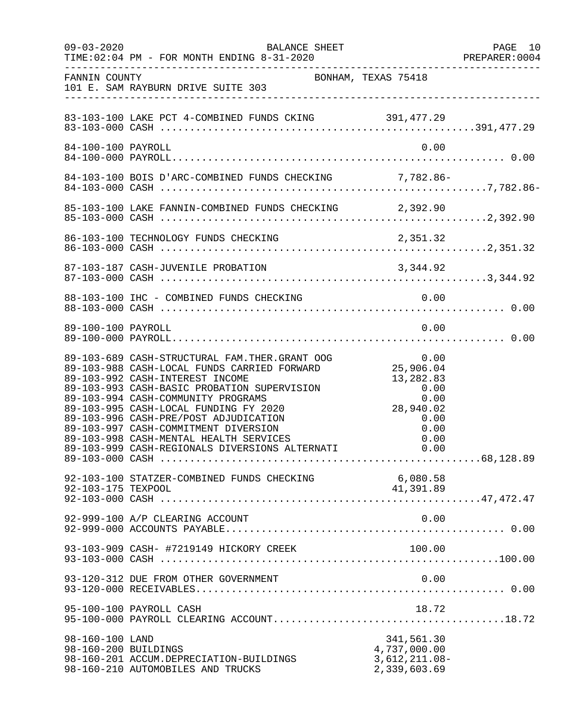| $09 - 03 - 2020$                        | BALANCE SHEET<br>TIME: 02:04 PM - FOR MONTH ENDING 8-31-2020                                                                                                                                                                                                                                                                                                                                                                               | PAGE 10<br>PREPARER:0004                                                                                                            |  |
|-----------------------------------------|--------------------------------------------------------------------------------------------------------------------------------------------------------------------------------------------------------------------------------------------------------------------------------------------------------------------------------------------------------------------------------------------------------------------------------------------|-------------------------------------------------------------------------------------------------------------------------------------|--|
| FANNIN COUNTY                           | BONHAM, TEXAS 75418<br>101 E. SAM RAYBURN DRIVE SUITE 303                                                                                                                                                                                                                                                                                                                                                                                  |                                                                                                                                     |  |
|                                         | 83-103-100 LAKE PCT 4-COMBINED FUNDS CKING 391,477.29                                                                                                                                                                                                                                                                                                                                                                                      |                                                                                                                                     |  |
| 84-100-100 PAYROLL                      |                                                                                                                                                                                                                                                                                                                                                                                                                                            | 0.00                                                                                                                                |  |
|                                         |                                                                                                                                                                                                                                                                                                                                                                                                                                            |                                                                                                                                     |  |
|                                         | 85-103-100 LAKE FANNIN-COMBINED FUNDS CHECKING 2,392.90                                                                                                                                                                                                                                                                                                                                                                                    |                                                                                                                                     |  |
|                                         |                                                                                                                                                                                                                                                                                                                                                                                                                                            |                                                                                                                                     |  |
|                                         |                                                                                                                                                                                                                                                                                                                                                                                                                                            |                                                                                                                                     |  |
|                                         | 88-103-100 IHC - COMBINED FUNDS CHECKING                                                                                                                                                                                                                                                                                                                                                                                                   | 0.00                                                                                                                                |  |
| 89-100-100 PAYROLL                      |                                                                                                                                                                                                                                                                                                                                                                                                                                            | 0.00                                                                                                                                |  |
|                                         | 89-103-689 CASH-STRUCTURAL FAM.THER.GRANT OOG<br>89-103-988 CASH-LOCAL FUNDS CARRIED FORWARD<br>89-103-992 CASH-INTEREST INCOME<br>89-103-993 CASH-BASIC PROBATION SUPERVISION<br>89-103-994 CASH-COMMUNITY PROGRAMS<br>89-103-995 CASH-LOCAL FUNDING FY 2020<br>89-103-996 CASH-PRE/POST ADJUDICATION<br>89-103-997 CASH-COMMITMENT DIVERSION<br>89-103-998 CASH-MENTAL HEALTH SERVICES<br>89-103-999 CASH-REGIONALS DIVERSIONS ALTERNATI | $\begin{array}{c} 3 \ 3 \ 25,906.04 \end{array}$<br>13, 282.83<br>0.00<br>0.00<br>28,940.02<br>0.00<br>0.00<br>0.00<br>0.00<br>0.00 |  |
| 92-103-175 TEXPOOL                      | 92-103-100 STATZER-COMBINED FUNDS CHECKING                                                                                                                                                                                                                                                                                                                                                                                                 | 6,080.58<br>41,391.89                                                                                                               |  |
|                                         | 92-999-100 A/P CLEARING ACCOUNT                                                                                                                                                                                                                                                                                                                                                                                                            | 0.00                                                                                                                                |  |
|                                         | 93-103-909 CASH- #7219149 HICKORY CREEK                                                                                                                                                                                                                                                                                                                                                                                                    | 100.00                                                                                                                              |  |
|                                         | 93-120-312 DUE FROM OTHER GOVERNMENT                                                                                                                                                                                                                                                                                                                                                                                                       | 0.00                                                                                                                                |  |
|                                         | 95-100-100 PAYROLL CASH                                                                                                                                                                                                                                                                                                                                                                                                                    | 18.72                                                                                                                               |  |
| 98-160-100 LAND<br>98-160-200 BUILDINGS | 98-160-201 ACCUM.DEPRECIATION-BUILDINGS<br>98-160-210 AUTOMOBILES AND TRUCKS                                                                                                                                                                                                                                                                                                                                                               | 341,561.30<br>4,737,000.00<br>$3,612,211.08-$<br>2,339,603.69                                                                       |  |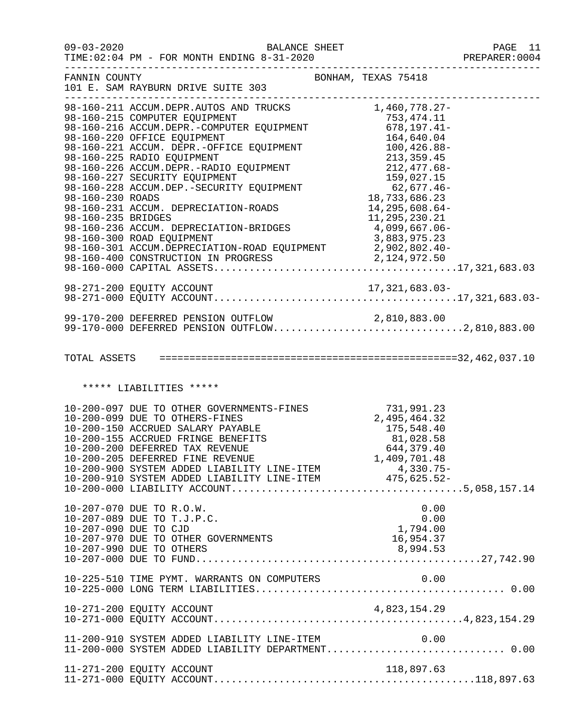| $09 - 03 - 2020$                       | BALANCE SHEET<br>TIME: 02:04 PM - FOR MONTH ENDING 8-31-2020                                                                                                                                                                                                                                                                                                                                        |                                                                                                    | PAGE 11<br>PREPARER: 0004 |
|----------------------------------------|-----------------------------------------------------------------------------------------------------------------------------------------------------------------------------------------------------------------------------------------------------------------------------------------------------------------------------------------------------------------------------------------------------|----------------------------------------------------------------------------------------------------|---------------------------|
| FANNIN COUNTY                          | 101 E. SAM RAYBURN DRIVE SUITE 303<br>______________________                                                                                                                                                                                                                                                                                                                                        | ----------------------------------<br>BONHAM, TEXAS 75418                                          |                           |
| 98-160-230 ROADS<br>98-160-235 BRIDGES | 98-160-211 ACCUM.DEPR.AUTOS AND TRUCKS<br>98-160-215 COMPUTER EQUIPMENT<br>98-160-216 ACCUM.DEPR.-COMPUTER EQUIPMENT<br>98-160-220 OFFICE EQUIPMENT<br>98-160-220 OFFICE EQUIPMENT<br>98-160-221 ACCUM.DEPR.-OFFICE EQUIPMENT<br>98-160-221 ACCUM.DEPR.-OFFICE EQUIPMENT<br>98-160-2<br>98-160-231 ACCUM. DEPRECIATION-ROADS<br>98-160-236 ACCUM. DEPRECIATION-BRIDGES<br>98-160-300 ROAD EQUIPMENT | 1,460,778.27-<br>18,733,686.23<br>14,295,608.64-<br>11,295,230.21<br>4,099,667.06-<br>3,883,975.23 |                           |
|                                        | 99-170-200 DEFERRED PENSION OUTFLOW 2,810,883.00<br>99-170-000 DEFERRED PENSION OUTFLOW2,810,883.00                                                                                                                                                                                                                                                                                                 |                                                                                                    |                           |
|                                        | ***** LIABILITIES *****                                                                                                                                                                                                                                                                                                                                                                             |                                                                                                    |                           |
|                                        | 10-200-097 DUE TO OTHER GOVERNMENTS-FINES<br>10-200-099 DUE TO OTHERS-FINES<br>10-200-150 ACCRUED SALARY PAYABLE<br>10-200-155 ACCRUED FRINGE BENEFITS<br>10-200-200 DEFERRED TAX REVENUE<br>10-200-200 DEFERRED TAX REVENUE<br>10-200-206<br>10-200-205 DEFERRED FINE REVENUE                                                                                                                      | 1,409,701.48                                                                                       |                           |
| 10-207-090 DUE TO CJD                  | 10-207-070 DUE TO R.O.W.<br>10-207-089 DUE TO T.J.P.C.<br>10-207-970 DUE TO OTHER GOVERNMENTS<br>10-207-990 DUE TO OTHERS                                                                                                                                                                                                                                                                           | 0.00<br>0.00<br>1,794.00<br>16,954.37<br>8,994.53                                                  |                           |
|                                        | 10-225-510 TIME PYMT. WARRANTS ON COMPUTERS                                                                                                                                                                                                                                                                                                                                                         | 0.00                                                                                               |                           |
|                                        |                                                                                                                                                                                                                                                                                                                                                                                                     |                                                                                                    |                           |
|                                        | 11-200-910 SYSTEM ADDED LIABILITY LINE-ITEM<br>11-200-000 SYSTEM ADDED LIABILITY DEPARTMENT 0.00                                                                                                                                                                                                                                                                                                    | 0.00                                                                                               |                           |
|                                        | 11-271-200 EQUITY ACCOUNT                                                                                                                                                                                                                                                                                                                                                                           | 118,897.63                                                                                         |                           |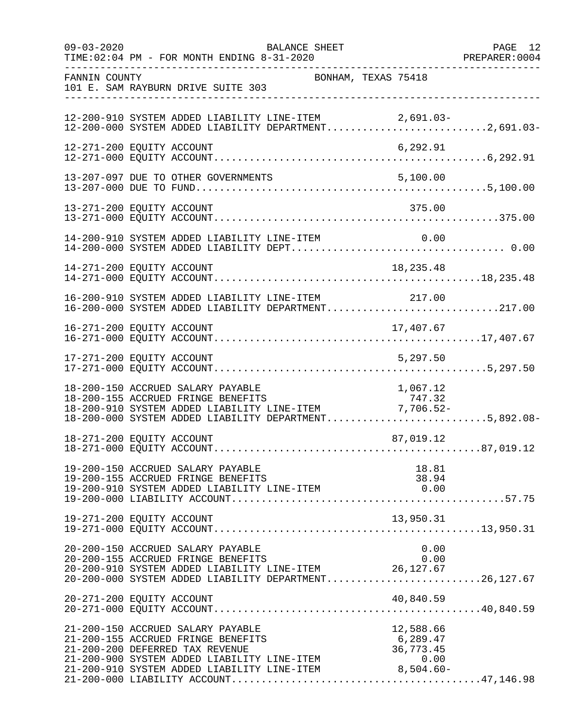| $09 - 03 - 2020$ | BALANCE SHEET<br>TIME: 02:04 PM - FOR MONTH ENDING 8-31-2020                                                                                                                                                                       |                | PAGE 12<br>PREPARER:0004 |
|------------------|------------------------------------------------------------------------------------------------------------------------------------------------------------------------------------------------------------------------------------|----------------|--------------------------|
| FANNIN COUNTY    | BONHAM, TEXAS 75418<br>101 E. SAM RAYBURN DRIVE SUITE 303                                                                                                                                                                          |                |                          |
|                  | 12-200-910 SYSTEM ADDED LIABILITY LINE-ITEM 2,691.03-<br>12-200-000 SYSTEM ADDED LIABILITY DEPARTMENT2,691.03-                                                                                                                     |                |                          |
|                  | 12-271-200 EQUITY ACCOUNT                                                                                                                                                                                                          | 6,292.91       |                          |
|                  | 13-207-097 DUE TO OTHER GOVERNMENTS                                                                                                                                                                                                | 5,100.00       |                          |
|                  | 13-271-200 EQUITY ACCOUNT                                                                                                                                                                                                          | 375.00         |                          |
|                  |                                                                                                                                                                                                                                    |                |                          |
|                  | 14-271-200 EQUITY ACCOUNT                                                                                                                                                                                                          | 18, 235.48     |                          |
|                  | 16-200-910 SYSTEM ADDED LIABILITY LINE-ITEM 217.00<br>16-200-000 SYSTEM ADDED LIABILITY DEPARTMENT217.00                                                                                                                           |                |                          |
|                  |                                                                                                                                                                                                                                    |                |                          |
|                  |                                                                                                                                                                                                                                    |                |                          |
|                  | 17.067.12 18-200-150 ACCRUED SALARY PAYABLE<br>18-200-155 ACCRUED FRINGE BENEFITS 18-200-910 SYSTEM ADDED LIABILITY LINE-ITEM 77.706.52-<br>18-200-000 SYSTEM ADDED LIABILITY DEPARTMENT5,892.08-                                  |                |                          |
|                  | 18-271-200 EQUITY ACCOUNT                                                                                                                                                                                                          | 87,019.12      |                          |
|                  | 19-200-150 ACCRUED SALARY PAYABLE<br>19-200-155 ACCRUED FRINGE BENEFITS                                                                                                                                                            | 18.81<br>38.94 |                          |
|                  | 19-271-200 EQUITY ACCOUNT                                                                                                                                                                                                          |                |                          |
|                  | 20-200-150 ACCRUED SALARY PAYABLE<br>20-200-155 ACCRUED FRINGE BENEFITS<br>20-200-910 SYSTEM ADDED LIABILITY LINE-ITEM 26,127.67<br>20-200-000 SYSTEM ADDED LIABILITY DEPARTMENT26,127.67                                          | 0.00<br>0.00   |                          |
|                  | 20-271-200 EQUITY ACCOUNT                                                                                                                                                                                                          | 40,840.59      |                          |
|                  | 21-200-150 ACCRUED SALARY PAYABLE<br>21-200-155 ACCRUED FRINGE BENEFITS<br>21-200-200 DEFERRED TAX REVENUE<br>21-200-900 SYSTEM ADDED LIABILITY LINE-ITEM<br>21-200-910 SYSTEM ADDED LIABILITY LINE-ITEM<br>8,504.60-<br>8,504.60- | 12,588.66      |                          |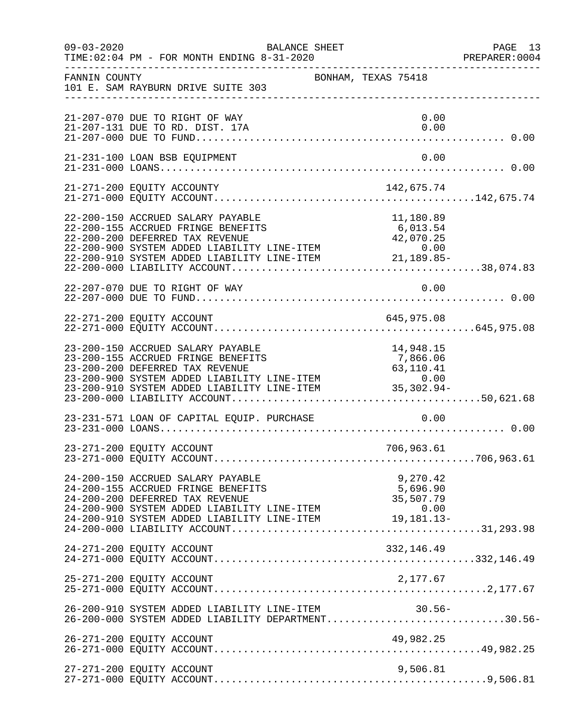| $09 - 03 - 2020$ | BALANCE SHEET<br>TIME: 02:04 PM - FOR MONTH ENDING 8-31-2020                                                                                                                                                                                                   |                                   | PAGE 13<br>PREPARER: 0004 |
|------------------|----------------------------------------------------------------------------------------------------------------------------------------------------------------------------------------------------------------------------------------------------------------|-----------------------------------|---------------------------|
| FANNIN COUNTY    | 101 E. SAM RAYBURN DRIVE SUITE 303                                                                                                                                                                                                                             | BONHAM, TEXAS 75418               |                           |
|                  | 21-207-070 DUE TO RIGHT OF WAY<br>21-207-131 DUE TO RD. DIST. 17A                                                                                                                                                                                              | 0.00<br>0.00                      |                           |
|                  | 21-231-100 LOAN BSB EQUIPMENT                                                                                                                                                                                                                                  | 0.00                              |                           |
|                  | 21-271-200 EQUITY ACCOUNTY                                                                                                                                                                                                                                     | 142,675.74                        |                           |
|                  | 22-200-150 ACCRUED SALARY PAYABLE<br>22-200-155 ACCRUED FRINGE BENEFITS<br>22-200-200 DEFERRED TAX REVENUE 42,070.25<br>22-200-900 SYSTEM ADDED LIABILITY LINE-ITEM 0.00<br>22-200-910 SYSTEM ADDED LIABILITY LINE-ITEM 21,189.85-                             | 11,180.89<br>6,013.54             |                           |
|                  | 22-207-070 DUE TO RIGHT OF WAY                                                                                                                                                                                                                                 | 0.00                              |                           |
|                  | 22-271-200 EQUITY ACCOUNT                                                                                                                                                                                                                                      | 645,975.08                        |                           |
|                  | 23-200-150 ACCRUED SALARY PAYABLE<br>23-200-155 ACCRUED FRINGE BENEFITS<br>23-200-200 DEFERRED TAX REVENUE<br>23-200-900 SYSTEM ADDED LIABILITY LINE-ITEM 0.00<br>23-200-910 SYSTEM ADDED LIABILITY LINE-ITEM 35,302.94-                                       | 14,948.15<br>7,866.06             |                           |
|                  | 23-231-571 LOAN OF CAPITAL EQUIP. PURCHASE                                                                                                                                                                                                                     | 0.00                              |                           |
|                  | 23-271-200 EQUITY ACCOUNT                                                                                                                                                                                                                                      | 706,963.61                        |                           |
|                  | 24-200-150 ACCRUED SALARY PAYABLE<br>24-200-155 ACCRUED FRINGE BENEFITS<br>24-200-200 DEFERRED TAX REVENUE<br>$24-200-910$ SYSTEM ADDED LIABILITY LINE-ITEM $0.00$<br>24-200-910 SYSTEM ADDED LIABILITY LINE-ITEM $19,181.13-$<br>24-200-000 LIABILITY ACCOUNT | 9,270.42<br>5,696.90<br>35,507.79 |                           |
|                  | 24-271-200 EQUITY ACCOUNT                                                                                                                                                                                                                                      | 332,146.49                        |                           |
|                  | 25-271-200 EQUITY ACCOUNT                                                                                                                                                                                                                                      | 2,177.67                          |                           |
|                  | 26-200-910 SYSTEM ADDED LIABILITY LINE-ITEM<br>26-200-910 SYSTEM ADDED LIABILITY LINE-ITEM 30.56-<br>26-200-000 SYSTEM ADDED LIABILITY DEPARTMENT30.56-                                                                                                        | $30.56-$                          |                           |
|                  | 26-271-200 EQUITY ACCOUNT                                                                                                                                                                                                                                      | 49,982.25                         |                           |
|                  | 27-271-200 EQUITY ACCOUNT                                                                                                                                                                                                                                      | 9,506.81                          |                           |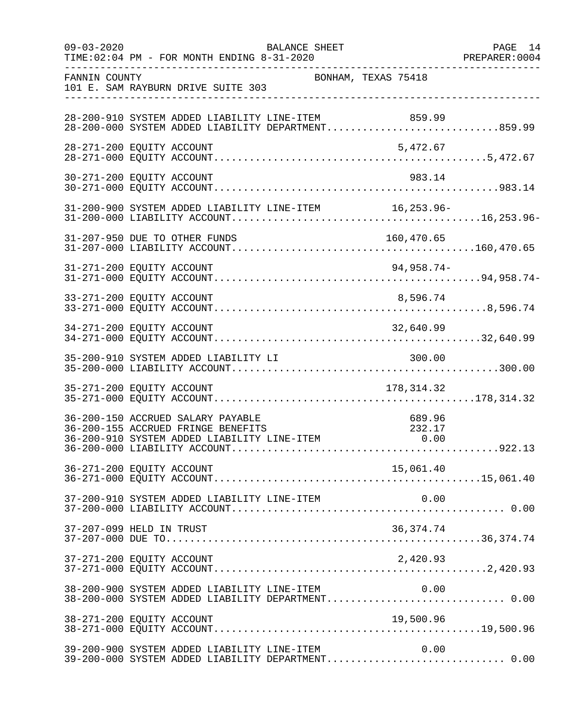| $09 - 03 - 2020$ | BALANCE SHEET<br>TIME: 02:04 PM - FOR MONTH ENDING 8-31-2020                                                                                                            |                     | PAGE 14 |
|------------------|-------------------------------------------------------------------------------------------------------------------------------------------------------------------------|---------------------|---------|
| FANNIN COUNTY    | 101 E. SAM RAYBURN DRIVE SUITE 303                                                                                                                                      | BONHAM, TEXAS 75418 |         |
|                  | 28-200-910 SYSTEM ADDED LIABILITY LINE-ITEM 859.99<br>28-200-000 SYSTEM ADDED LIABILITY DEPARTMENT859.99                                                                |                     |         |
|                  | 28-271-200 EQUITY ACCOUNT                                                                                                                                               | 5,472.67            |         |
|                  | 30-271-200 EQUITY ACCOUNT                                                                                                                                               | 983.14              |         |
|                  | 31-200-900 SYSTEM ADDED LIABILITY LINE-ITEM 16,253.96-                                                                                                                  |                     |         |
|                  |                                                                                                                                                                         |                     |         |
|                  |                                                                                                                                                                         |                     |         |
|                  | 33-271-200 EQUITY ACCOUNT                                                                                                                                               | 8,596.74            |         |
|                  | 34-271-200 EQUITY ACCOUNT                                                                                                                                               | 32,640.99           |         |
|                  | 35-200-910 SYSTEM ADDED LIABILITY LI                                                                                                                                    | 300.00              |         |
|                  | 35-271-200 EQUITY ACCOUNT                                                                                                                                               | 178,314.32          |         |
|                  | 36-200-150 ACCRUED SALARY PAYABLE<br>36-200-150 ACCRUED SALARY PAYABLE<br>36-200-155 ACCRUED FRINGE BENEFITS 232.17<br>36-200-910 SYSTEM ADDED LIABILITY LINE-ITEM 0.00 | 689.96              |         |
|                  | 36-271-200 EQUITY ACCOUNT                                                                                                                                               | 15,061.40           |         |
|                  | 37-200-910 SYSTEM ADDED LIABILITY LINE-ITEM                                                                                                                             | 0.00                |         |
|                  | 37-207-099 HELD IN TRUST                                                                                                                                                | 36,374.74           |         |
|                  | 37-271-200 EQUITY ACCOUNT                                                                                                                                               | 2,420.93            |         |
|                  | 38-200-900 SYSTEM ADDED LIABILITY LINE-ITEM 0.00<br>38-200-000 SYSTEM ADDED LIABILITY DEPARTMENT 0.00                                                                   |                     |         |
|                  | 38-271-200 EQUITY ACCOUNT                                                                                                                                               | 19,500.96           |         |
|                  | 39-200-900 SYSTEM ADDED LIABILITY LINE-ITEM<br>39-200-000 SYSTEM ADDED LIABILITY DEPARTMENT 0.00                                                                        | 0.00                |         |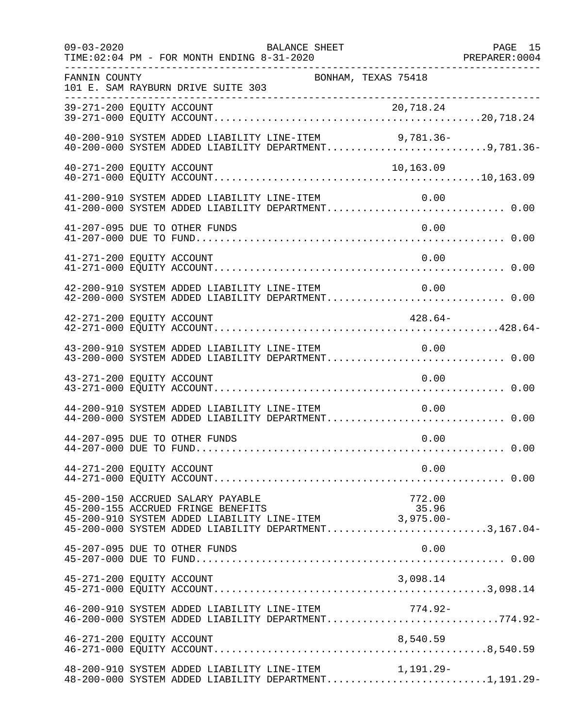| $09 - 03 - 2020$ |                           | BALANCE SHEET<br>TIME: 02:04 PM - FOR MONTH ENDING 8-31-2020                                                                                                                              | PAGE 15<br>PREPARER:0004 | PAGE 15 |
|------------------|---------------------------|-------------------------------------------------------------------------------------------------------------------------------------------------------------------------------------------|--------------------------|---------|
| FANNIN COUNTY    |                           | 101 E. SAM RAYBURN DRIVE SUITE 303                                                                                                                                                        | BONHAM, TEXAS 75418      |         |
|                  |                           |                                                                                                                                                                                           |                          |         |
|                  |                           | 40-200-910 SYSTEM ADDED LIABILITY LINE-ITEM 9,781.36-<br>40-200-000 SYSTEM ADDED LIABILITY DEPARTMENT9,781.36-                                                                            |                          |         |
|                  | 40-271-200 EQUITY ACCOUNT |                                                                                                                                                                                           | 10,163.09                |         |
|                  |                           | 41-200-910 SYSTEM ADDED LIABILITY LINE-ITEM<br>41-200-000 SYSTEM ADDED LIABILITY DEPARTMENT 0.00                                                                                          | 0.00                     |         |
|                  |                           | 41-207-095 DUE TO OTHER FUNDS                                                                                                                                                             | 0.00                     |         |
|                  | 41-271-200 EQUITY ACCOUNT |                                                                                                                                                                                           | 0.00                     |         |
|                  |                           | 42-200-910 SYSTEM ADDED LIABILITY LINE-ITEM<br>42-200-000 SYSTEM ADDED LIABILITY DEPARTMENT 0.00                                                                                          | 0.00                     |         |
|                  | 42-271-200 EQUITY ACCOUNT |                                                                                                                                                                                           | $428.64-$                |         |
|                  |                           | 43-200-910 SYSTEM ADDED LIABILITY LINE-ITEM 0.00<br>43-200-000 SYSTEM ADDED LIABILITY DEPARTMENT 0.00                                                                                     |                          |         |
|                  | 43-271-200 EQUITY ACCOUNT |                                                                                                                                                                                           | 0.00                     |         |
|                  |                           | 44-200-910 SYSTEM ADDED LIABILITY LINE-ITEM<br>44-200-000 SYSTEM ADDED LIABILITY DEPARTMENT 0.00                                                                                          | 0.00                     |         |
|                  |                           | 44-207-095 DUE TO OTHER FUNDS                                                                                                                                                             | 0.00                     |         |
|                  | 44-271-200 EQUITY ACCOUNT |                                                                                                                                                                                           | 0.00                     |         |
|                  |                           | 45-200-150 ACCRUED SALARY PAYABLE<br>45-200-155 ACCRUED FRINGE BENEFITS<br>45-200-910 SYSTEM ADDED LIABILITY LINE-ITEM 3,975.00-<br>45-200-000 SYSTEM ADDED LIABILITY DEPARTMENT3,167.04- | 772.00<br>35.96          |         |
|                  |                           | 45-207-095 DUE TO OTHER FUNDS                                                                                                                                                             | 0.00                     |         |
|                  | 45-271-200 EQUITY ACCOUNT |                                                                                                                                                                                           | 3,098.14                 |         |
|                  |                           | 46-200-910 SYSTEM ADDED LIABILITY LINE-ITEM 774.92-<br>46-200-000 SYSTEM ADDED LIABILITY DEPARTMENT774.92-                                                                                |                          |         |
|                  | 46-271-200 EQUITY ACCOUNT |                                                                                                                                                                                           | 8,540.59                 |         |
|                  |                           | 48-200-910 SYSTEM ADDED LIABILITY LINE-ITEM<br>48-200-000 SYSTEM ADDED LIABILITY DEPARTMENT1,191.29-                                                                                      | 1,191.29-                |         |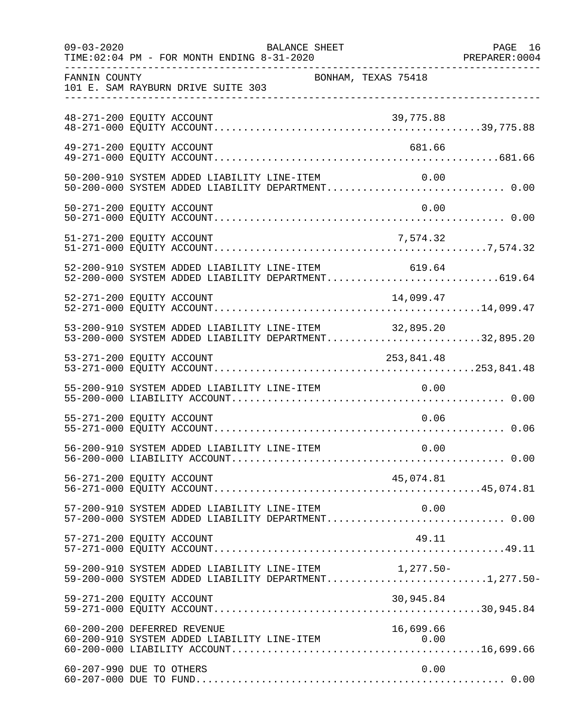| $09 - 03 - 2020$ |                           | TIME: 02:04 PM - FOR MONTH ENDING 8-31-2020                                                                    | BALANCE SHEET       |            | PAGE 16 |
|------------------|---------------------------|----------------------------------------------------------------------------------------------------------------|---------------------|------------|---------|
| FANNIN COUNTY    |                           | 101 E. SAM RAYBURN DRIVE SUITE 303<br>----------------------------------                                       | BONHAM, TEXAS 75418 |            |         |
|                  | 48-271-200 EQUITY ACCOUNT |                                                                                                                |                     | 39,775.88  |         |
|                  | 49-271-200 EQUITY ACCOUNT |                                                                                                                |                     | 681.66     |         |
|                  |                           | 50-200-910 SYSTEM ADDED LIABILITY LINE-ITEM<br>50-200-000 SYSTEM ADDED LIABILITY DEPARTMENT 0.00               |                     | 0.00       |         |
|                  | 50-271-200 EQUITY ACCOUNT |                                                                                                                |                     | 0.00       |         |
|                  |                           |                                                                                                                |                     |            |         |
|                  |                           | 52-200-910 SYSTEM ADDED LIABILITY LINE-ITEM<br>52-200-000 SYSTEM ADDED LIABILITY DEPARTMENT619.64              |                     | 619.64     |         |
|                  | 52-271-200 EQUITY ACCOUNT |                                                                                                                |                     | 14,099.47  |         |
|                  |                           | 53-200-910 SYSTEM ADDED LIABILITY LINE-ITEM 32,895.20<br>53-200-000 SYSTEM ADDED LIABILITY DEPARTMENT32,895.20 |                     |            |         |
|                  | 53-271-200 EQUITY ACCOUNT |                                                                                                                |                     | 253,841.48 |         |
|                  |                           | 55-200-910 SYSTEM ADDED LIABILITY LINE-ITEM                                                                    |                     | 0.00       |         |
|                  | 55-271-200 EQUITY ACCOUNT |                                                                                                                |                     | 0.06       |         |
|                  |                           | 56-200-910 SYSTEM ADDED LIABILITY LINE-ITEM                                                                    |                     | 0.00       |         |
|                  | 56-271-200 EQUITY ACCOUNT |                                                                                                                |                     | 45,074.81  |         |
|                  |                           | 57-200-910 SYSTEM ADDED LIABILITY LINE-ITEM<br>57-200-000 SYSTEM ADDED LIABILITY DEPARTMENT 0.00               |                     | 0.00       |         |
|                  | 57-271-200 EQUITY ACCOUNT |                                                                                                                |                     | 49.11      |         |
|                  |                           | 59-200-910 SYSTEM ADDED LIABILITY LINE-ITEM 1,277.50-<br>59-200-000 SYSTEM ADDED LIABILITY DEPARTMENT1,277.50- |                     |            |         |
|                  | 59-271-200 EQUITY ACCOUNT |                                                                                                                |                     | 30,945.84  |         |
|                  |                           |                                                                                                                |                     |            |         |
|                  | 60-207-990 DUE TO OTHERS  |                                                                                                                |                     | 0.00       |         |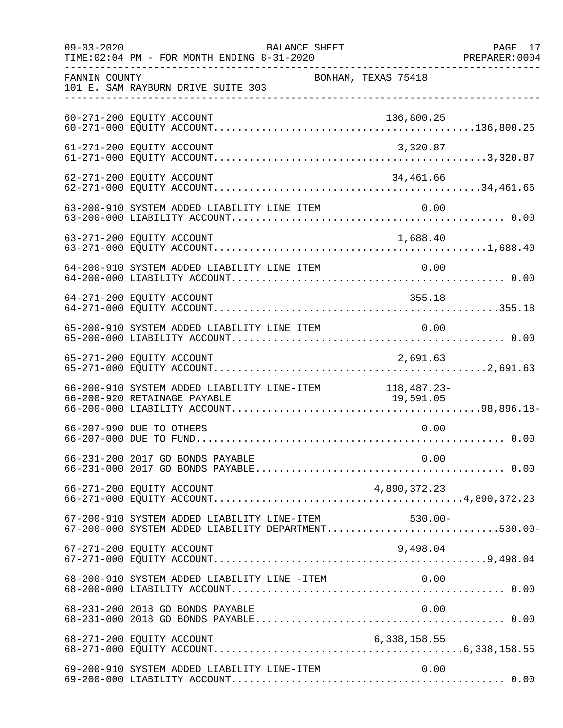| $09 - 03 - 2020$                     | BALANCE SHEET<br>TIME: 02:04 PM - FOR MONTH ENDING 8-31-2020                                       | PREPARER: 0004      | PAGE 17 |
|--------------------------------------|----------------------------------------------------------------------------------------------------|---------------------|---------|
| ___________________<br>FANNIN COUNTY | 101 E. SAM RAYBURN DRIVE SUITE 303                                                                 | BONHAM, TEXAS 75418 |         |
|                                      | 60-271-200 EQUITY ACCOUNT                                                                          | 136,800.25          |         |
|                                      | 61-271-200 EQUITY ACCOUNT                                                                          | 3,320.87            |         |
|                                      | 62-271-200 EQUITY ACCOUNT                                                                          | 34,461.66           |         |
|                                      |                                                                                                    |                     |         |
|                                      | 63-271-200 EQUITY ACCOUNT                                                                          |                     |         |
|                                      | 64-200-910 SYSTEM ADDED LIABILITY LINE ITEM                                                        | 0.00                |         |
|                                      | 64-271-200 EQUITY ACCOUNT                                                                          | 355.18              |         |
|                                      | 65-200-910 SYSTEM ADDED LIABILITY LINE ITEM 0.00                                                   |                     |         |
|                                      | 65-271-200 EQUITY ACCOUNT                                                                          | 2,691.63            |         |
|                                      | 66-200-910 SYSTEM ADDED LIABILITY LINE-ITEM 118,487.23-<br>66-200-920 RETAINAGE PAYABLE 19,591.05  |                     |         |
|                                      | 66-207-990 DUE TO OTHERS                                                                           | 0.00                |         |
|                                      |                                                                                                    |                     |         |
|                                      |                                                                                                    |                     |         |
|                                      | 67-200-910 SYSTEM ADDED LIABILITY LINE-ITEM<br>67-200-000 SYSTEM ADDED LIABILITY DEPARTMENT530.00- | 530.00-             |         |
|                                      | 67-271-200 EQUITY ACCOUNT                                                                          | 9,498.04            |         |
|                                      | 68-200-910 SYSTEM ADDED LIABILITY LINE -ITEM                                                       | 0.00                |         |
|                                      | 68-231-200 2018 GO BONDS PAYABLE                                                                   | 0.00                |         |
|                                      |                                                                                                    |                     |         |
|                                      | 69-200-910 SYSTEM ADDED LIABILITY LINE-ITEM                                                        | 0.00                |         |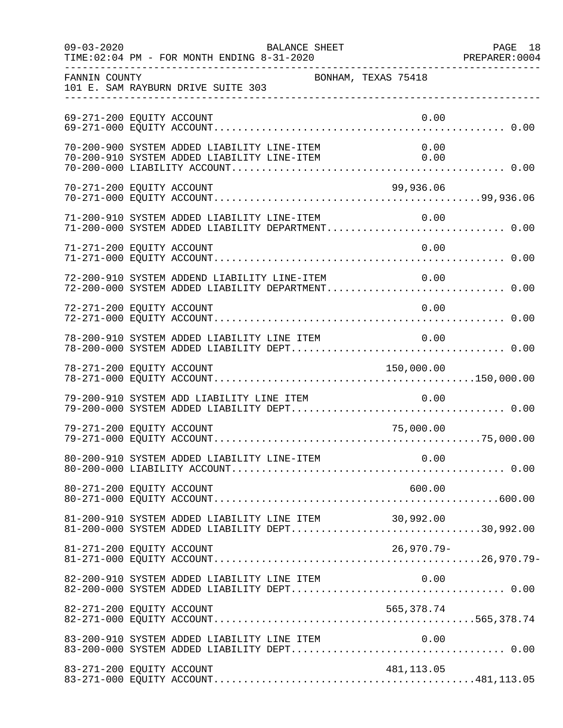|                           | BALANCE SHEET                               |                                                       |                                                                                                        |  |
|---------------------------|---------------------------------------------|-------------------------------------------------------|--------------------------------------------------------------------------------------------------------|--|
| FANNIN COUNTY             | 101 E. SAM RAYBURN DRIVE SUITE 303          | BONHAM, TEXAS 75418                                   |                                                                                                        |  |
| 69-271-200 EQUITY ACCOUNT |                                             |                                                       | 0.00                                                                                                   |  |
|                           |                                             |                                                       |                                                                                                        |  |
| 70-271-200 EQUITY ACCOUNT |                                             |                                                       | 99,936.06                                                                                              |  |
|                           |                                             |                                                       | 71-200-910 SYSTEM ADDED LIABILITY LINE-ITEM $0.00$<br>71-200-000 SYSTEM ADDED LIABILITY DEPARTMENT0.00 |  |
| 71-271-200 EQUITY ACCOUNT |                                             |                                                       | 0.00                                                                                                   |  |
|                           |                                             | 72-200-910 SYSTEM ADDEND LIABILITY LINE-ITEM          | 0.00<br>72-200-000 SYSTEM ADDED LIABILITY DEPARTMENT 0.00                                              |  |
| 72-271-200 EQUITY ACCOUNT |                                             |                                                       | 0.00                                                                                                   |  |
|                           |                                             |                                                       |                                                                                                        |  |
| 78-271-200 EQUITY ACCOUNT |                                             |                                                       | 150,000.00                                                                                             |  |
|                           |                                             | 79-200-910 SYSTEM ADD LIABILITY LINE ITEM 0.00        |                                                                                                        |  |
| 79-271-200 EQUITY ACCOUNT |                                             |                                                       | 75,000.00                                                                                              |  |
|                           |                                             |                                                       |                                                                                                        |  |
| 80-271-200 EQUITY ACCOUNT |                                             |                                                       | 600.00                                                                                                 |  |
|                           |                                             | 81-200-910 SYSTEM ADDED LIABILITY LINE ITEM 30,992.00 | 81-200-000 SYSTEM ADDED LIABILITY DEPT30,992.00                                                        |  |
| 81-271-200 EQUITY ACCOUNT |                                             |                                                       | $26,970.79 -$                                                                                          |  |
|                           |                                             |                                                       |                                                                                                        |  |
|                           |                                             |                                                       |                                                                                                        |  |
|                           | 83-200-910 SYSTEM ADDED LIABILITY LINE ITEM |                                                       | 0.00                                                                                                   |  |
| 83-271-200 EQUITY ACCOUNT |                                             |                                                       | 481, 113.05                                                                                            |  |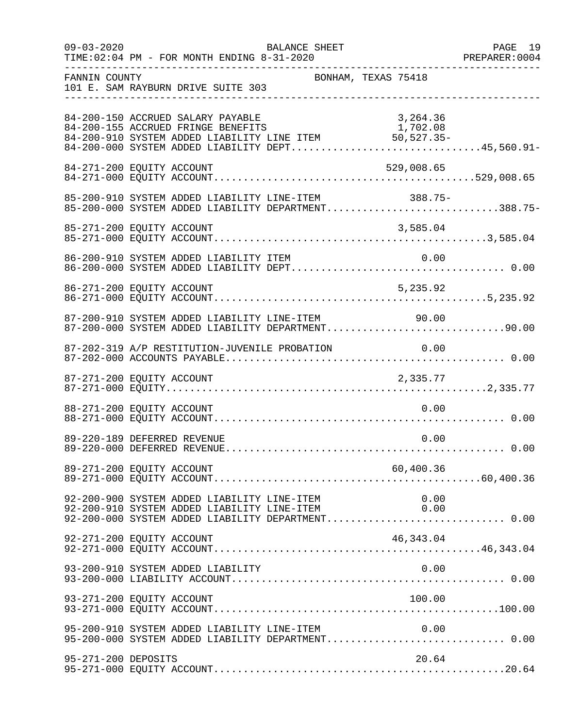| $09 - 03 - 2020$    | BALANCE SHEET<br>TIME: 02:04 PM - FOR MONTH ENDING 8-31-2020                                                                                                                                      | PAGE 19<br>PREPARER: 0004 |
|---------------------|---------------------------------------------------------------------------------------------------------------------------------------------------------------------------------------------------|---------------------------|
| FANNIN COUNTY       | BONHAM, TEXAS 75418<br>101 E. SAM RAYBURN DRIVE SUITE 303                                                                                                                                         |                           |
|                     | 84-200-150 ACCRUED SALARY PAYABLE<br>3,264.36<br>84-200-155 ACCRUED FRINGE BENEFITS<br>84-200-910 SYSTEM ADDED LIABILITY LINE ITEM 50,527.35-<br>84-200-000 SYSTEM ADDED LIABILITY DEPT45,560.91- |                           |
|                     | 529,008.65<br>84-271-200 EQUITY ACCOUNT                                                                                                                                                           |                           |
|                     | 85-200-910 SYSTEM ADDED LIABILITY LINE-ITEM 388.75-<br>85-200-000 SYSTEM ADDED LIABILITY DEPARTMENT388.75-                                                                                        |                           |
|                     | 85-271-200 EQUITY ACCOUNT<br>3,585.04                                                                                                                                                             |                           |
|                     | 86-200-910 SYSTEM ADDED LIABILITY ITEM<br>0.00                                                                                                                                                    |                           |
|                     | 5,235.92<br>86-271-200 EQUITY ACCOUNT                                                                                                                                                             |                           |
|                     | 87-200-910 SYSTEM ADDED LIABILITY LINE-ITEM 90.00<br>87-200-000 SYSTEM ADDED LIABILITY DEPARTMENT90.00                                                                                            |                           |
|                     | 87-202-319 A/P RESTITUTION-JUVENILE PROBATION 0.00                                                                                                                                                |                           |
|                     | 87-271-200 EQUITY ACCOUNT<br>2,335.77                                                                                                                                                             |                           |
|                     | 0.00<br>88-271-200 EQUITY ACCOUNT                                                                                                                                                                 |                           |
|                     | 0.00<br>89-220-189 DEFERRED REVENUE                                                                                                                                                               |                           |
|                     | 60,400.36<br>89-271-200 EQUITY ACCOUNT                                                                                                                                                            |                           |
|                     | 92-200-900 SYSTEM ADDED LIABILITY LINE-ITEM<br>0.00<br>92-200-910 SYSTEM ADDED LIABILITY LINE-ITEM<br>0.00<br>92-200-000 SYSTEM ADDED LIABILITY DEPARTMENT 0.00                                   |                           |
|                     | 92-271-200 EQUITY ACCOUNT<br>46, 343.04                                                                                                                                                           |                           |
|                     | 93-200-910 SYSTEM ADDED LIABILITY<br>0.00                                                                                                                                                         |                           |
|                     | 93-271-200 EQUITY ACCOUNT<br>100.00                                                                                                                                                               |                           |
|                     | 95-200-910 SYSTEM ADDED LIABILITY LINE-ITEM<br>0.00<br>95-200-000 SYSTEM ADDED LIABILITY DEPARTMENT 0.00                                                                                          |                           |
| 95-271-200 DEPOSITS | 20.64                                                                                                                                                                                             |                           |